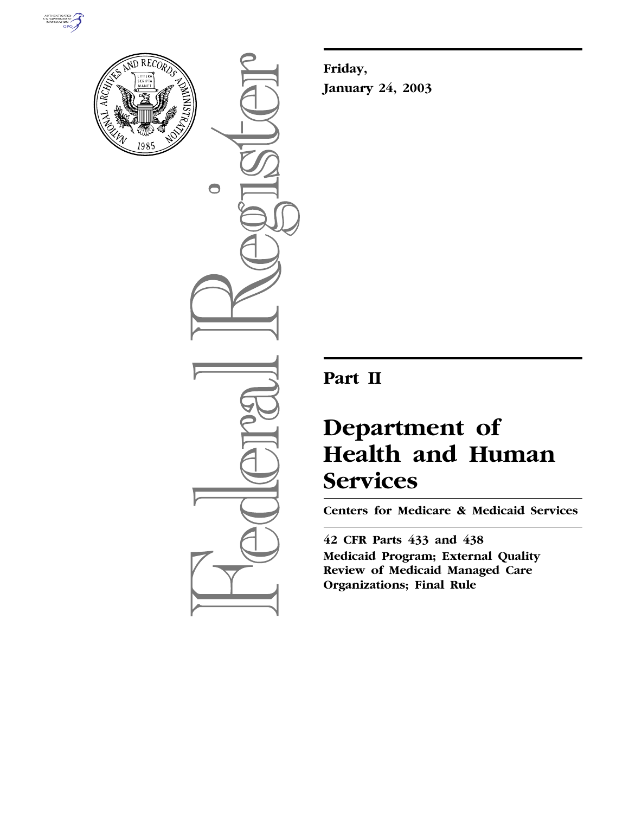



 $\bigcirc$ 

**Friday, January 24, 2003**

## **Part II**

# **Department of Health and Human Services**

**Centers for Medicare & Medicaid Services** 

**42 CFR Parts 433 and 438 Medicaid Program; External Quality Review of Medicaid Managed Care Organizations; Final Rule**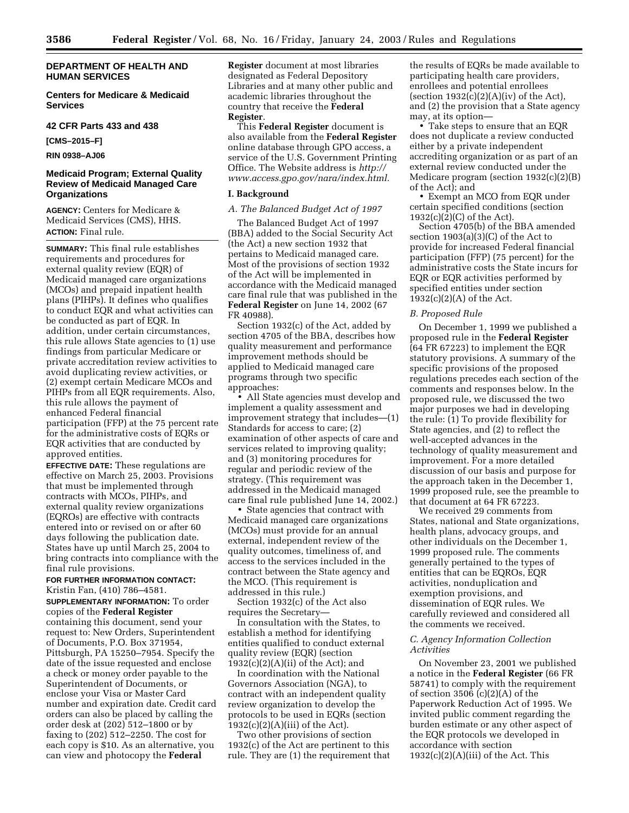**Centers for Medicare & Medicaid Services** 

#### **42 CFR Parts 433 and 438**

**[CMS–2015–F]** 

**RIN 0938–AJ06** 

#### **Medicaid Program; External Quality Review of Medicaid Managed Care Organizations**

**AGENCY:** Centers for Medicare & Medicaid Services (CMS), HHS. **ACTION:** Final rule.

**SUMMARY:** This final rule establishes requirements and procedures for external quality review (EQR) of Medicaid managed care organizations (MCOs) and prepaid inpatient health plans (PIHPs). It defines who qualifies to conduct EQR and what activities can be conducted as part of EQR. In addition, under certain circumstances, this rule allows State agencies to (1) use findings from particular Medicare or private accreditation review activities to avoid duplicating review activities, or (2) exempt certain Medicare MCOs and PIHPs from all EQR requirements. Also, this rule allows the payment of enhanced Federal financial participation (FFP) at the 75 percent rate for the administrative costs of EQRs or EQR activities that are conducted by approved entities.

**EFFECTIVE DATE:** These regulations are effective on March 25, 2003. Provisions that must be implemented through contracts with MCOs, PIHPs, and external quality review organizations (EQROs) are effective with contracts entered into or revised on or after 60 days following the publication date. States have up until March 25, 2004 to bring contracts into compliance with the final rule provisions.

**FOR FURTHER INFORMATION CONTACT:** Kristin Fan, (410) 786–4581.

**SUPPLEMENTARY INFORMATION:** To order copies of the **Federal Register** containing this document, send your request to: New Orders, Superintendent of Documents, P.O. Box 371954, Pittsburgh, PA 15250–7954. Specify the date of the issue requested and enclose a check or money order payable to the Superintendent of Documents, or enclose your Visa or Master Card number and expiration date. Credit card orders can also be placed by calling the order desk at (202) 512–1800 or by faxing to (202) 512–2250. The cost for each copy is \$10. As an alternative, you can view and photocopy the **Federal** 

**Register** document at most libraries designated as Federal Depository Libraries and at many other public and academic libraries throughout the country that receive the **Federal Register**.

This **Federal Register** document is also available from the **Federal Register** online database through GPO access, a service of the U.S. Government Printing Office. The Website address is *http:// www.access.gpo.gov/nara/index.html.*

#### **I. Background**

### *A. The Balanced Budget Act of 1997*

The Balanced Budget Act of 1997 (BBA) added to the Social Security Act (the Act) a new section 1932 that pertains to Medicaid managed care. Most of the provisions of section 1932 of the Act will be implemented in accordance with the Medicaid managed care final rule that was published in the **Federal Register** on June 14, 2002 (67 FR 40988).

Section 1932(c) of the Act, added by section 4705 of the BBA, describes how quality measurement and performance improvement methods should be applied to Medicaid managed care programs through two specific approaches:

• All State agencies must develop and implement a quality assessment and improvement strategy that includes—(1) Standards for access to care; (2) examination of other aspects of care and services related to improving quality; and (3) monitoring procedures for regular and periodic review of the strategy. (This requirement was addressed in the Medicaid managed care final rule published June 14, 2002.)

• State agencies that contract with Medicaid managed care organizations (MCOs) must provide for an annual external, independent review of the quality outcomes, timeliness of, and access to the services included in the contract between the State agency and the MCO. (This requirement is addressed in this rule.)

Section 1932(c) of the Act also requires the Secretary—

In consultation with the States, to establish a method for identifying entities qualified to conduct external quality review (EQR) (section  $1932(c)(2)(A)(ii)$  of the Act); and

In coordination with the National Governors Association (NGA), to contract with an independent quality review organization to develop the protocols to be used in EQRs (section 1932(c)(2)(A)(iii) of the Act).

Two other provisions of section 1932(c) of the Act are pertinent to this rule. They are (1) the requirement that

the results of EQRs be made available to participating health care providers, enrollees and potential enrollees (section  $1932(c)(2)(A)(iv)$  of the Act), and (2) the provision that a State agency may, at its option—

• Take steps to ensure that an EQR does not duplicate a review conducted either by a private independent accrediting organization or as part of an external review conducted under the Medicare program (section 1932(c)(2)(B) of the Act); and

• Exempt an MCO from EQR under certain specified conditions (section 1932(c)(2)(C) of the Act).

Section 4705(b) of the BBA amended section 1903(a)(3)(C) of the Act to provide for increased Federal financial participation (FFP) (75 percent) for the administrative costs the State incurs for EQR or EQR activities performed by specified entities under section  $1932(c)(2)(A)$  of the Act.

#### *B. Proposed Rule*

On December 1, 1999 we published a proposed rule in the **Federal Register** (64 FR 67223) to implement the EQR statutory provisions. A summary of the specific provisions of the proposed regulations precedes each section of the comments and responses below. In the proposed rule, we discussed the two major purposes we had in developing the rule: (1) To provide flexibility for State agencies, and (2) to reflect the well-accepted advances in the technology of quality measurement and improvement. For a more detailed discussion of our basis and purpose for the approach taken in the December 1, 1999 proposed rule, see the preamble to that document at 64 FR 67223.

We received 29 comments from States, national and State organizations, health plans, advocacy groups, and other individuals on the December 1, 1999 proposed rule. The comments generally pertained to the types of entities that can be EQROs, EQR activities, nonduplication and exemption provisions, and dissemination of EQR rules. We carefully reviewed and considered all the comments we received.

#### *C. Agency Information Collection Activities*

On November 23, 2001 we published a notice in the **Federal Register** (66 FR 58741) to comply with the requirement of section 3506 (c)(2)(A) of the Paperwork Reduction Act of 1995. We invited public comment regarding the burden estimate or any other aspect of the EQR protocols we developed in accordance with section  $1932(c)(2)(A)(iii)$  of the Act. This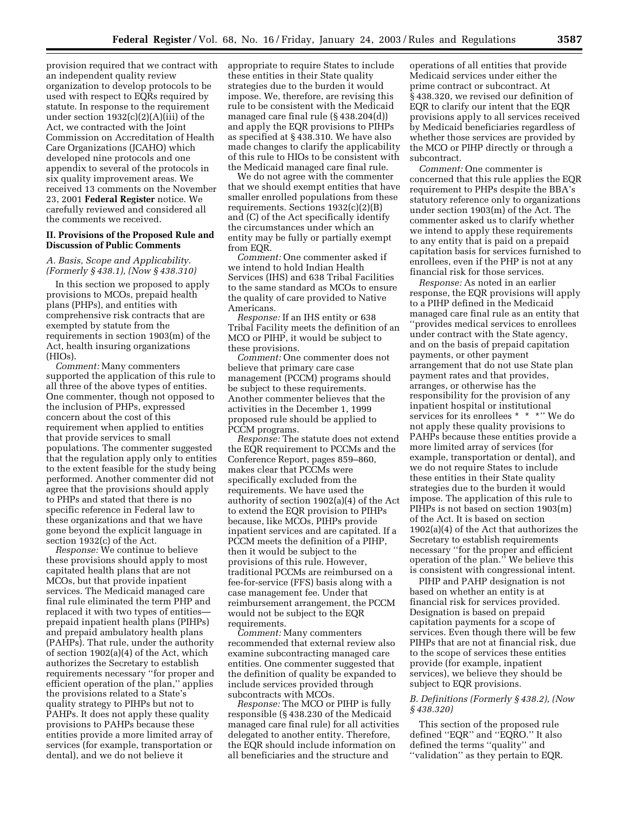provision required that we contract with an independent quality review organization to develop protocols to be used with respect to EQRs required by statute. In response to the requirement under section 1932(c)(2)(A)(iii) of the Act, we contracted with the Joint Commission on Accreditation of Health Care Organizations (JCAHO) which developed nine protocols and one appendix to several of the protocols in six quality improvement areas. We received 13 comments on the November 23, 2001 **Federal Register** notice. We carefully reviewed and considered all the comments we received.

### **II. Provisions of the Proposed Rule and Discussion of Public Comments**

#### *A. Basis, Scope and Applicability. (Formerly § 438.1), (Now § 438.310)*

In this section we proposed to apply provisions to MCOs, prepaid health plans (PHPs), and entities with comprehensive risk contracts that are exempted by statute from the requirements in section 1903(m) of the Act, health insuring organizations (HIOs).

*Comment:* Many commenters supported the application of this rule to all three of the above types of entities. One commenter, though not opposed to the inclusion of PHPs, expressed concern about the cost of this requirement when applied to entities that provide services to small populations. The commenter suggested that the regulation apply only to entities to the extent feasible for the study being performed. Another commenter did not agree that the provisions should apply to PHPs and stated that there is no specific reference in Federal law to these organizations and that we have gone beyond the explicit language in section 1932(c) of the Act.

*Response:* We continue to believe these provisions should apply to most capitated health plans that are not MCOs, but that provide inpatient services. The Medicaid managed care final rule eliminated the term PHP and replaced it with two types of entities prepaid inpatient health plans (PIHPs) and prepaid ambulatory health plans (PAHPs). That rule, under the authority of section 1902(a)(4) of the Act, which authorizes the Secretary to establish requirements necessary ''for proper and efficient operation of the plan,'' applies the provisions related to a State's quality strategy to PIHPs but not to PAHPs. It does not apply these quality provisions to PAHPs because these entities provide a more limited array of services (for example, transportation or dental), and we do not believe it

appropriate to require States to include these entities in their State quality strategies due to the burden it would impose. We, therefore, are revising this rule to be consistent with the Medicaid managed care final rule (§ 438.204(d)) and apply the EQR provisions to PIHPs as specified at § 438.310. We have also made changes to clarify the applicability of this rule to HIOs to be consistent with the Medicaid managed care final rule.

We do not agree with the commenter that we should exempt entities that have smaller enrolled populations from these requirements. Sections 1932(c)(2)(B) and (C) of the Act specifically identify the circumstances under which an entity may be fully or partially exempt from EQR.

*Comment:* One commenter asked if we intend to hold Indian Health Services (IHS) and 638 Tribal Facilities to the same standard as MCOs to ensure the quality of care provided to Native Americans.

*Response:* If an IHS entity or 638 Tribal Facility meets the definition of an MCO or PIHP, it would be subject to these provisions.

*Comment:* One commenter does not believe that primary care case management (PCCM) programs should be subject to these requirements. Another commenter believes that the activities in the December 1, 1999 proposed rule should be applied to PCCM programs.

*Response:* The statute does not extend the EQR requirement to PCCMs and the Conference Report, pages 859–860, makes clear that PCCMs were specifically excluded from the requirements. We have used the authority of section 1902(a)(4) of the Act to extend the EQR provision to PIHPs because, like MCOs, PIHPs provide inpatient services and are capitated. If a PCCM meets the definition of a PIHP, then it would be subject to the provisions of this rule. However, traditional PCCMs are reimbursed on a fee-for-service (FFS) basis along with a case management fee. Under that reimbursement arrangement, the PCCM would not be subject to the EQR requirements.

*Comment:* Many commenters recommended that external review also examine subcontracting managed care entities. One commenter suggested that the definition of quality be expanded to include services provided through subcontracts with MCOs.

*Response:* The MCO or PIHP is fully responsible (§ 438.230 of the Medicaid managed care final rule) for all activities delegated to another entity. Therefore, the EQR should include information on all beneficiaries and the structure and

operations of all entities that provide Medicaid services under either the prime contract or subcontract. At § 438.320, we revised our definition of EQR to clarify our intent that the EQR provisions apply to all services received by Medicaid beneficiaries regardless of whether those services are provided by the MCO or PIHP directly or through a subcontract.

*Comment:* One commenter is concerned that this rule applies the EQR requirement to PHPs despite the BBA's statutory reference only to organizations under section 1903(m) of the Act. The commenter asked us to clarify whether we intend to apply these requirements to any entity that is paid on a prepaid capitation basis for services furnished to enrollees, even if the PHP is not at any financial risk for those services.

*Response:* As noted in an earlier response, the EQR provisions will apply to a PIHP defined in the Medicaid managed care final rule as an entity that ''provides medical services to enrollees under contract with the State agency, and on the basis of prepaid capitation payments, or other payment arrangement that do not use State plan payment rates and that provides, arranges, or otherwise has the responsibility for the provision of any inpatient hospital or institutional services for its enrollees \* \* \*'' We do not apply these quality provisions to PAHPs because these entities provide a more limited array of services (for example, transportation or dental), and we do not require States to include these entities in their State quality strategies due to the burden it would impose. The application of this rule to PIHPs is not based on section 1903(m) of the Act. It is based on section 1902(a)(4) of the Act that authorizes the Secretary to establish requirements necessary ''for the proper and efficient operation of the plan.'' We believe this is consistent with congressional intent.

PIHP and PAHP designation is not based on whether an entity is at financial risk for services provided. Designation is based on prepaid capitation payments for a scope of services. Even though there will be few PIHPs that are not at financial risk, due to the scope of services these entities provide (for example, inpatient services), we believe they should be subject to EQR provisions.

#### *B. Definitions (Formerly § 438.2), (Now § 438.320)*

This section of the proposed rule defined ''EQR'' and ''EQRO.'' It also defined the terms ''quality'' and ''validation'' as they pertain to EQR.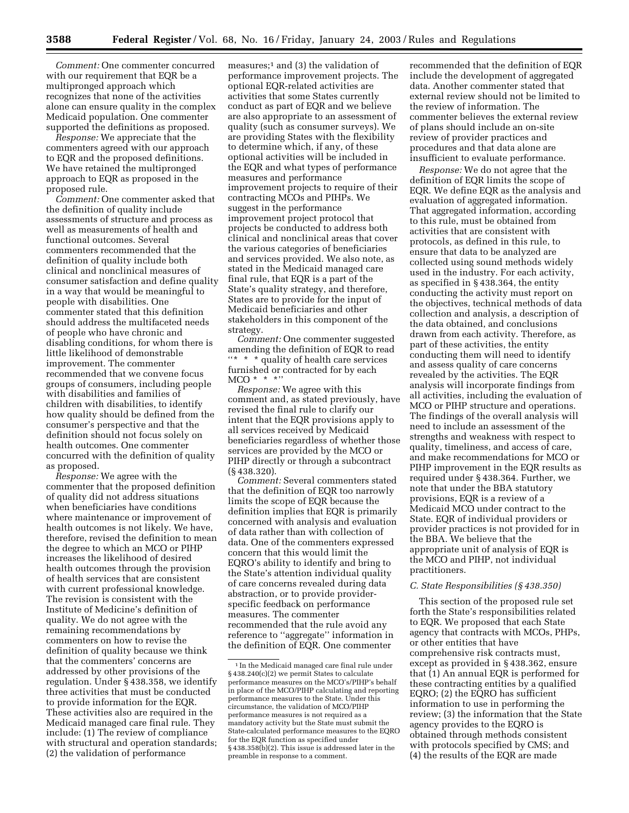*Comment:* One commenter concurred with our requirement that EQR be a multipronged approach which recognizes that none of the activities alone can ensure quality in the complex Medicaid population. One commenter supported the definitions as proposed.

*Response:* We appreciate that the commenters agreed with our approach to EQR and the proposed definitions. We have retained the multipronged approach to EQR as proposed in the proposed rule.

*Comment:* One commenter asked that the definition of quality include assessments of structure and process as well as measurements of health and functional outcomes. Several commenters recommended that the definition of quality include both clinical and nonclinical measures of consumer satisfaction and define quality in a way that would be meaningful to people with disabilities. One commenter stated that this definition should address the multifaceted needs of people who have chronic and disabling conditions, for whom there is little likelihood of demonstrable improvement. The commenter recommended that we convene focus groups of consumers, including people with disabilities and families of children with disabilities, to identify how quality should be defined from the consumer's perspective and that the definition should not focus solely on health outcomes. One commenter concurred with the definition of quality as proposed.

*Response:* We agree with the commenter that the proposed definition of quality did not address situations when beneficiaries have conditions where maintenance or improvement of health outcomes is not likely. We have, therefore, revised the definition to mean the degree to which an MCO or PIHP increases the likelihood of desired health outcomes through the provision of health services that are consistent with current professional knowledge. The revision is consistent with the Institute of Medicine's definition of quality. We do not agree with the remaining recommendations by commenters on how to revise the definition of quality because we think that the commenters' concerns are addressed by other provisions of the regulation. Under § 438.358, we identify three activities that must be conducted to provide information for the EQR. These activities also are required in the Medicaid managed care final rule. They include: (1) The review of compliance with structural and operation standards; (2) the validation of performance

measures; $<sup>1</sup>$  and (3) the validation of</sup> performance improvement projects. The optional EQR-related activities are activities that some States currently conduct as part of EQR and we believe are also appropriate to an assessment of quality (such as consumer surveys). We are providing States with the flexibility to determine which, if any, of these optional activities will be included in the EQR and what types of performance measures and performance improvement projects to require of their contracting MCOs and PIHPs. We suggest in the performance improvement project protocol that projects be conducted to address both clinical and nonclinical areas that cover the various categories of beneficiaries and services provided. We also note, as stated in the Medicaid managed care final rule, that EQR is a part of the State's quality strategy, and therefore, States are to provide for the input of Medicaid beneficiaries and other stakeholders in this component of the strategy.

*Comment:* One commenter suggested amending the definition of EQR to read ''\* \* \* quality of health care services furnished or contracted for by each  $MCO * * * "$ 

*Response:* We agree with this comment and, as stated previously, have revised the final rule to clarify our intent that the EQR provisions apply to all services received by Medicaid beneficiaries regardless of whether those services are provided by the MCO or PIHP directly or through a subcontract (§ 438.320).

*Comment:* Several commenters stated that the definition of EQR too narrowly limits the scope of EQR because the definition implies that EQR is primarily concerned with analysis and evaluation of data rather than with collection of data. One of the commenters expressed concern that this would limit the EQRO's ability to identify and bring to the State's attention individual quality of care concerns revealed during data abstraction, or to provide providerspecific feedback on performance measures. The commenter recommended that the rule avoid any reference to ''aggregate'' information in the definition of EQR. One commenter

recommended that the definition of EQR include the development of aggregated data. Another commenter stated that external review should not be limited to the review of information. The commenter believes the external review of plans should include an on-site review of provider practices and procedures and that data alone are insufficient to evaluate performance.

*Response:* We do not agree that the definition of EQR limits the scope of EQR. We define EQR as the analysis and evaluation of aggregated information. That aggregated information, according to this rule, must be obtained from activities that are consistent with protocols, as defined in this rule, to ensure that data to be analyzed are collected using sound methods widely used in the industry. For each activity, as specified in § 438.364, the entity conducting the activity must report on the objectives, technical methods of data collection and analysis, a description of the data obtained, and conclusions drawn from each activity. Therefore, as part of these activities, the entity conducting them will need to identify and assess quality of care concerns revealed by the activities. The EQR analysis will incorporate findings from all activities, including the evaluation of MCO or PIHP structure and operations. The findings of the overall analysis will need to include an assessment of the strengths and weakness with respect to quality, timeliness, and access of care, and make recommendations for MCO or PIHP improvement in the EQR results as required under § 438.364. Further, we note that under the BBA statutory provisions, EQR is a review of a Medicaid MCO under contract to the State. EQR of individual providers or provider practices is not provided for in the BBA. We believe that the appropriate unit of analysis of EQR is the MCO and PIHP, not individual practitioners.

#### *C. State Responsibilities (§ 438.350)*

This section of the proposed rule set forth the State's responsibilities related to EQR. We proposed that each State agency that contracts with MCOs, PHPs, or other entities that have comprehensive risk contracts must, except as provided in § 438.362, ensure that (1) An annual EQR is performed for these contracting entities by a qualified EQRO; (2) the EQRO has sufficient information to use in performing the review; (3) the information that the State agency provides to the EQRO is obtained through methods consistent with protocols specified by CMS; and (4) the results of the EQR are made

<sup>&</sup>lt;sup>1</sup> In the Medicaid managed care final rule under § 438.240(c)(2) we permit States to calculate performance measures on the MCO's/PIHP's behalf in place of the MCO/PIHP calculating and reporting performance measures to the State. Under this circumstance, the validation of MCO/PIHP performance measures is not required as a mandatory activity but the State must submit the State-calculated performance measures to the EQRO for the EQR function as specified under § 438.358(b)(2). This issue is addressed later in the preamble in response to a comment.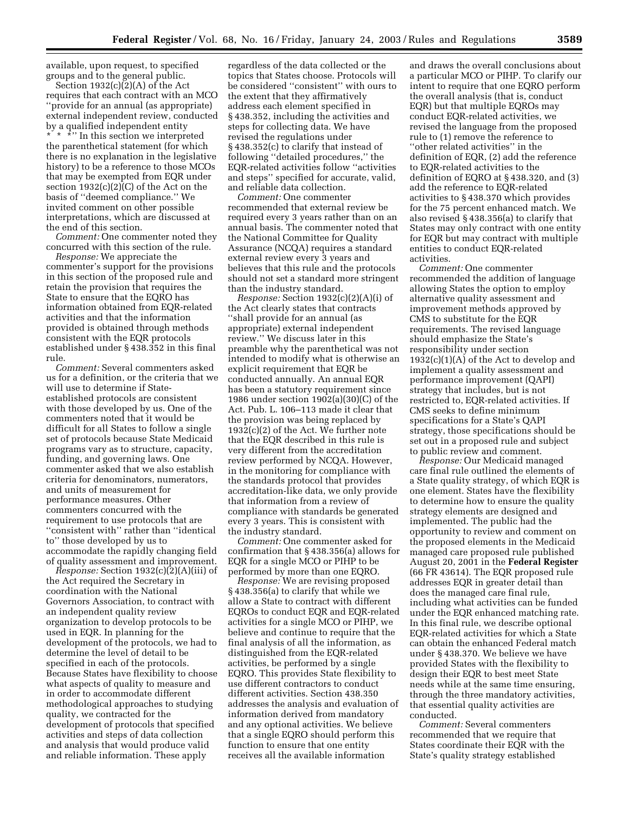available, upon request, to specified groups and to the general public.

Section 1932(c)(2)(A) of the Act requires that each contract with an MCO ''provide for an annual (as appropriate) external independent review, conducted by a qualified independent entity \* \* \*" In this section we interpreted the parenthetical statement (for which there is no explanation in the legislative history) to be a reference to those MCOs that may be exempted from EQR under section 1932(c)(2)(C) of the Act on the basis of ''deemed compliance.'' We invited comment on other possible interpretations, which are discussed at the end of this section.

*Comment:* One commenter noted they concurred with this section of the rule.

*Response:* We appreciate the commenter's support for the provisions in this section of the proposed rule and retain the provision that requires the State to ensure that the EQRO has information obtained from EQR-related activities and that the information provided is obtained through methods consistent with the EQR protocols established under § 438.352 in this final rule.

*Comment:* Several commenters asked us for a definition, or the criteria that we will use to determine if Stateestablished protocols are consistent with those developed by us. One of the commenters noted that it would be difficult for all States to follow a single set of protocols because State Medicaid programs vary as to structure, capacity, funding, and governing laws. One commenter asked that we also establish criteria for denominators, numerators, and units of measurement for performance measures. Other commenters concurred with the requirement to use protocols that are ''consistent with'' rather than ''identical to'' those developed by us to accommodate the rapidly changing field of quality assessment and improvement.

*Response:* Section 1932(c)(2)(A)(iii) of the Act required the Secretary in coordination with the National Governors Association, to contract with an independent quality review organization to develop protocols to be used in EQR. In planning for the development of the protocols, we had to determine the level of detail to be specified in each of the protocols. Because States have flexibility to choose what aspects of quality to measure and in order to accommodate different methodological approaches to studying quality, we contracted for the development of protocols that specified activities and steps of data collection and analysis that would produce valid and reliable information. These apply

regardless of the data collected or the topics that States choose. Protocols will be considered ''consistent'' with ours to the extent that they affirmatively address each element specified in § 438.352, including the activities and steps for collecting data. We have revised the regulations under § 438.352(c) to clarify that instead of following ''detailed procedures,'' the EQR-related activities follow ''activities and steps'' specified for accurate, valid, and reliable data collection.

*Comment:* One commenter recommended that external review be required every 3 years rather than on an annual basis. The commenter noted that the National Committee for Quality Assurance (NCQA) requires a standard external review every 3 years and believes that this rule and the protocols should not set a standard more stringent than the industry standard.

*Response:* Section 1932(c)(2)(A)(i) of the Act clearly states that contracts ''shall provide for an annual (as appropriate) external independent review.'' We discuss later in this preamble why the parenthetical was not intended to modify what is otherwise an explicit requirement that EQR be conducted annually. An annual EQR has been a statutory requirement since 1986 under section 1902(a)(30)(C) of the Act. Pub. L. 106–113 made it clear that the provision was being replaced by 1932(c)(2) of the Act. We further note that the EQR described in this rule is very different from the accreditation review performed by NCQA. However, in the monitoring for compliance with the standards protocol that provides accreditation-like data, we only provide that information from a review of compliance with standards be generated every 3 years. This is consistent with the industry standard.

*Comment:* One commenter asked for confirmation that § 438.356(a) allows for EQR for a single MCO or PIHP to be performed by more than one EQRO.

*Response:* We are revising proposed § 438.356(a) to clarify that while we allow a State to contract with different EQROs to conduct EQR and EQR-related activities for a single MCO or PIHP, we believe and continue to require that the final analysis of all the information, as distinguished from the EQR-related activities, be performed by a single EQRO. This provides State flexibility to use different contractors to conduct different activities. Section 438.350 addresses the analysis and evaluation of information derived from mandatory and any optional activities. We believe that a single EQRO should perform this function to ensure that one entity receives all the available information

and draws the overall conclusions about a particular MCO or PIHP. To clarify our intent to require that one EQRO perform the overall analysis (that is, conduct EQR) but that multiple EQROs may conduct EQR-related activities, we revised the language from the proposed rule to (1) remove the reference to ''other related activities'' in the definition of EQR, (2) add the reference to EQR-related activities to the definition of EQRO at § 438.320, and (3) add the reference to EQR-related activities to § 438.370 which provides for the 75 percent enhanced match. We also revised § 438.356(a) to clarify that States may only contract with one entity for EQR but may contract with multiple entities to conduct EQR-related activities.

*Comment:* One commenter recommended the addition of language allowing States the option to employ alternative quality assessment and improvement methods approved by CMS to substitute for the EQR requirements. The revised language should emphasize the State's responsibility under section  $1932(c)(1)(A)$  of the Act to develop and implement a quality assessment and performance improvement (QAPI) strategy that includes, but is not restricted to, EQR-related activities. If CMS seeks to define minimum specifications for a State's QAPI strategy, those specifications should be set out in a proposed rule and subject to public review and comment.

*Response:* Our Medicaid managed care final rule outlined the elements of a State quality strategy, of which EQR is one element. States have the flexibility to determine how to ensure the quality strategy elements are designed and implemented. The public had the opportunity to review and comment on the proposed elements in the Medicaid managed care proposed rule published August 20, 2001 in the **Federal Register** (66 FR 43614). The EQR proposed rule addresses EQR in greater detail than does the managed care final rule, including what activities can be funded under the EQR enhanced matching rate. In this final rule, we describe optional EQR-related activities for which a State can obtain the enhanced Federal match under § 438.370. We believe we have provided States with the flexibility to design their EQR to best meet State needs while at the same time ensuring, through the three mandatory activities, that essential quality activities are conducted.

*Comment:* Several commenters recommended that we require that States coordinate their EQR with the State's quality strategy established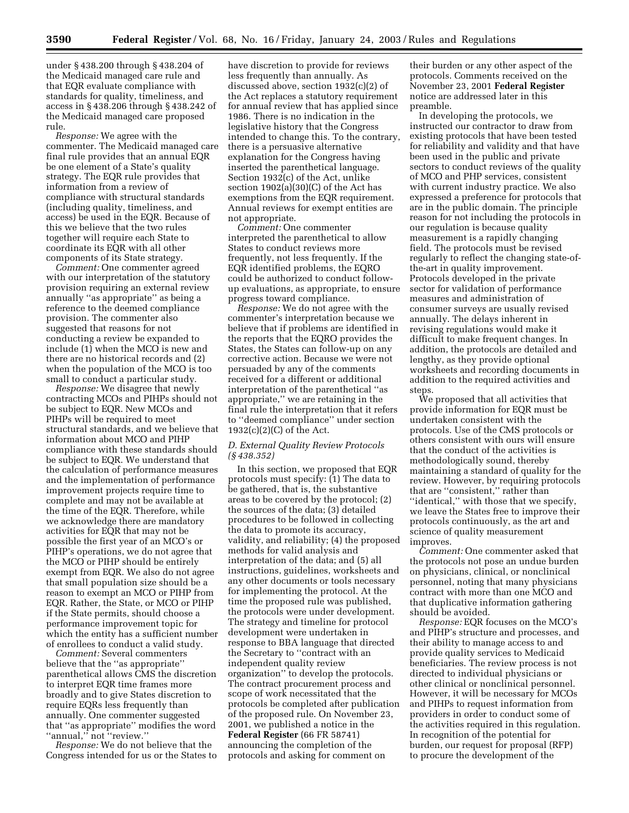under § 438.200 through § 438.204 of the Medicaid managed care rule and that EQR evaluate compliance with standards for quality, timeliness, and access in § 438.206 through § 438.242 of the Medicaid managed care proposed rule.

*Response:* We agree with the commenter. The Medicaid managed care final rule provides that an annual EQR be one element of a State's quality strategy. The EQR rule provides that information from a review of compliance with structural standards (including quality, timeliness, and access) be used in the EQR. Because of this we believe that the two rules together will require each State to coordinate its EQR with all other components of its State strategy.

*Comment:* One commenter agreed with our interpretation of the statutory provision requiring an external review annually ''as appropriate'' as being a reference to the deemed compliance provision. The commenter also suggested that reasons for not conducting a review be expanded to include (1) when the MCO is new and there are no historical records and (2) when the population of the MCO is too small to conduct a particular study.

*Response:* We disagree that newly contracting MCOs and PIHPs should not be subject to EQR. New MCOs and PIHPs will be required to meet structural standards, and we believe that information about MCO and PIHP compliance with these standards should be subject to EQR. We understand that the calculation of performance measures and the implementation of performance improvement projects require time to complete and may not be available at the time of the EQR. Therefore, while we acknowledge there are mandatory activities for EQR that may not be possible the first year of an MCO's or PIHP's operations, we do not agree that the MCO or PIHP should be entirely exempt from EQR. We also do not agree that small population size should be a reason to exempt an MCO or PIHP from EQR. Rather, the State, or MCO or PIHP if the State permits, should choose a performance improvement topic for which the entity has a sufficient number of enrollees to conduct a valid study.

*Comment:* Several commenters believe that the ''as appropriate'' parenthetical allows CMS the discretion to interpret EQR time frames more broadly and to give States discretion to require EQRs less frequently than annually. One commenter suggested that ''as appropriate'' modifies the word ''annual,'' not ''review.''

*Response:* We do not believe that the Congress intended for us or the States to have discretion to provide for reviews less frequently than annually. As discussed above, section 1932(c)(2) of the Act replaces a statutory requirement for annual review that has applied since 1986. There is no indication in the legislative history that the Congress intended to change this. To the contrary, there is a persuasive alternative explanation for the Congress having inserted the parenthetical language. Section 1932(c) of the Act, unlike section 1902(a)(30)(C) of the Act has exemptions from the EQR requirement. Annual reviews for exempt entities are not appropriate.

*Comment:* One commenter interpreted the parenthetical to allow States to conduct reviews more frequently, not less frequently. If the EQR identified problems, the EQRO could be authorized to conduct followup evaluations, as appropriate, to ensure progress toward compliance.

*Response:* We do not agree with the commenter's interpretation because we believe that if problems are identified in the reports that the EQRO provides the States, the States can follow-up on any corrective action. Because we were not persuaded by any of the comments received for a different or additional interpretation of the parenthetical ''as appropriate,'' we are retaining in the final rule the interpretation that it refers to ''deemed compliance'' under section  $1932(c)(2)(C)$  of the Act.

#### *D. External Quality Review Protocols (§ 438.352)*

In this section, we proposed that EQR protocols must specify: (1) The data to be gathered, that is, the substantive areas to be covered by the protocol; (2) the sources of the data; (3) detailed procedures to be followed in collecting the data to promote its accuracy, validity, and reliability; (4) the proposed methods for valid analysis and interpretation of the data; and (5) all instructions, guidelines, worksheets and any other documents or tools necessary for implementing the protocol. At the time the proposed rule was published, the protocols were under development. The strategy and timeline for protocol development were undertaken in response to BBA language that directed the Secretary to ''contract with an independent quality review organization'' to develop the protocols. The contract procurement process and scope of work necessitated that the protocols be completed after publication of the proposed rule. On November 23, 2001, we published a notice in the **Federal Register** (66 FR 58741) announcing the completion of the protocols and asking for comment on

their burden or any other aspect of the protocols. Comments received on the November 23, 2001 **Federal Register** notice are addressed later in this preamble.

In developing the protocols, we instructed our contractor to draw from existing protocols that have been tested for reliability and validity and that have been used in the public and private sectors to conduct reviews of the quality of MCO and PHP services, consistent with current industry practice. We also expressed a preference for protocols that are in the public domain. The principle reason for not including the protocols in our regulation is because quality measurement is a rapidly changing field. The protocols must be revised regularly to reflect the changing state-ofthe-art in quality improvement. Protocols developed in the private sector for validation of performance measures and administration of consumer surveys are usually revised annually. The delays inherent in revising regulations would make it difficult to make frequent changes. In addition, the protocols are detailed and lengthy, as they provide optional worksheets and recording documents in addition to the required activities and steps.

We proposed that all activities that provide information for EQR must be undertaken consistent with the protocols. Use of the CMS protocols or others consistent with ours will ensure that the conduct of the activities is methodologically sound, thereby maintaining a standard of quality for the review. However, by requiring protocols that are ''consistent,'' rather than ''identical,'' with those that we specify, we leave the States free to improve their protocols continuously, as the art and science of quality measurement improves.

*Comment:* One commenter asked that the protocols not pose an undue burden on physicians, clinical, or nonclinical personnel, noting that many physicians contract with more than one MCO and that duplicative information gathering should be avoided.

*Response:* EQR focuses on the MCO's and PIHP's structure and processes, and their ability to manage access to and provide quality services to Medicaid beneficiaries. The review process is not directed to individual physicians or other clinical or nonclinical personnel. However, it will be necessary for MCOs and PIHPs to request information from providers in order to conduct some of the activities required in this regulation. In recognition of the potential for burden, our request for proposal (RFP) to procure the development of the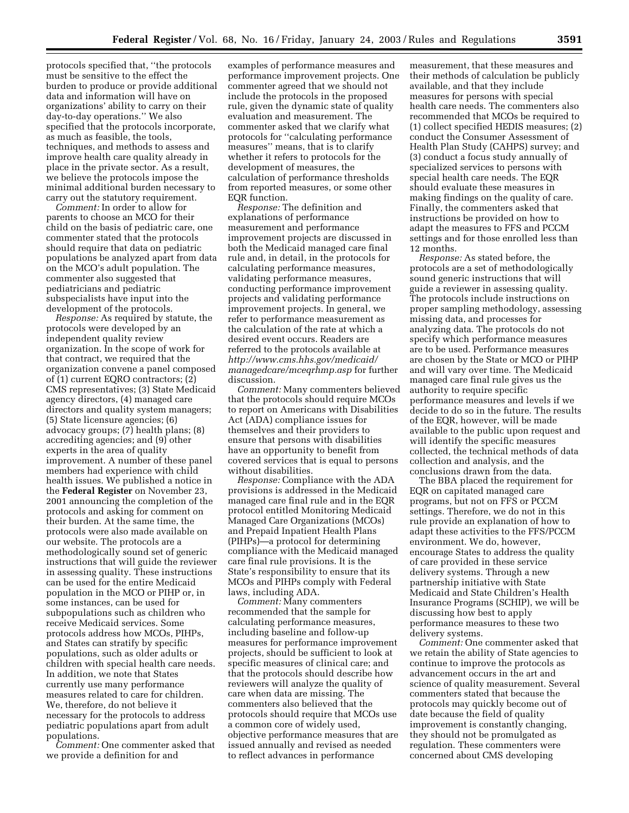protocols specified that, ''the protocols must be sensitive to the effect the burden to produce or provide additional data and information will have on organizations' ability to carry on their day-to-day operations.'' We also specified that the protocols incorporate, as much as feasible, the tools, techniques, and methods to assess and improve health care quality already in place in the private sector. As a result, we believe the protocols impose the minimal additional burden necessary to carry out the statutory requirement.

*Comment:* In order to allow for parents to choose an MCO for their child on the basis of pediatric care, one commenter stated that the protocols should require that data on pediatric populations be analyzed apart from data on the MCO's adult population. The commenter also suggested that pediatricians and pediatric subspecialists have input into the development of the protocols.

*Response:* As required by statute, the protocols were developed by an independent quality review organization. In the scope of work for that contract, we required that the organization convene a panel composed of (1) current EQRO contractors; (2) CMS representatives; (3) State Medicaid agency directors, (4) managed care directors and quality system managers; (5) State licensure agencies; (6) advocacy groups; (7) health plans; (8) accrediting agencies; and (9) other experts in the area of quality improvement. A number of these panel members had experience with child health issues. We published a notice in the **Federal Register** on November 23, 2001 announcing the completion of the protocols and asking for comment on their burden. At the same time, the protocols were also made available on our website. The protocols are a methodologically sound set of generic instructions that will guide the reviewer in assessing quality. These instructions can be used for the entire Medicaid population in the MCO or PIHP or, in some instances, can be used for subpopulations such as children who receive Medicaid services. Some protocols address how MCOs, PIHPs, and States can stratify by specific populations, such as older adults or children with special health care needs. In addition, we note that States currently use many performance measures related to care for children. We, therefore, do not believe it necessary for the protocols to address pediatric populations apart from adult populations.

*Comment:* One commenter asked that we provide a definition for and

examples of performance measures and performance improvement projects. One commenter agreed that we should not include the protocols in the proposed rule, given the dynamic state of quality evaluation and measurement. The commenter asked that we clarify what protocols for ''calculating performance measures'' means, that is to clarify whether it refers to protocols for the development of measures, the calculation of performance thresholds from reported measures, or some other EQR function.

*Response:* The definition and explanations of performance measurement and performance improvement projects are discussed in both the Medicaid managed care final rule and, in detail, in the protocols for calculating performance measures, validating performance measures, conducting performance improvement projects and validating performance improvement projects. In general, we refer to performance measurement as the calculation of the rate at which a desired event occurs. Readers are referred to the protocols available at *http://www.cms.hhs.gov/medicaid/ managedcare/mceqrhmp.asp* for further discussion.

*Comment:* Many commenters believed that the protocols should require MCOs to report on Americans with Disabilities Act (ADA) compliance issues for themselves and their providers to ensure that persons with disabilities have an opportunity to benefit from covered services that is equal to persons without disabilities.

*Response:* Compliance with the ADA provisions is addressed in the Medicaid managed care final rule and in the EQR protocol entitled Monitoring Medicaid Managed Care Organizations (MCOs) and Prepaid Inpatient Health Plans (PIHPs)—a protocol for determining compliance with the Medicaid managed care final rule provisions. It is the State's responsibility to ensure that its MCOs and PIHPs comply with Federal laws, including ADA.

*Comment:* Many commenters recommended that the sample for calculating performance measures, including baseline and follow-up measures for performance improvement projects, should be sufficient to look at specific measures of clinical care; and that the protocols should describe how reviewers will analyze the quality of care when data are missing. The commenters also believed that the protocols should require that MCOs use a common core of widely used, objective performance measures that are issued annually and revised as needed to reflect advances in performance

measurement, that these measures and their methods of calculation be publicly available, and that they include measures for persons with special health care needs. The commenters also recommended that MCOs be required to (1) collect specified HEDIS measures; (2) conduct the Consumer Assessment of Health Plan Study (CAHPS) survey; and (3) conduct a focus study annually of specialized services to persons with special health care needs. The EQR should evaluate these measures in making findings on the quality of care. Finally, the commenters asked that instructions be provided on how to adapt the measures to FFS and PCCM settings and for those enrolled less than 12 months.

*Response:* As stated before, the protocols are a set of methodologically sound generic instructions that will guide a reviewer in assessing quality. The protocols include instructions on proper sampling methodology, assessing missing data, and processes for analyzing data. The protocols do not specify which performance measures are to be used. Performance measures are chosen by the State or MCO or PIHP and will vary over time. The Medicaid managed care final rule gives us the authority to require specific performance measures and levels if we decide to do so in the future. The results of the EQR, however, will be made available to the public upon request and will identify the specific measures collected, the technical methods of data collection and analysis, and the conclusions drawn from the data.

The BBA placed the requirement for EQR on capitated managed care programs, but not on FFS or PCCM settings. Therefore, we do not in this rule provide an explanation of how to adapt these activities to the FFS/PCCM environment. We do, however, encourage States to address the quality of care provided in these service delivery systems. Through a new partnership initiative with State Medicaid and State Children's Health Insurance Programs (SCHIP), we will be discussing how best to apply performance measures to these two delivery systems.

*Comment:* One commenter asked that we retain the ability of State agencies to continue to improve the protocols as advancement occurs in the art and science of quality measurement. Several commenters stated that because the protocols may quickly become out of date because the field of quality improvement is constantly changing, they should not be promulgated as regulation. These commenters were concerned about CMS developing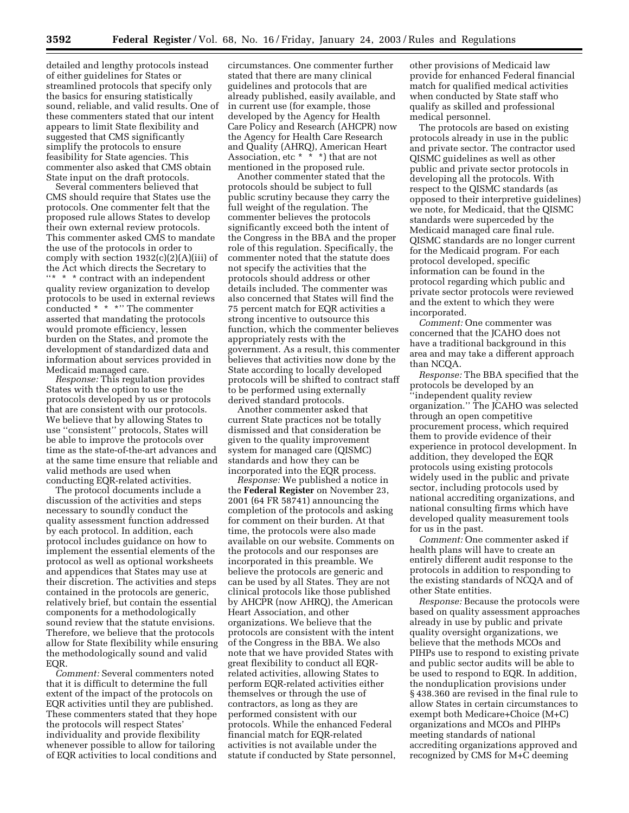detailed and lengthy protocols instead of either guidelines for States or streamlined protocols that specify only the basics for ensuring statistically sound, reliable, and valid results. One of these commenters stated that our intent appears to limit State flexibility and suggested that CMS significantly simplify the protocols to ensure feasibility for State agencies. This commenter also asked that CMS obtain State input on the draft protocols.

Several commenters believed that CMS should require that States use the protocols. One commenter felt that the proposed rule allows States to develop their own external review protocols. This commenter asked CMS to mandate the use of the protocols in order to comply with section 1932(c)(2)(A)(iii) of the Act which directs the Secretary to ''\* \* \* contract with an independent quality review organization to develop protocols to be used in external reviews conducted \* \* \*'' The commenter asserted that mandating the protocols would promote efficiency, lessen burden on the States, and promote the development of standardized data and information about services provided in Medicaid managed care.

*Response:* This regulation provides States with the option to use the protocols developed by us or protocols that are consistent with our protocols. We believe that by allowing States to use ''consistent'' protocols, States will be able to improve the protocols over time as the state-of-the-art advances and at the same time ensure that reliable and valid methods are used when conducting EQR-related activities.

The protocol documents include a discussion of the activities and steps necessary to soundly conduct the quality assessment function addressed by each protocol. In addition, each protocol includes guidance on how to implement the essential elements of the protocol as well as optional worksheets and appendices that States may use at their discretion. The activities and steps contained in the protocols are generic, relatively brief, but contain the essential components for a methodologically sound review that the statute envisions. Therefore, we believe that the protocols allow for State flexibility while ensuring the methodologically sound and valid EQR.

*Comment:* Several commenters noted that it is difficult to determine the full extent of the impact of the protocols on EQR activities until they are published. These commenters stated that they hope the protocols will respect States' individuality and provide flexibility whenever possible to allow for tailoring of EQR activities to local conditions and

circumstances. One commenter further stated that there are many clinical guidelines and protocols that are already published, easily available, and in current use (for example, those developed by the Agency for Health Care Policy and Research (AHCPR) now the Agency for Health Care Research and Quality (AHRQ), American Heart Association, etc  $* * *$ ) that are not mentioned in the proposed rule.

Another commenter stated that the protocols should be subject to full public scrutiny because they carry the full weight of the regulation. The commenter believes the protocols significantly exceed both the intent of the Congress in the BBA and the proper role of this regulation. Specifically, the commenter noted that the statute does not specify the activities that the protocols should address or other details included. The commenter was also concerned that States will find the 75 percent match for EQR activities a strong incentive to outsource this function, which the commenter believes appropriately rests with the government. As a result, this commenter believes that activities now done by the State according to locally developed protocols will be shifted to contract staff to be performed using externally derived standard protocols.

Another commenter asked that current State practices not be totally dismissed and that consideration be given to the quality improvement system for managed care (QISMC) standards and how they can be incorporated into the EQR process.

*Response:* We published a notice in the **Federal Register** on November 23, 2001 (64 FR 58741) announcing the completion of the protocols and asking for comment on their burden. At that time, the protocols were also made available on our website. Comments on the protocols and our responses are incorporated in this preamble. We believe the protocols are generic and can be used by all States. They are not clinical protocols like those published by AHCPR (now AHRQ), the American Heart Association, and other organizations. We believe that the protocols are consistent with the intent of the Congress in the BBA. We also note that we have provided States with great flexibility to conduct all EQRrelated activities, allowing States to perform EQR-related activities either themselves or through the use of contractors, as long as they are performed consistent with our protocols. While the enhanced Federal financial match for EQR-related activities is not available under the statute if conducted by State personnel,

other provisions of Medicaid law provide for enhanced Federal financial match for qualified medical activities when conducted by State staff who qualify as skilled and professional medical personnel.

The protocols are based on existing protocols already in use in the public and private sector. The contractor used QISMC guidelines as well as other public and private sector protocols in developing all the protocols. With respect to the QISMC standards (as opposed to their interpretive guidelines) we note, for Medicaid, that the QISMC standards were superceded by the Medicaid managed care final rule. QISMC standards are no longer current for the Medicaid program. For each protocol developed, specific information can be found in the protocol regarding which public and private sector protocols were reviewed and the extent to which they were incorporated.

*Comment:* One commenter was concerned that the JCAHO does not have a traditional background in this area and may take a different approach than NCQA.

*Response:* The BBA specified that the protocols be developed by an ''independent quality review organization.'' The JCAHO was selected through an open competitive procurement process, which required them to provide evidence of their experience in protocol development. In addition, they developed the EQR protocols using existing protocols widely used in the public and private sector, including protocols used by national accrediting organizations, and national consulting firms which have developed quality measurement tools for us in the past.

*Comment:* One commenter asked if health plans will have to create an entirely different audit response to the protocols in addition to responding to the existing standards of NCQA and of other State entities.

*Response:* Because the protocols were based on quality assessment approaches already in use by public and private quality oversight organizations, we believe that the methods MCOs and PIHPs use to respond to existing private and public sector audits will be able to be used to respond to EQR. In addition, the nonduplication provisions under § 438.360 are revised in the final rule to allow States in certain circumstances to exempt both Medicare+Choice (M+C) organizations and MCOs and PIHPs meeting standards of national accrediting organizations approved and recognized by CMS for M+C deeming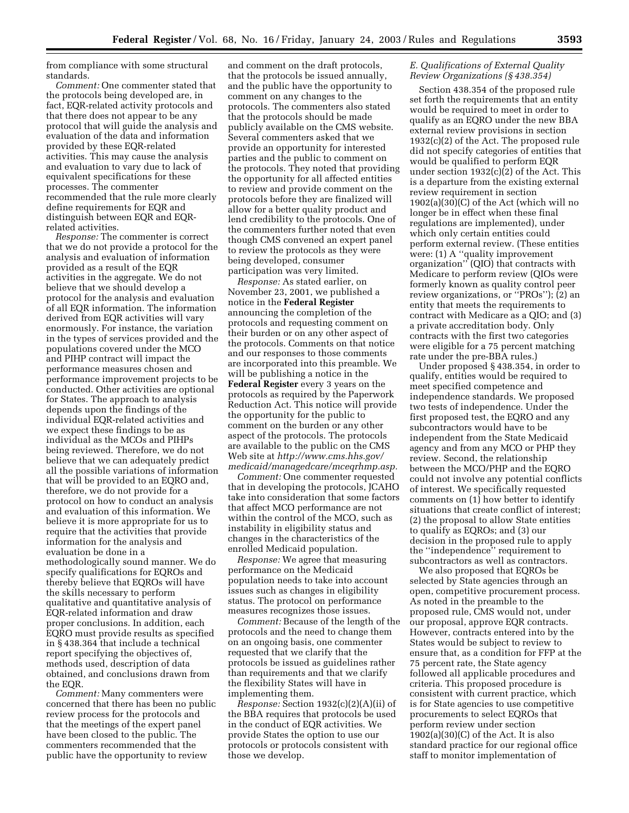from compliance with some structural standards.

*Comment:* One commenter stated that the protocols being developed are, in fact, EQR-related activity protocols and that there does not appear to be any protocol that will guide the analysis and evaluation of the data and information provided by these EQR-related activities. This may cause the analysis and evaluation to vary due to lack of equivalent specifications for these processes. The commenter recommended that the rule more clearly define requirements for EQR and distinguish between EQR and EQRrelated activities.

*Response:* The commenter is correct that we do not provide a protocol for the analysis and evaluation of information provided as a result of the EQR activities in the aggregate. We do not believe that we should develop a protocol for the analysis and evaluation of all EQR information. The information derived from EQR activities will vary enormously. For instance, the variation in the types of services provided and the populations covered under the MCO and PIHP contract will impact the performance measures chosen and performance improvement projects to be conducted. Other activities are optional for States. The approach to analysis depends upon the findings of the individual EQR-related activities and we expect these findings to be as individual as the MCOs and PIHPs being reviewed. Therefore, we do not believe that we can adequately predict all the possible variations of information that will be provided to an EQRO and, therefore, we do not provide for a protocol on how to conduct an analysis and evaluation of this information. We believe it is more appropriate for us to require that the activities that provide information for the analysis and evaluation be done in a methodologically sound manner. We do specify qualifications for EQROs and thereby believe that EQROs will have the skills necessary to perform qualitative and quantitative analysis of EQR-related information and draw proper conclusions. In addition, each EQRO must provide results as specified in § 438.364 that include a technical report specifying the objectives of, methods used, description of data obtained, and conclusions drawn from the EQR.

*Comment:* Many commenters were concerned that there has been no public review process for the protocols and that the meetings of the expert panel have been closed to the public. The commenters recommended that the public have the opportunity to review

and comment on the draft protocols, that the protocols be issued annually, and the public have the opportunity to comment on any changes to the protocols. The commenters also stated that the protocols should be made publicly available on the CMS website. Several commenters asked that we provide an opportunity for interested parties and the public to comment on the protocols. They noted that providing the opportunity for all affected entities to review and provide comment on the protocols before they are finalized will allow for a better quality product and lend credibility to the protocols. One of the commenters further noted that even though CMS convened an expert panel to review the protocols as they were being developed, consumer participation was very limited.

*Response:* As stated earlier, on November 23, 2001, we published a notice in the **Federal Register** announcing the completion of the protocols and requesting comment on their burden or on any other aspect of the protocols. Comments on that notice and our responses to those comments are incorporated into this preamble. We will be publishing a notice in the **Federal Register** every 3 years on the protocols as required by the Paperwork Reduction Act. This notice will provide the opportunity for the public to comment on the burden or any other aspect of the protocols. The protocols are available to the public on the CMS Web site at *http://www.cms.hhs.gov/ medicaid/managedcare/mceqrhmp.asp.*

*Comment:* One commenter requested that in developing the protocols, JCAHO take into consideration that some factors that affect MCO performance are not within the control of the MCO, such as instability in eligibility status and changes in the characteristics of the enrolled Medicaid population.

*Response:* We agree that measuring performance on the Medicaid population needs to take into account issues such as changes in eligibility status. The protocol on performance measures recognizes those issues.

*Comment:* Because of the length of the protocols and the need to change them on an ongoing basis, one commenter requested that we clarify that the protocols be issued as guidelines rather than requirements and that we clarify the flexibility States will have in implementing them.

*Response:* Section 1932(c)(2)(A)(ii) of the BBA requires that protocols be used in the conduct of EQR activities. We provide States the option to use our protocols or protocols consistent with those we develop.

#### *E. Qualifications of External Quality Review Organizations (§ 438.354)*

Section 438.354 of the proposed rule set forth the requirements that an entity would be required to meet in order to qualify as an EQRO under the new BBA external review provisions in section 1932(c)(2) of the Act. The proposed rule did not specify categories of entities that would be qualified to perform EQR under section 1932(c)(2) of the Act. This is a departure from the existing external review requirement in section 1902(a)(30)(C) of the Act (which will no longer be in effect when these final regulations are implemented), under which only certain entities could perform external review. (These entities were: (1) A ''quality improvement organization'' (QIO) that contracts with Medicare to perform review (QIOs were formerly known as quality control peer review organizations, or ''PROs''); (2) an entity that meets the requirements to contract with Medicare as a QIO; and (3) a private accreditation body. Only contracts with the first two categories were eligible for a 75 percent matching rate under the pre-BBA rules.)

Under proposed § 438.354, in order to qualify, entities would be required to meet specified competence and independence standards. We proposed two tests of independence. Under the first proposed test, the EQRO and any subcontractors would have to be independent from the State Medicaid agency and from any MCO or PHP they review. Second, the relationship between the MCO/PHP and the EQRO could not involve any potential conflicts of interest. We specifically requested comments on (1) how better to identify situations that create conflict of interest; (2) the proposal to allow State entities to qualify as EQROs; and (3) our decision in the proposed rule to apply the ''independence'' requirement to subcontractors as well as contractors.

We also proposed that EQROs be selected by State agencies through an open, competitive procurement process. As noted in the preamble to the proposed rule, CMS would not, under our proposal, approve EQR contracts. However, contracts entered into by the States would be subject to review to ensure that, as a condition for FFP at the 75 percent rate, the State agency followed all applicable procedures and criteria. This proposed procedure is consistent with current practice, which is for State agencies to use competitive procurements to select EQROs that perform review under section  $1902(a)(30)(C)$  of the Act. It is also standard practice for our regional office staff to monitor implementation of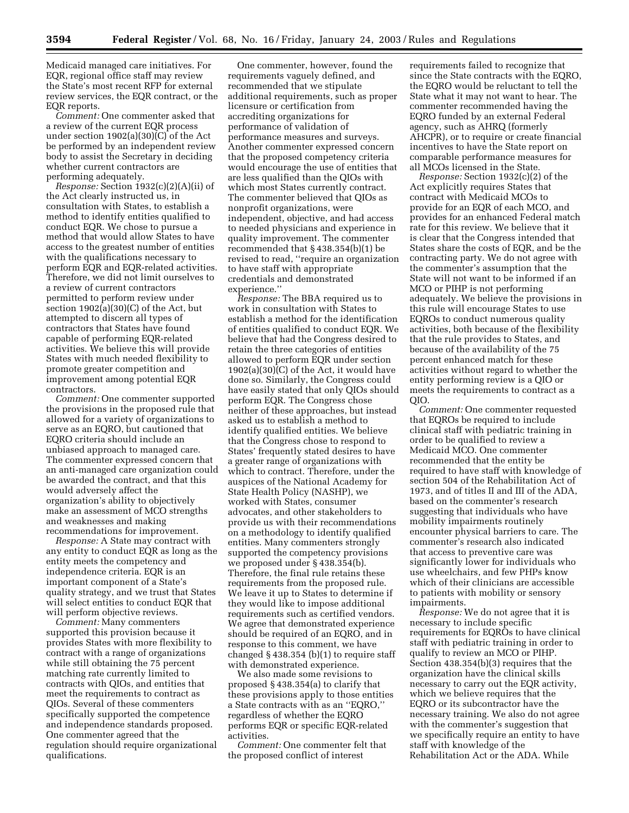Medicaid managed care initiatives. For EQR, regional office staff may review the State's most recent RFP for external review services, the EQR contract, or the EQR reports.

*Comment:* One commenter asked that a review of the current EQR process under section 1902(a)(30)(C) of the Act be performed by an independent review body to assist the Secretary in deciding whether current contractors are performing adequately.

*Response:* Section 1932(c)(2)(A)(ii) of the Act clearly instructed us, in consultation with States, to establish a method to identify entities qualified to conduct EQR. We chose to pursue a method that would allow States to have access to the greatest number of entities with the qualifications necessary to perform EQR and EQR-related activities. Therefore, we did not limit ourselves to a review of current contractors permitted to perform review under section 1902(a)(30)(C) of the Act, but attempted to discern all types of contractors that States have found capable of performing EQR-related activities. We believe this will provide States with much needed flexibility to promote greater competition and improvement among potential EQR contractors.

*Comment:* One commenter supported the provisions in the proposed rule that allowed for a variety of organizations to serve as an EQRO, but cautioned that EQRO criteria should include an unbiased approach to managed care. The commenter expressed concern that an anti-managed care organization could be awarded the contract, and that this would adversely affect the organization's ability to objectively make an assessment of MCO strengths and weaknesses and making recommendations for improvement.

*Response:* A State may contract with any entity to conduct EQR as long as the entity meets the competency and independence criteria. EQR is an important component of a State's quality strategy, and we trust that States will select entities to conduct EQR that will perform objective reviews.

*Comment:* Many commenters supported this provision because it provides States with more flexibility to contract with a range of organizations while still obtaining the 75 percent matching rate currently limited to contracts with QIOs, and entities that meet the requirements to contract as QIOs. Several of these commenters specifically supported the competence and independence standards proposed. One commenter agreed that the regulation should require organizational qualifications.

One commenter, however, found the requirements vaguely defined, and recommended that we stipulate additional requirements, such as proper licensure or certification from accrediting organizations for performance of validation of performance measures and surveys. Another commenter expressed concern that the proposed competency criteria would encourage the use of entities that are less qualified than the QIOs with which most States currently contract. The commenter believed that QIOs as nonprofit organizations, were independent, objective, and had access to needed physicians and experience in quality improvement. The commenter recommended that § 438.354(b)(1) be revised to read, ''require an organization to have staff with appropriate credentials and demonstrated experience.''

*Response:* The BBA required us to work in consultation with States to establish a method for the identification of entities qualified to conduct EQR. We believe that had the Congress desired to retain the three categories of entities allowed to perform EQR under section  $1902(a)(30)(C)$  of the Act, it would have done so. Similarly, the Congress could have easily stated that only QIOs should perform EQR. The Congress chose neither of these approaches, but instead asked us to establish a method to identify qualified entities. We believe that the Congress chose to respond to States' frequently stated desires to have a greater range of organizations with which to contract. Therefore, under the auspices of the National Academy for State Health Policy (NASHP), we worked with States, consumer advocates, and other stakeholders to provide us with their recommendations on a methodology to identify qualified entities. Many commenters strongly supported the competency provisions we proposed under § 438.354(b). Therefore, the final rule retains these requirements from the proposed rule. We leave it up to States to determine if they would like to impose additional requirements such as certified vendors. We agree that demonstrated experience should be required of an EQRO, and in response to this comment, we have changed § 438.354 (b)(1) to require staff with demonstrated experience.

We also made some revisions to proposed § 438.354(a) to clarify that these provisions apply to those entities a State contracts with as an ''EQRO,'' regardless of whether the EQRO performs EQR or specific EQR-related activities.

*Comment:* One commenter felt that the proposed conflict of interest

requirements failed to recognize that since the State contracts with the EQRO, the EQRO would be reluctant to tell the State what it may not want to hear. The commenter recommended having the EQRO funded by an external Federal agency, such as AHRQ (formerly AHCPR), or to require or create financial incentives to have the State report on comparable performance measures for all MCOs licensed in the State.

*Response:* Section 1932(c)(2) of the Act explicitly requires States that contract with Medicaid MCOs to provide for an EQR of each MCO, and provides for an enhanced Federal match rate for this review. We believe that it is clear that the Congress intended that States share the costs of EQR, and be the contracting party. We do not agree with the commenter's assumption that the State will not want to be informed if an MCO or PIHP is not performing adequately. We believe the provisions in this rule will encourage States to use EQROs to conduct numerous quality activities, both because of the flexibility that the rule provides to States, and because of the availability of the 75 percent enhanced match for these activities without regard to whether the entity performing review is a QIO or meets the requirements to contract as a QIO.

*Comment:* One commenter requested that EQROs be required to include clinical staff with pediatric training in order to be qualified to review a Medicaid MCO. One commenter recommended that the entity be required to have staff with knowledge of section 504 of the Rehabilitation Act of 1973, and of titles II and III of the ADA, based on the commenter's research suggesting that individuals who have mobility impairments routinely encounter physical barriers to care. The commenter's research also indicated that access to preventive care was significantly lower for individuals who use wheelchairs, and few PHPs know which of their clinicians are accessible to patients with mobility or sensory impairments.

*Response:* We do not agree that it is necessary to include specific requirements for EQROs to have clinical staff with pediatric training in order to qualify to review an MCO or PIHP. Section 438.354(b)(3) requires that the organization have the clinical skills necessary to carry out the EQR activity, which we believe requires that the EQRO or its subcontractor have the necessary training. We also do not agree with the commenter's suggestion that we specifically require an entity to have staff with knowledge of the Rehabilitation Act or the ADA. While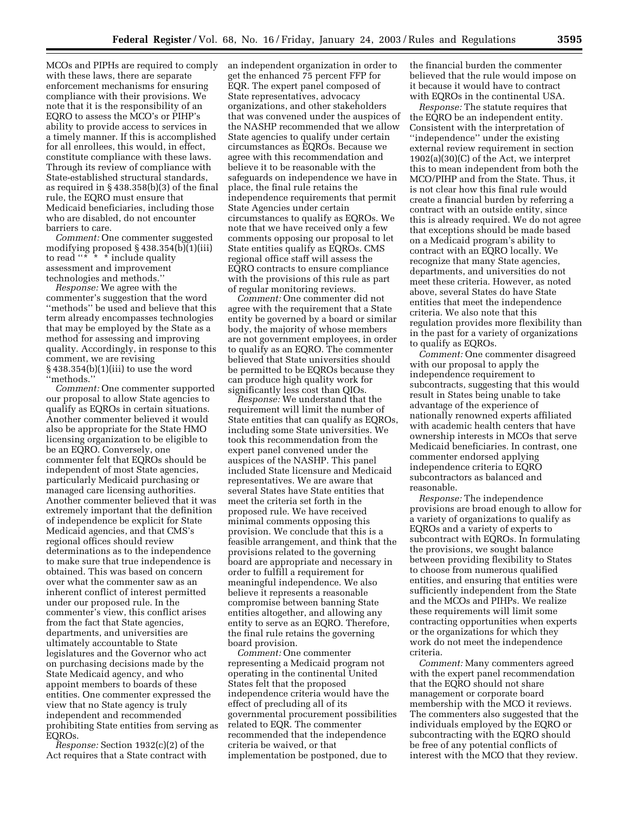MCOs and PIPHs are required to comply with these laws, there are separate enforcement mechanisms for ensuring compliance with their provisions. We note that it is the responsibility of an EQRO to assess the MCO's or PIHP's ability to provide access to services in a timely manner. If this is accomplished for all enrollees, this would, in effect, constitute compliance with these laws. Through its review of compliance with State-established structural standards, as required in § 438.358(b)(3) of the final rule, the EQRO must ensure that Medicaid beneficiaries, including those who are disabled, do not encounter barriers to care.

*Comment:* One commenter suggested modifying proposed § 438.354(b)(1)(iii) to read " $\overline{\cdot}$ "  $\overline{\cdot}$  include quality assessment and improvement technologies and methods.''

*Response:* We agree with the commenter's suggestion that the word ''methods'' be used and believe that this term already encompasses technologies that may be employed by the State as a method for assessing and improving quality. Accordingly, in response to this comment, we are revising § 438.354(b)(1)(iii) to use the word ''methods.''

*Comment:* One commenter supported our proposal to allow State agencies to qualify as EQROs in certain situations. Another commenter believed it would also be appropriate for the State HMO licensing organization to be eligible to be an EQRO. Conversely, one commenter felt that EQROs should be independent of most State agencies, particularly Medicaid purchasing or managed care licensing authorities. Another commenter believed that it was extremely important that the definition of independence be explicit for State Medicaid agencies, and that CMS's regional offices should review determinations as to the independence to make sure that true independence is obtained. This was based on concern over what the commenter saw as an inherent conflict of interest permitted under our proposed rule. In the commenter's view, this conflict arises from the fact that State agencies, departments, and universities are ultimately accountable to State legislatures and the Governor who act on purchasing decisions made by the State Medicaid agency, and who appoint members to boards of these entities. One commenter expressed the view that no State agency is truly independent and recommended prohibiting State entities from serving as EQROs.

*Response:* Section 1932(c)(2) of the Act requires that a State contract with an independent organization in order to get the enhanced 75 percent FFP for EQR. The expert panel composed of State representatives, advocacy organizations, and other stakeholders that was convened under the auspices of the NASHP recommended that we allow State agencies to qualify under certain circumstances as EQROs. Because we agree with this recommendation and believe it to be reasonable with the safeguards on independence we have in place, the final rule retains the independence requirements that permit State Agencies under certain circumstances to qualify as EQROs. We note that we have received only a few comments opposing our proposal to let State entities qualify as EQROs. CMS regional office staff will assess the EQRO contracts to ensure compliance with the provisions of this rule as part of regular monitoring reviews.

*Comment:* One commenter did not agree with the requirement that a State entity be governed by a board or similar body, the majority of whose members are not government employees, in order to qualify as an EQRO. The commenter believed that State universities should be permitted to be EQROs because they can produce high quality work for significantly less cost than QIOs.

*Response:* We understand that the requirement will limit the number of State entities that can qualify as EQROs, including some State universities. We took this recommendation from the expert panel convened under the auspices of the NASHP. This panel included State licensure and Medicaid representatives. We are aware that several States have State entities that meet the criteria set forth in the proposed rule. We have received minimal comments opposing this provision. We conclude that this is a feasible arrangement, and think that the provisions related to the governing board are appropriate and necessary in order to fulfill a requirement for meaningful independence. We also believe it represents a reasonable compromise between banning State entities altogether, and allowing any entity to serve as an EQRO. Therefore, the final rule retains the governing board provision.

*Comment:* One commenter representing a Medicaid program not operating in the continental United States felt that the proposed independence criteria would have the effect of precluding all of its governmental procurement possibilities related to EQR. The commenter recommended that the independence criteria be waived, or that implementation be postponed, due to

the financial burden the commenter believed that the rule would impose on it because it would have to contract with EQROs in the continental USA.

*Response:* The statute requires that the EQRO be an independent entity. Consistent with the interpretation of ''independence'' under the existing external review requirement in section 1902(a)(30)(C) of the Act, we interpret this to mean independent from both the MCO/PIHP and from the State. Thus, it is not clear how this final rule would create a financial burden by referring a contract with an outside entity, since this is already required. We do not agree that exceptions should be made based on a Medicaid program's ability to contract with an EQRO locally. We recognize that many State agencies, departments, and universities do not meet these criteria. However, as noted above, several States do have State entities that meet the independence criteria. We also note that this regulation provides more flexibility than in the past for a variety of organizations to qualify as EQROs.

*Comment:* One commenter disagreed with our proposal to apply the independence requirement to subcontracts, suggesting that this would result in States being unable to take advantage of the experience of nationally renowned experts affiliated with academic health centers that have ownership interests in MCOs that serve Medicaid beneficiaries. In contrast, one commenter endorsed applying independence criteria to EQRO subcontractors as balanced and reasonable.

*Response:* The independence provisions are broad enough to allow for a variety of organizations to qualify as EQROs and a variety of experts to subcontract with EQROs. In formulating the provisions, we sought balance between providing flexibility to States to choose from numerous qualified entities, and ensuring that entities were sufficiently independent from the State and the MCOs and PIHPs. We realize these requirements will limit some contracting opportunities when experts or the organizations for which they work do not meet the independence criteria.

*Comment:* Many commenters agreed with the expert panel recommendation that the EQRO should not share management or corporate board membership with the MCO it reviews. The commenters also suggested that the individuals employed by the EQRO or subcontracting with the EQRO should be free of any potential conflicts of interest with the MCO that they review.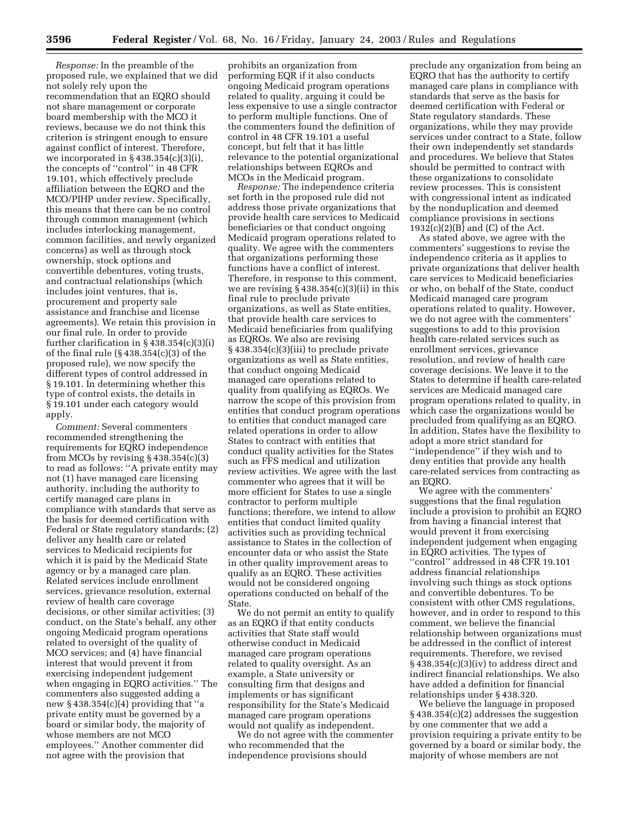*Response:* In the preamble of the proposed rule, we explained that we did not solely rely upon the recommendation that an EQRO should not share management or corporate board membership with the MCO it reviews, because we do not think this criterion is stringent enough to ensure against conflict of interest. Therefore, we incorporated in  $\S 438.354(c)(3)(i)$ , the concepts of ''control'' in 48 CFR 19.101, which effectively preclude affiliation between the EQRO and the MCO/PIHP under review. Specifically, this means that there can be no control through common management (which includes interlocking management, common facilities, and newly organized concerns) as well as through stock ownership, stock options and convertible debentures, voting trusts, and contractual relationships (which includes joint ventures, that is, procurement and property sale assistance and franchise and license agreements). We retain this provision in our final rule. In order to provide further clarification in § 438.354(c)(3)(i) of the final rule (§ 438.354(c)(3) of the proposed rule), we now specify the different types of control addressed in § 19.101. In determining whether this type of control exists, the details in § 19.101 under each category would apply.

*Comment:* Several commenters recommended strengthening the requirements for EQRO independence from MCOs by revising  $§$  438.354(c)(3) to read as follows: ''A private entity may not (1) have managed care licensing authority, including the authority to certify managed care plans in compliance with standards that serve as the basis for deemed certification with Federal or State regulatory standards; (2) deliver any health care or related services to Medicaid recipients for which it is paid by the Medicaid State agency or by a managed care plan. Related services include enrollment services, grievance resolution, external review of health care coverage decisions, or other similar activities; (3) conduct, on the State's behalf, any other ongoing Medicaid program operations related to oversight of the quality of MCO services; and (4) have financial interest that would prevent it from exercising independent judgement when engaging in EQRO activities.'' The commenters also suggested adding a new § 438.354(c)(4) providing that ''a private entity must be governed by a board or similar body, the majority of whose members are not MCO employees.'' Another commenter did not agree with the provision that

prohibits an organization from performing EQR if it also conducts ongoing Medicaid program operations related to quality, arguing it could be less expensive to use a single contractor to perform multiple functions. One of the commenters found the definition of control in 48 CFR 19.101 a useful concept, but felt that it has little relevance to the potential organizational relationships between EQROs and MCOs in the Medicaid program.

*Response:* The independence criteria set forth in the proposed rule did not address those private organizations that provide health care services to Medicaid beneficiaries or that conduct ongoing Medicaid program operations related to quality. We agree with the commenters that organizations performing these functions have a conflict of interest. Therefore, in response to this comment, we are revising  $\S 438.354(c)(3)(ii)$  in this final rule to preclude private organizations, as well as State entities, that provide health care services to Medicaid beneficiaries from qualifying as EQROs. We also are revising § 438.354(c)(3)(iii) to preclude private organizations as well as State entities, that conduct ongoing Medicaid managed care operations related to quality from qualifying as EQROs. We narrow the scope of this provision from entities that conduct program operations to entities that conduct managed care related operations in order to allow States to contract with entities that conduct quality activities for the States such as FFS medical and utilization review activities. We agree with the last commenter who agrees that it will be more efficient for States to use a single contractor to perform multiple functions; therefore, we intend to allow entities that conduct limited quality activities such as providing technical assistance to States in the collection of encounter data or who assist the State in other quality improvement areas to qualify as an EQRO. These activities would not be considered ongoing operations conducted on behalf of the State.

We do not permit an entity to qualify as an EQRO if that entity conducts activities that State staff would otherwise conduct in Medicaid managed care program operations related to quality oversight. As an example, a State university or consulting firm that designs and implements or has significant responsibility for the State's Medicaid managed care program operations would not qualify as independent.

We do not agree with the commenter who recommended that the independence provisions should

preclude any organization from being an EQRO that has the authority to certify managed care plans in compliance with standards that serve as the basis for deemed certification with Federal or State regulatory standards. These organizations, while they may provide services under contract to a State, follow their own independently set standards and procedures. We believe that States should be permitted to contract with these organizations to consolidate review processes. This is consistent with congressional intent as indicated by the nonduplication and deemed compliance provisions in sections 1932(c)(2)(B) and (C) of the Act.

As stated above, we agree with the commenters' suggestions to revise the independence criteria as it applies to private organizations that deliver health care services to Medicaid beneficiaries or who, on behalf of the State, conduct Medicaid managed care program operations related to quality. However, we do not agree with the commenters' suggestions to add to this provision health care-related services such as enrollment services, grievance resolution, and review of health care coverage decisions. We leave it to the States to determine if health care-related services are Medicaid managed care program operations related to quality, in which case the organizations would be precluded from qualifying as an EQRO. In addition, States have the flexibility to adopt a more strict standard for ''independence'' if they wish and to deny entities that provide any health care-related services from contracting as an EQRO.

We agree with the commenters' suggestions that the final regulation include a provision to prohibit an EQRO from having a financial interest that would prevent it from exercising independent judgement when engaging in EQRO activities. The types of ''control'' addressed in 48 CFR 19.101 address financial relationships involving such things as stock options and convertible debentures. To be consistent with other CMS regulations, however, and in order to respond to this comment, we believe the financial relationship between organizations must be addressed in the conflict of interest requirements. Therefore, we revised § 438.354(c)(3)(iv) to address direct and indirect financial relationships. We also have added a definition for financial relationships under § 438.320.

We believe the language in proposed § 438.354(c)(2) addresses the suggestion by one commenter that we add a provision requiring a private entity to be governed by a board or similar body, the majority of whose members are not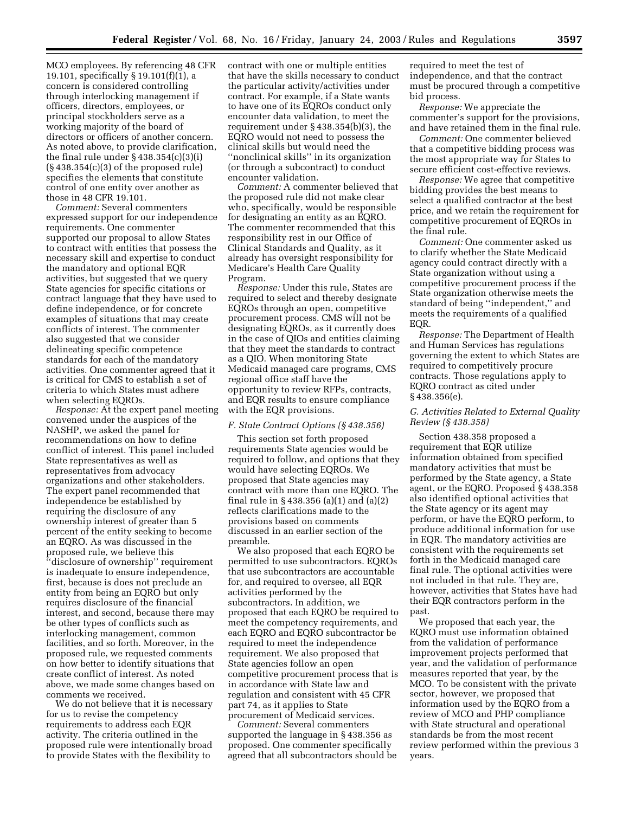MCO employees. By referencing 48 CFR 19.101, specifically § 19.101(f)(1), a concern is considered controlling through interlocking management if officers, directors, employees, or principal stockholders serve as a working majority of the board of directors or officers of another concern. As noted above, to provide clarification, the final rule under  $\S$  438.354(c)(3)(i)  $(\S 438.354(c)(3)$  of the proposed rule) specifies the elements that constitute control of one entity over another as those in 48 CFR 19.101.

*Comment:* Several commenters expressed support for our independence requirements. One commenter supported our proposal to allow States to contract with entities that possess the necessary skill and expertise to conduct the mandatory and optional EQR activities, but suggested that we query State agencies for specific citations or contract language that they have used to define independence, or for concrete examples of situations that may create conflicts of interest. The commenter also suggested that we consider delineating specific competence standards for each of the mandatory activities. One commenter agreed that it is critical for CMS to establish a set of criteria to which States must adhere when selecting EQROs.

*Response:* At the expert panel meeting convened under the auspices of the NASHP, we asked the panel for recommendations on how to define conflict of interest. This panel included State representatives as well as representatives from advocacy organizations and other stakeholders. The expert panel recommended that independence be established by requiring the disclosure of any ownership interest of greater than 5 percent of the entity seeking to become an EQRO. As was discussed in the proposed rule, we believe this ''disclosure of ownership'' requirement is inadequate to ensure independence, first, because is does not preclude an entity from being an EQRO but only requires disclosure of the financial interest, and second, because there may be other types of conflicts such as interlocking management, common facilities, and so forth. Moreover, in the proposed rule, we requested comments on how better to identify situations that create conflict of interest. As noted above, we made some changes based on comments we received.

We do not believe that it is necessary for us to revise the competency requirements to address each EQR activity. The criteria outlined in the proposed rule were intentionally broad to provide States with the flexibility to

contract with one or multiple entities that have the skills necessary to conduct the particular activity/activities under contract. For example, if a State wants to have one of its EQROs conduct only encounter data validation, to meet the requirement under § 438.354(b)(3), the EQRO would not need to possess the clinical skills but would need the ''nonclinical skills'' in its organization (or through a subcontract) to conduct encounter validation.

*Comment:* A commenter believed that the proposed rule did not make clear who, specifically, would be responsible for designating an entity as an EQRO. The commenter recommended that this responsibility rest in our Office of Clinical Standards and Quality, as it already has oversight responsibility for Medicare's Health Care Quality Program.

*Response:* Under this rule, States are required to select and thereby designate EQROs through an open, competitive procurement process. CMS will not be designating EQROs, as it currently does in the case of QIOs and entities claiming that they meet the standards to contract as a QIO. When monitoring State Medicaid managed care programs, CMS regional office staff have the opportunity to review RFPs, contracts, and EQR results to ensure compliance with the EQR provisions.

#### *F. State Contract Options (§ 438.356)*

This section set forth proposed requirements State agencies would be required to follow, and options that they would have selecting EQROs. We proposed that State agencies may contract with more than one EQRO. The final rule in § 438.356 (a)(1) and (a)(2) reflects clarifications made to the provisions based on comments discussed in an earlier section of the preamble.

We also proposed that each EQRO be permitted to use subcontractors. EQROs that use subcontractors are accountable for, and required to oversee, all EQR activities performed by the subcontractors. In addition, we proposed that each EQRO be required to meet the competency requirements, and each EQRO and EQRO subcontractor be required to meet the independence requirement. We also proposed that State agencies follow an open competitive procurement process that is in accordance with State law and regulation and consistent with 45 CFR part 74, as it applies to State procurement of Medicaid services.

*Comment:* Several commenters supported the language in § 438.356 as proposed. One commenter specifically agreed that all subcontractors should be

required to meet the test of independence, and that the contract must be procured through a competitive bid process.

*Response:* We appreciate the commenter's support for the provisions, and have retained them in the final rule.

*Comment:* One commenter believed that a competitive bidding process was the most appropriate way for States to secure efficient cost-effective reviews.

*Response:* We agree that competitive bidding provides the best means to select a qualified contractor at the best price, and we retain the requirement for competitive procurement of EQROs in the final rule.

*Comment:* One commenter asked us to clarify whether the State Medicaid agency could contract directly with a State organization without using a competitive procurement process if the State organization otherwise meets the standard of being ''independent,'' and meets the requirements of a qualified EQR.

*Response:* The Department of Health and Human Services has regulations governing the extent to which States are required to competitively procure contracts. Those regulations apply to EQRO contract as cited under § 438.356(e).

#### *G. Activities Related to External Quality Review (§ 438.358)*

Section 438.358 proposed a requirement that EQR utilize information obtained from specified mandatory activities that must be performed by the State agency, a State agent, or the EQRO. Proposed § 438.358 also identified optional activities that the State agency or its agent may perform, or have the EQRO perform, to produce additional information for use in EQR. The mandatory activities are consistent with the requirements set forth in the Medicaid managed care final rule. The optional activities were not included in that rule. They are, however, activities that States have had their EQR contractors perform in the past.

We proposed that each year, the EQRO must use information obtained from the validation of performance improvement projects performed that year, and the validation of performance measures reported that year, by the MCO. To be consistent with the private sector, however, we proposed that information used by the EQRO from a review of MCO and PHP compliance with State structural and operational standards be from the most recent review performed within the previous 3 years.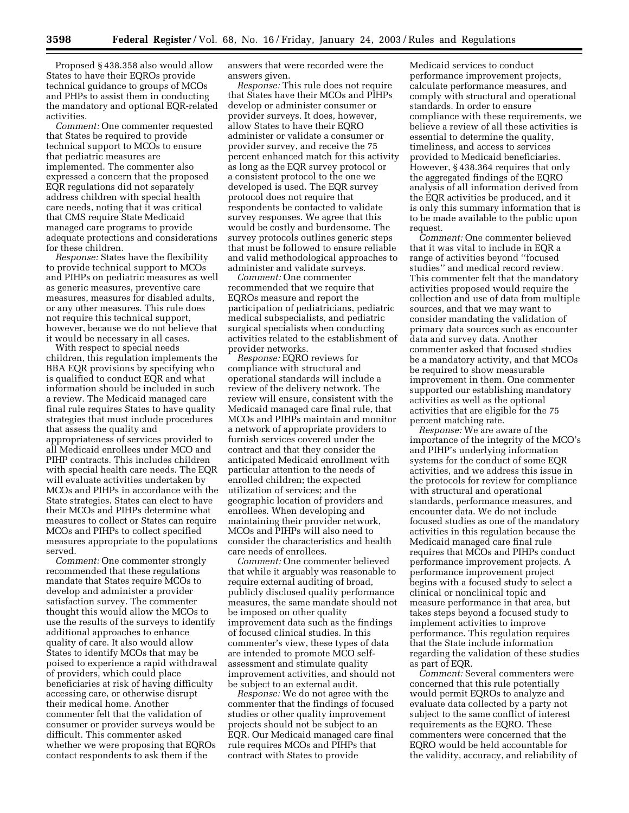Proposed § 438.358 also would allow States to have their EQROs provide technical guidance to groups of MCOs and PHPs to assist them in conducting the mandatory and optional EQR-related activities.

*Comment:* One commenter requested that States be required to provide technical support to MCOs to ensure that pediatric measures are implemented. The commenter also expressed a concern that the proposed EQR regulations did not separately address children with special health care needs, noting that it was critical that CMS require State Medicaid managed care programs to provide adequate protections and considerations for these children.

*Response:* States have the flexibility to provide technical support to MCOs and PIHPs on pediatric measures as well as generic measures, preventive care measures, measures for disabled adults, or any other measures. This rule does not require this technical support, however, because we do not believe that it would be necessary in all cases.

With respect to special needs children, this regulation implements the BBA EQR provisions by specifying who is qualified to conduct EQR and what information should be included in such a review. The Medicaid managed care final rule requires States to have quality strategies that must include procedures that assess the quality and appropriateness of services provided to all Medicaid enrollees under MCO and PIHP contracts. This includes children with special health care needs. The EQR will evaluate activities undertaken by MCOs and PIHPs in accordance with the State strategies. States can elect to have their MCOs and PIHPs determine what measures to collect or States can require MCOs and PIHPs to collect specified measures appropriate to the populations served.

*Comment:* One commenter strongly recommended that these regulations mandate that States require MCOs to develop and administer a provider satisfaction survey. The commenter thought this would allow the MCOs to use the results of the surveys to identify additional approaches to enhance quality of care. It also would allow States to identify MCOs that may be poised to experience a rapid withdrawal of providers, which could place beneficiaries at risk of having difficulty accessing care, or otherwise disrupt their medical home. Another commenter felt that the validation of consumer or provider surveys would be difficult. This commenter asked whether we were proposing that EQROs contact respondents to ask them if the

answers that were recorded were the answers given.

*Response:* This rule does not require that States have their MCOs and PIHPs develop or administer consumer or provider surveys. It does, however, allow States to have their EQRO administer or validate a consumer or provider survey, and receive the 75 percent enhanced match for this activity as long as the EQR survey protocol or a consistent protocol to the one we developed is used. The EQR survey protocol does not require that respondents be contacted to validate survey responses. We agree that this would be costly and burdensome. The survey protocols outlines generic steps that must be followed to ensure reliable and valid methodological approaches to administer and validate surveys.

*Comment:* One commenter recommended that we require that EQROs measure and report the participation of pediatricians, pediatric medical subspecialists, and pediatric surgical specialists when conducting activities related to the establishment of provider networks.

*Response:* EQRO reviews for compliance with structural and operational standards will include a review of the delivery network. The review will ensure, consistent with the Medicaid managed care final rule, that MCOs and PIHPs maintain and monitor a network of appropriate providers to furnish services covered under the contract and that they consider the anticipated Medicaid enrollment with particular attention to the needs of enrolled children; the expected utilization of services; and the geographic location of providers and enrollees. When developing and maintaining their provider network, MCOs and PIHPs will also need to consider the characteristics and health care needs of enrollees.

*Comment:* One commenter believed that while it arguably was reasonable to require external auditing of broad, publicly disclosed quality performance measures, the same mandate should not be imposed on other quality improvement data such as the findings of focused clinical studies. In this commenter's view, these types of data are intended to promote MCO selfassessment and stimulate quality improvement activities, and should not be subject to an external audit.

*Response:* We do not agree with the commenter that the findings of focused studies or other quality improvement projects should not be subject to an EQR. Our Medicaid managed care final rule requires MCOs and PIHPs that contract with States to provide

Medicaid services to conduct performance improvement projects, calculate performance measures, and comply with structural and operational standards. In order to ensure compliance with these requirements, we believe a review of all these activities is essential to determine the quality, timeliness, and access to services provided to Medicaid beneficiaries. However, § 438.364 requires that only the aggregated findings of the EQRO analysis of all information derived from the EQR activities be produced, and it is only this summary information that is to be made available to the public upon request.

*Comment:* One commenter believed that it was vital to include in EQR a range of activities beyond ''focused studies'' and medical record review. This commenter felt that the mandatory activities proposed would require the collection and use of data from multiple sources, and that we may want to consider mandating the validation of primary data sources such as encounter data and survey data. Another commenter asked that focused studies be a mandatory activity, and that MCOs be required to show measurable improvement in them. One commenter supported our establishing mandatory activities as well as the optional activities that are eligible for the 75 percent matching rate.

*Response:* We are aware of the importance of the integrity of the MCO's and PIHP's underlying information systems for the conduct of some EQR activities, and we address this issue in the protocols for review for compliance with structural and operational standards, performance measures, and encounter data. We do not include focused studies as one of the mandatory activities in this regulation because the Medicaid managed care final rule requires that MCOs and PIHPs conduct performance improvement projects. A performance improvement project begins with a focused study to select a clinical or nonclinical topic and measure performance in that area, but takes steps beyond a focused study to implement activities to improve performance. This regulation requires that the State include information regarding the validation of these studies as part of EQR.

*Comment:* Several commenters were concerned that this rule potentially would permit EQROs to analyze and evaluate data collected by a party not subject to the same conflict of interest requirements as the EQRO. These commenters were concerned that the EQRO would be held accountable for the validity, accuracy, and reliability of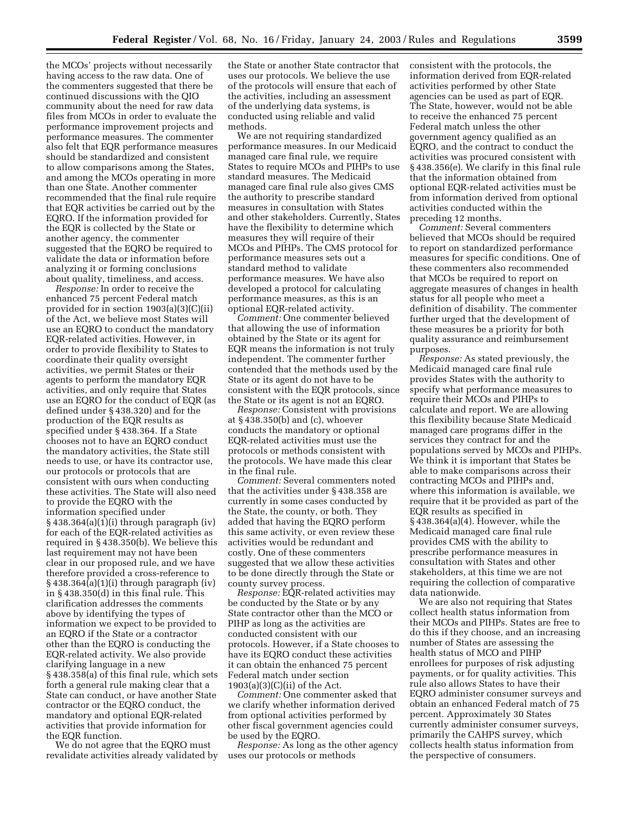the MCOs' projects without necessarily having access to the raw data. One of the commenters suggested that there be continued discussions with the QIO community about the need for raw data files from MCOs in order to evaluate the performance improvement projects and performance measures. The commenter also felt that EQR performance measures should be standardized and consistent to allow comparisons among the States, and among the MCOs operating in more than one State. Another commenter recommended that the final rule require that EQR activities be carried out by the EQRO. If the information provided for the EQR is collected by the State or another agency, the commenter suggested that the EQRO be required to validate the data or information before analyzing it or forming conclusions about quality, timeliness, and access.

*Response:* In order to receive the enhanced 75 percent Federal match provided for in section 1903(a)(3)(C)(ii) of the Act, we believe most States will use an EQRO to conduct the mandatory EQR-related activities. However, in order to provide flexibility to States to coordinate their quality oversight activities, we permit States or their agents to perform the mandatory EQR activities, and only require that States use an EQRO for the conduct of EQR (as defined under § 438.320) and for the production of the EQR results as specified under § 438.364. If a State chooses not to have an EQRO conduct the mandatory activities, the State still needs to use, or have its contractor use, our protocols or protocols that are consistent with ours when conducting these activities. The State will also need to provide the EQRO with the information specified under § 438.364(a)(1)(i) through paragraph (iv) for each of the EQR-related activities as required in § 438.350(b). We believe this last requirement may not have been clear in our proposed rule, and we have therefore provided a cross-reference to § 438.364(a)(1)(i) through paragraph (iv) in § 438.350(d) in this final rule. This clarification addresses the comments above by identifying the types of information we expect to be provided to an EQRO if the State or a contractor other than the EQRO is conducting the EQR-related activity. We also provide clarifying language in a new § 438.358(a) of this final rule, which sets forth a general rule making clear that a State can conduct, or have another State contractor or the EQRO conduct, the mandatory and optional EQR-related activities that provide information for the EQR function.

We do not agree that the EQRO must revalidate activities already validated by the State or another State contractor that uses our protocols. We believe the use of the protocols will ensure that each of the activities, including an assessment of the underlying data systems, is conducted using reliable and valid methods.

We are not requiring standardized performance measures. In our Medicaid managed care final rule, we require States to require MCOs and PIHPs to use standard measures. The Medicaid managed care final rule also gives CMS the authority to prescribe standard measures in consultation with States and other stakeholders. Currently, States have the flexibility to determine which measures they will require of their MCOs and PIHPs. The CMS protocol for performance measures sets out a standard method to validate performance measures. We have also developed a protocol for calculating performance measures, as this is an optional EQR-related activity.

*Comment:* One commenter believed that allowing the use of information obtained by the State or its agent for EQR means the information is not truly independent. The commenter further contended that the methods used by the State or its agent do not have to be consistent with the EQR protocols, since the State or its agent is not an EQRO.

*Response:* Consistent with provisions at § 438.350(b) and (c), whoever conducts the mandatory or optional EQR-related activities must use the protocols or methods consistent with the protocols. We have made this clear in the final rule.

*Comment:* Several commenters noted that the activities under § 438.358 are currently in some cases conducted by the State, the county, or both. They added that having the EQRO perform this same activity, or even review these activities would be redundant and costly. One of these commenters suggested that we allow these activities to be done directly through the State or county survey process.

*Response:* EQR-related activities may be conducted by the State or by any State contractor other than the MCO or PIHP as long as the activities are conducted consistent with our protocols. However, if a State chooses to have its EQRO conduct these activities it can obtain the enhanced 75 percent Federal match under section  $1903(a)(3)(C)(ii)$  of the Act.

*Comment:* One commenter asked that we clarify whether information derived from optional activities performed by other fiscal government agencies could be used by the EQRO.

*Response:* As long as the other agency uses our protocols or methods

consistent with the protocols, the information derived from EQR-related activities performed by other State agencies can be used as part of EQR. The State, however, would not be able to receive the enhanced 75 percent Federal match unless the other government agency qualified as an EQRO, and the contract to conduct the activities was procured consistent with § 438.356(e). We clarify in this final rule that the information obtained from optional EQR-related activities must be from information derived from optional activities conducted within the preceding 12 months.

*Comment:* Several commenters believed that MCOs should be required to report on standardized performance measures for specific conditions. One of these commenters also recommended that MCOs be required to report on aggregate measures of changes in health status for all people who meet a definition of disability. The commenter further urged that the development of these measures be a priority for both quality assurance and reimbursement purposes.

*Response:* As stated previously, the Medicaid managed care final rule provides States with the authority to specify what performance measures to require their MCOs and PIHPs to calculate and report. We are allowing this flexibility because State Medicaid managed care programs differ in the services they contract for and the populations served by MCOs and PIHPs. We think it is important that States be able to make comparisons across their contracting MCOs and PIHPs and, where this information is available, we require that it be provided as part of the EQR results as specified in § 438.364(a)(4). However, while the Medicaid managed care final rule provides CMS with the ability to prescribe performance measures in consultation with States and other stakeholders, at this time we are not requiring the collection of comparative data nationwide.

We are also not requiring that States collect health status information from their MCOs and PIHPs. States are free to do this if they choose, and an increasing number of States are assessing the health status of MCO and PIHP enrollees for purposes of risk adjusting payments, or for quality activities. This rule also allows States to have their EQRO administer consumer surveys and obtain an enhanced Federal match of 75 percent. Approximately 30 States currently administer consumer surveys, primarily the CAHPS survey, which collects health status information from the perspective of consumers.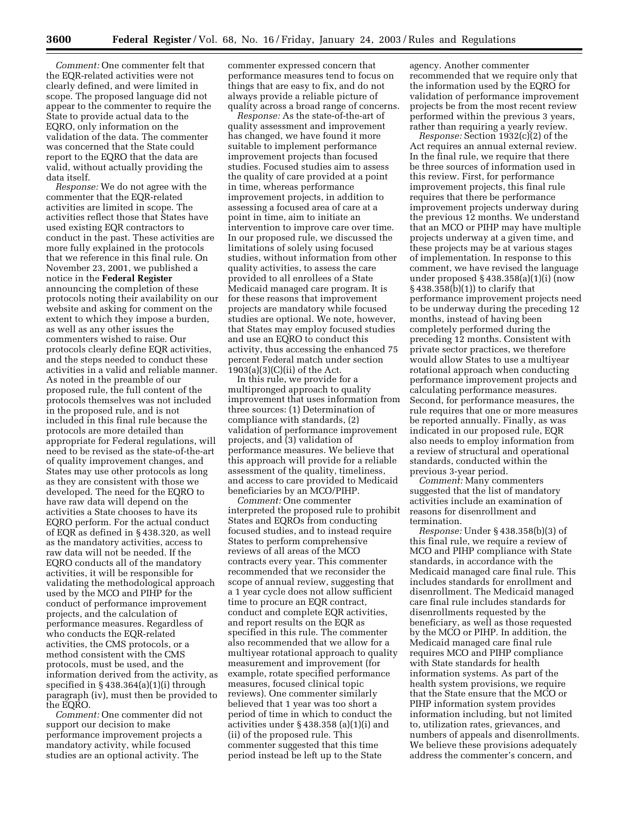*Comment:* One commenter felt that the EQR-related activities were not clearly defined, and were limited in scope. The proposed language did not appear to the commenter to require the State to provide actual data to the EQRO, only information on the validation of the data. The commenter was concerned that the State could report to the EQRO that the data are valid, without actually providing the data itself.

*Response:* We do not agree with the commenter that the EQR-related activities are limited in scope. The activities reflect those that States have used existing EQR contractors to conduct in the past. These activities are more fully explained in the protocols that we reference in this final rule. On November 23, 2001, we published a notice in the **Federal Register** announcing the completion of these protocols noting their availability on our website and asking for comment on the extent to which they impose a burden, as well as any other issues the commenters wished to raise. Our protocols clearly define EQR activities, and the steps needed to conduct these activities in a valid and reliable manner. As noted in the preamble of our proposed rule, the full content of the protocols themselves was not included in the proposed rule, and is not included in this final rule because the protocols are more detailed than appropriate for Federal regulations, will need to be revised as the state-of-the-art of quality improvement changes, and States may use other protocols as long as they are consistent with those we developed. The need for the EQRO to have raw data will depend on the activities a State chooses to have its EQRO perform. For the actual conduct of EQR as defined in § 438.320, as well as the mandatory activities, access to raw data will not be needed. If the EQRO conducts all of the mandatory activities, it will be responsible for validating the methodological approach used by the MCO and PIHP for the conduct of performance improvement projects, and the calculation of performance measures. Regardless of who conducts the EQR-related activities, the CMS protocols, or a method consistent with the CMS protocols, must be used, and the information derived from the activity, as specified in § 438.364(a)(1)(i) through paragraph (iv), must then be provided to the EQRO.

*Comment:* One commenter did not support our decision to make performance improvement projects a mandatory activity, while focused studies are an optional activity. The

commenter expressed concern that performance measures tend to focus on things that are easy to fix, and do not always provide a reliable picture of quality across a broad range of concerns.

*Response:* As the state-of-the-art of quality assessment and improvement has changed, we have found it more suitable to implement performance improvement projects than focused studies. Focused studies aim to assess the quality of care provided at a point in time, whereas performance improvement projects, in addition to assessing a focused area of care at a point in time, aim to initiate an intervention to improve care over time. In our proposed rule, we discussed the limitations of solely using focused studies, without information from other quality activities, to assess the care provided to all enrollees of a State Medicaid managed care program. It is for these reasons that improvement projects are mandatory while focused studies are optional. We note, however, that States may employ focused studies and use an EQRO to conduct this activity, thus accessing the enhanced 75 percent Federal match under section 1903(a)(3)(C)(ii) of the Act.

In this rule, we provide for a multipronged approach to quality improvement that uses information from three sources: (1) Determination of compliance with standards, (2) validation of performance improvement projects, and (3) validation of performance measures. We believe that this approach will provide for a reliable assessment of the quality, timeliness, and access to care provided to Medicaid beneficiaries by an MCO/PIHP.

*Comment:* One commenter interpreted the proposed rule to prohibit States and EQROs from conducting focused studies, and to instead require States to perform comprehensive reviews of all areas of the MCO contracts every year. This commenter recommended that we reconsider the scope of annual review, suggesting that a 1 year cycle does not allow sufficient time to procure an EQR contract, conduct and complete EQR activities, and report results on the EQR as specified in this rule. The commenter also recommended that we allow for a multiyear rotational approach to quality measurement and improvement (for example, rotate specified performance measures, focused clinical topic reviews). One commenter similarly believed that 1 year was too short a period of time in which to conduct the activities under § 438.358 (a)(1)(i) and (ii) of the proposed rule. This commenter suggested that this time period instead be left up to the State

agency. Another commenter recommended that we require only that the information used by the EQRO for validation of performance improvement projects be from the most recent review performed within the previous 3 years, rather than requiring a yearly review.

*Response:* Section 1932(c)(2) of the Act requires an annual external review. In the final rule, we require that there be three sources of information used in this review. First, for performance improvement projects, this final rule requires that there be performance improvement projects underway during the previous 12 months. We understand that an MCO or PIHP may have multiple projects underway at a given time, and these projects may be at various stages of implementation. In response to this comment, we have revised the language under proposed  $\S 438.358(a)(1)(i)$  (now § 438.358(b)(1)) to clarify that performance improvement projects need to be underway during the preceding 12 months, instead of having been completely performed during the preceding 12 months. Consistent with private sector practices, we therefore would allow States to use a multiyear rotational approach when conducting performance improvement projects and calculating performance measures. Second, for performance measures, the rule requires that one or more measures be reported annually. Finally, as was indicated in our proposed rule, EQR also needs to employ information from a review of structural and operational standards, conducted within the previous 3-year period.

*Comment:* Many commenters suggested that the list of mandatory activities include an examination of reasons for disenrollment and termination.

*Response:* Under § 438.358(b)(3) of this final rule, we require a review of MCO and PIHP compliance with State standards, in accordance with the Medicaid managed care final rule. This includes standards for enrollment and disenrollment. The Medicaid managed care final rule includes standards for disenrollments requested by the beneficiary, as well as those requested by the MCO or PIHP. In addition, the Medicaid managed care final rule requires MCO and PIHP compliance with State standards for health information systems. As part of the health system provisions, we require that the State ensure that the MCO or PIHP information system provides information including, but not limited to, utilization rates, grievances, and numbers of appeals and disenrollments. We believe these provisions adequately address the commenter's concern, and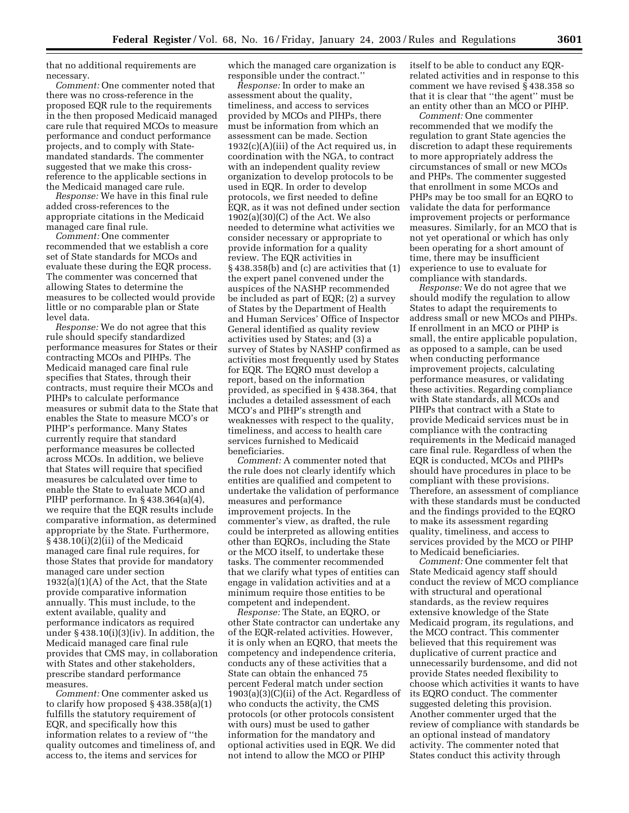that no additional requirements are necessary.

*Comment:* One commenter noted that there was no cross-reference in the proposed EQR rule to the requirements in the then proposed Medicaid managed care rule that required MCOs to measure performance and conduct performance projects, and to comply with Statemandated standards. The commenter suggested that we make this crossreference to the applicable sections in the Medicaid managed care rule.

*Response:* We have in this final rule added cross-references to the appropriate citations in the Medicaid managed care final rule.

*Comment:* One commenter recommended that we establish a core set of State standards for MCOs and evaluate these during the EQR process. The commenter was concerned that allowing States to determine the measures to be collected would provide little or no comparable plan or State level data.

*Response:* We do not agree that this rule should specify standardized performance measures for States or their contracting MCOs and PIHPs. The Medicaid managed care final rule specifies that States, through their contracts, must require their MCOs and PIHPs to calculate performance measures or submit data to the State that enables the State to measure MCO's or PIHP's performance. Many States currently require that standard performance measures be collected across MCOs. In addition, we believe that States will require that specified measures be calculated over time to enable the State to evaluate MCO and PIHP performance. In § 438.364(a)(4), we require that the EQR results include comparative information, as determined appropriate by the State. Furthermore, § 438.10(i)(2)(ii) of the Medicaid managed care final rule requires, for those States that provide for mandatory managed care under section 1932(a)(1)(A) of the Act, that the State provide comparative information annually. This must include, to the extent available, quality and performance indicators as required under § 438.10(i)(3)(iv). In addition, the Medicaid managed care final rule provides that CMS may, in collaboration with States and other stakeholders, prescribe standard performance measures.

*Comment:* One commenter asked us to clarify how proposed § 438.358(a)(1) fulfills the statutory requirement of EQR, and specifically how this information relates to a review of ''the quality outcomes and timeliness of, and access to, the items and services for

which the managed care organization is responsible under the contract.''

*Response:* In order to make an assessment about the quality, timeliness, and access to services provided by MCOs and PIHPs, there must be information from which an assessment can be made. Section  $1932(c)(A)(iii)$  of the Act required us, in coordination with the NGA, to contract with an independent quality review organization to develop protocols to be used in EQR. In order to develop protocols, we first needed to define EQR, as it was not defined under section 1902(a)(30)(C) of the Act. We also needed to determine what activities we consider necessary or appropriate to provide information for a quality review. The EQR activities in § 438.358(b) and (c) are activities that (1) the expert panel convened under the auspices of the NASHP recommended be included as part of EQR; (2) a survey of States by the Department of Health and Human Services' Office of Inspector General identified as quality review activities used by States; and (3) a survey of States by NASHP confirmed as activities most frequently used by States for EQR. The EQRO must develop a report, based on the information provided, as specified in § 438.364, that includes a detailed assessment of each MCO's and PIHP's strength and weaknesses with respect to the quality, timeliness, and access to health care services furnished to Medicaid beneficiaries.

*Comment:* A commenter noted that the rule does not clearly identify which entities are qualified and competent to undertake the validation of performance measures and performance improvement projects. In the commenter's view, as drafted, the rule could be interpreted as allowing entities other than EQROs, including the State or the MCO itself, to undertake these tasks. The commenter recommended that we clarify what types of entities can engage in validation activities and at a minimum require those entities to be competent and independent.

*Response:* The State, an EQRO, or other State contractor can undertake any of the EQR-related activities. However, it is only when an EQRO, that meets the competency and independence criteria, conducts any of these activities that a State can obtain the enhanced 75 percent Federal match under section  $1903(a)(3)(C)(ii)$  of the Act. Regardless of who conducts the activity, the CMS protocols (or other protocols consistent with ours) must be used to gather information for the mandatory and optional activities used in EQR. We did not intend to allow the MCO or PIHP

itself to be able to conduct any EQRrelated activities and in response to this comment we have revised § 438.358 so that it is clear that ''the agent'' must be an entity other than an MCO or PIHP.

*Comment:* One commenter recommended that we modify the regulation to grant State agencies the discretion to adapt these requirements to more appropriately address the circumstances of small or new MCOs and PHPs. The commenter suggested that enrollment in some MCOs and PHPs may be too small for an EQRO to validate the data for performance improvement projects or performance measures. Similarly, for an MCO that is not yet operational or which has only been operating for a short amount of time, there may be insufficient experience to use to evaluate for compliance with standards.

*Response:* We do not agree that we should modify the regulation to allow States to adapt the requirements to address small or new MCOs and PIHPs. If enrollment in an MCO or PIHP is small, the entire applicable population, as opposed to a sample, can be used when conducting performance improvement projects, calculating performance measures, or validating these activities. Regarding compliance with State standards, all MCOs and PIHPs that contract with a State to provide Medicaid services must be in compliance with the contracting requirements in the Medicaid managed care final rule. Regardless of when the EQR is conducted, MCOs and PIHPs should have procedures in place to be compliant with these provisions. Therefore, an assessment of compliance with these standards must be conducted and the findings provided to the EQRO to make its assessment regarding quality, timeliness, and access to services provided by the MCO or PIHP to Medicaid beneficiaries.

*Comment:* One commenter felt that State Medicaid agency staff should conduct the review of MCO compliance with structural and operational standards, as the review requires extensive knowledge of the State Medicaid program, its regulations, and the MCO contract. This commenter believed that this requirement was duplicative of current practice and unnecessarily burdensome, and did not provide States needed flexibility to choose which activities it wants to have its EQRO conduct. The commenter suggested deleting this provision. Another commenter urged that the review of compliance with standards be an optional instead of mandatory activity. The commenter noted that States conduct this activity through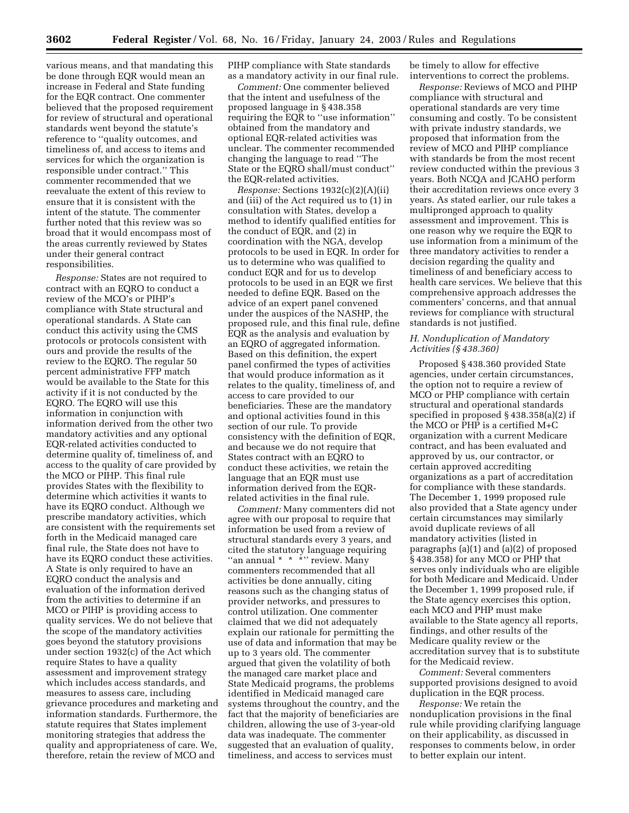various means, and that mandating this be done through EQR would mean an increase in Federal and State funding for the EQR contract. One commenter believed that the proposed requirement for review of structural and operational standards went beyond the statute's reference to ''quality outcomes, and timeliness of, and access to items and services for which the organization is responsible under contract.'' This commenter recommended that we reevaluate the extent of this review to ensure that it is consistent with the intent of the statute. The commenter further noted that this review was so broad that it would encompass most of the areas currently reviewed by States under their general contract responsibilities.

*Response:* States are not required to contract with an EQRO to conduct a review of the MCO's or PIHP's compliance with State structural and operational standards. A State can conduct this activity using the CMS protocols or protocols consistent with ours and provide the results of the review to the EQRO. The regular 50 percent administrative FFP match would be available to the State for this activity if it is not conducted by the EQRO. The EQRO will use this information in conjunction with information derived from the other two mandatory activities and any optional EQR-related activities conducted to determine quality of, timeliness of, and access to the quality of care provided by the MCO or PIHP. This final rule provides States with the flexibility to determine which activities it wants to have its EQRO conduct. Although we prescribe mandatory activities, which are consistent with the requirements set forth in the Medicaid managed care final rule, the State does not have to have its EQRO conduct these activities. A State is only required to have an EQRO conduct the analysis and evaluation of the information derived from the activities to determine if an MCO or PIHP is providing access to quality services. We do not believe that the scope of the mandatory activities goes beyond the statutory provisions under section 1932(c) of the Act which require States to have a quality assessment and improvement strategy which includes access standards, and measures to assess care, including grievance procedures and marketing and information standards. Furthermore, the statute requires that States implement monitoring strategies that address the quality and appropriateness of care. We, therefore, retain the review of MCO and

PIHP compliance with State standards as a mandatory activity in our final rule.

*Comment:* One commenter believed that the intent and usefulness of the proposed language in § 438.358 requiring the EQR to ''use information'' obtained from the mandatory and optional EQR-related activities was unclear. The commenter recommended changing the language to read ''The State or the EQRO shall/must conduct'' the EQR-related activities.

*Response:* Sections 1932(c)(2)(A)(ii) and (iii) of the Act required us to (1) in consultation with States, develop a method to identify qualified entities for the conduct of EQR, and (2) in coordination with the NGA, develop protocols to be used in EQR. In order for us to determine who was qualified to conduct EQR and for us to develop protocols to be used in an EQR we first needed to define EQR. Based on the advice of an expert panel convened under the auspices of the NASHP, the proposed rule, and this final rule, define EQR as the analysis and evaluation by an EQRO of aggregated information. Based on this definition, the expert panel confirmed the types of activities that would produce information as it relates to the quality, timeliness of, and access to care provided to our beneficiaries. These are the mandatory and optional activities found in this section of our rule. To provide consistency with the definition of EQR, and because we do not require that States contract with an EQRO to conduct these activities, we retain the language that an EQR must use information derived from the EQRrelated activities in the final rule.

*Comment:* Many commenters did not agree with our proposal to require that information be used from a review of structural standards every 3 years, and cited the statutory language requiring ''an annual \* \* \*'' review. Many commenters recommended that all activities be done annually, citing reasons such as the changing status of provider networks, and pressures to control utilization. One commenter claimed that we did not adequately explain our rationale for permitting the use of data and information that may be up to 3 years old. The commenter argued that given the volatility of both the managed care market place and State Medicaid programs, the problems identified in Medicaid managed care systems throughout the country, and the fact that the majority of beneficiaries are children, allowing the use of 3-year-old data was inadequate. The commenter suggested that an evaluation of quality, timeliness, and access to services must

be timely to allow for effective interventions to correct the problems.

*Response:* Reviews of MCO and PIHP compliance with structural and operational standards are very time consuming and costly. To be consistent with private industry standards, we proposed that information from the review of MCO and PIHP compliance with standards be from the most recent review conducted within the previous 3 years. Both NCQA and JCAHO perform their accreditation reviews once every 3 years. As stated earlier, our rule takes a multipronged approach to quality assessment and improvement. This is one reason why we require the EQR to use information from a minimum of the three mandatory activities to render a decision regarding the quality and timeliness of and beneficiary access to health care services. We believe that this comprehensive approach addresses the commenters' concerns, and that annual reviews for compliance with structural standards is not justified.

#### *H. Nonduplication of Mandatory Activities (§ 438.360)*

Proposed § 438.360 provided State agencies, under certain circumstances, the option not to require a review of MCO or PHP compliance with certain structural and operational standards specified in proposed § 438.358(a)(2) if the MCO or PHP is a certified M+C organization with a current Medicare contract, and has been evaluated and approved by us, our contractor, or certain approved accrediting organizations as a part of accreditation for compliance with these standards. The December 1, 1999 proposed rule also provided that a State agency under certain circumstances may similarly avoid duplicate reviews of all mandatory activities (listed in paragraphs (a)(1) and (a)(2) of proposed § 438.358) for any MCO or PHP that serves only individuals who are eligible for both Medicare and Medicaid. Under the December 1, 1999 proposed rule, if the State agency exercises this option, each MCO and PHP must make available to the State agency all reports, findings, and other results of the Medicare quality review or the accreditation survey that is to substitute for the Medicaid review.

*Comment:* Several commenters supported provisions designed to avoid duplication in the EQR process.

*Response:* We retain the nonduplication provisions in the final rule while providing clarifying language on their applicability, as discussed in responses to comments below, in order to better explain our intent.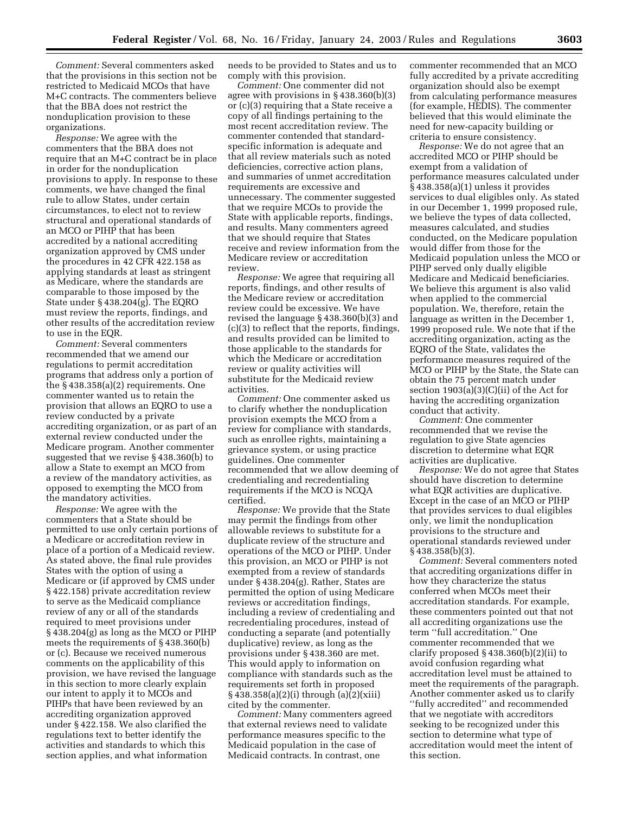*Comment:* Several commenters asked that the provisions in this section not be restricted to Medicaid MCOs that have M+C contracts. The commenters believe that the BBA does not restrict the nonduplication provision to these organizations.

*Response:* We agree with the commenters that the BBA does not require that an M+C contract be in place in order for the nonduplication provisions to apply. In response to these comments, we have changed the final rule to allow States, under certain circumstances, to elect not to review structural and operational standards of an MCO or PIHP that has been accredited by a national accrediting organization approved by CMS under the procedures in 42 CFR 422.158 as applying standards at least as stringent as Medicare, where the standards are comparable to those imposed by the State under § 438.204(g). The EQRO must review the reports, findings, and other results of the accreditation review to use in the EQR.

*Comment:* Several commenters recommended that we amend our regulations to permit accreditation programs that address only a portion of the § 438.358(a)(2) requirements. One commenter wanted us to retain the provision that allows an EQRO to use a review conducted by a private accrediting organization, or as part of an external review conducted under the Medicare program. Another commenter suggested that we revise § 438.360(b) to allow a State to exempt an MCO from a review of the mandatory activities, as opposed to exempting the MCO from the mandatory activities.

*Response:* We agree with the commenters that a State should be permitted to use only certain portions of a Medicare or accreditation review in place of a portion of a Medicaid review. As stated above, the final rule provides States with the option of using a Medicare or (if approved by CMS under § 422.158) private accreditation review to serve as the Medicaid compliance review of any or all of the standards required to meet provisions under § 438.204(g) as long as the MCO or PIHP meets the requirements of § 438.360(b) or (c). Because we received numerous comments on the applicability of this provision, we have revised the language in this section to more clearly explain our intent to apply it to MCOs and PIHPs that have been reviewed by an accrediting organization approved under § 422.158. We also clarified the regulations text to better identify the activities and standards to which this section applies, and what information

needs to be provided to States and us to comply with this provision.

*Comment:* One commenter did not agree with provisions in § 438.360(b)(3) or (c)(3) requiring that a State receive a copy of all findings pertaining to the most recent accreditation review. The commenter contended that standardspecific information is adequate and that all review materials such as noted deficiencies, corrective action plans, and summaries of unmet accreditation requirements are excessive and unnecessary. The commenter suggested that we require MCOs to provide the State with applicable reports, findings, and results. Many commenters agreed that we should require that States receive and review information from the Medicare review or accreditation review.

*Response:* We agree that requiring all reports, findings, and other results of the Medicare review or accreditation review could be excessive. We have revised the language § 438.360(b)(3) and (c)(3) to reflect that the reports, findings, and results provided can be limited to those applicable to the standards for which the Medicare or accreditation review or quality activities will substitute for the Medicaid review activities.

*Comment:* One commenter asked us to clarify whether the nonduplication provision exempts the MCO from a review for compliance with standards, such as enrollee rights, maintaining a grievance system, or using practice guidelines. One commenter recommended that we allow deeming of credentialing and recredentialing requirements if the MCO is NCQA certified.

*Response:* We provide that the State may permit the findings from other allowable reviews to substitute for a duplicate review of the structure and operations of the MCO or PIHP. Under this provision, an MCO or PIHP is not exempted from a review of standards under § 438.204(g). Rather, States are permitted the option of using Medicare reviews or accreditation findings, including a review of credentialing and recredentialing procedures, instead of conducting a separate (and potentially duplicative) review, as long as the provisions under § 438.360 are met. This would apply to information on compliance with standards such as the requirements set forth in proposed § 438.358(a)(2)(i) through (a)(2)(xiii) cited by the commenter.

*Comment:* Many commenters agreed that external reviews need to validate performance measures specific to the Medicaid population in the case of Medicaid contracts. In contrast, one

commenter recommended that an MCO fully accredited by a private accrediting organization should also be exempt from calculating performance measures (for example, HEDIS). The commenter believed that this would eliminate the need for new-capacity building or criteria to ensure consistency.

*Response:* We do not agree that an accredited MCO or PIHP should be exempt from a validation of performance measures calculated under § 438.358(a)(1) unless it provides services to dual eligibles only. As stated in our December 1, 1999 proposed rule, we believe the types of data collected, measures calculated, and studies conducted, on the Medicare population would differ from those for the Medicaid population unless the MCO or PIHP served only dually eligible Medicare and Medicaid beneficiaries. We believe this argument is also valid when applied to the commercial population. We, therefore, retain the language as written in the December 1, 1999 proposed rule. We note that if the accrediting organization, acting as the EQRO of the State, validates the performance measures required of the MCO or PIHP by the State, the State can obtain the 75 percent match under section 1903(a)(3)(C)(ii) of the Act for having the accrediting organization conduct that activity.

*Comment:* One commenter recommended that we revise the regulation to give State agencies discretion to determine what EQR activities are duplicative.

*Response:* We do not agree that States should have discretion to determine what EQR activities are duplicative. Except in the case of an MCO or PIHP that provides services to dual eligibles only, we limit the nonduplication provisions to the structure and operational standards reviewed under § 438.358(b)(3).

*Comment:* Several commenters noted that accrediting organizations differ in how they characterize the status conferred when MCOs meet their accreditation standards. For example, these commenters pointed out that not all accrediting organizations use the term ''full accreditation.'' One commenter recommended that we clarify proposed  $\S$  438.360(b)(2)(ii) to avoid confusion regarding what accreditation level must be attained to meet the requirements of the paragraph. Another commenter asked us to clarify ''fully accredited'' and recommended that we negotiate with accreditors seeking to be recognized under this section to determine what type of accreditation would meet the intent of this section.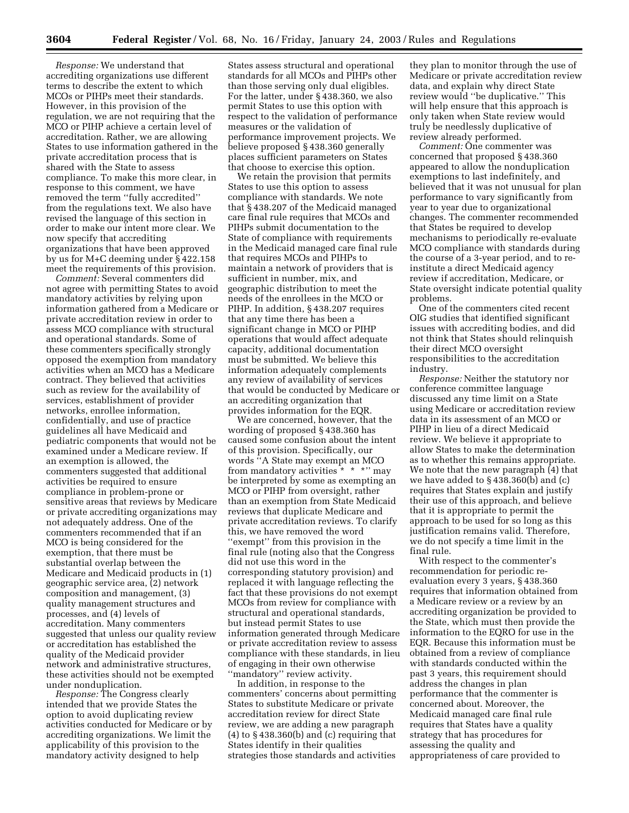*Response:* We understand that accrediting organizations use different terms to describe the extent to which MCOs or PIHPs meet their standards. However, in this provision of the regulation, we are not requiring that the MCO or PIHP achieve a certain level of accreditation. Rather, we are allowing States to use information gathered in the private accreditation process that is shared with the State to assess compliance. To make this more clear, in response to this comment, we have removed the term ''fully accredited'' from the regulations text. We also have revised the language of this section in order to make our intent more clear. We now specify that accrediting organizations that have been approved by us for M+C deeming under § 422.158 meet the requirements of this provision.

*Comment:* Several commenters did not agree with permitting States to avoid mandatory activities by relying upon information gathered from a Medicare or private accreditation review in order to assess MCO compliance with structural and operational standards. Some of these commenters specifically strongly opposed the exemption from mandatory activities when an MCO has a Medicare contract. They believed that activities such as review for the availability of services, establishment of provider networks, enrollee information, confidentially, and use of practice guidelines all have Medicaid and pediatric components that would not be examined under a Medicare review. If an exemption is allowed, the commenters suggested that additional activities be required to ensure compliance in problem-prone or sensitive areas that reviews by Medicare or private accrediting organizations may not adequately address. One of the commenters recommended that if an MCO is being considered for the exemption, that there must be substantial overlap between the Medicare and Medicaid products in (1) geographic service area, (2) network composition and management, (3) quality management structures and processes, and (4) levels of accreditation. Many commenters suggested that unless our quality review or accreditation has established the quality of the Medicaid provider network and administrative structures, these activities should not be exempted under nonduplication.

*Response:* The Congress clearly intended that we provide States the option to avoid duplicating review activities conducted for Medicare or by accrediting organizations. We limit the applicability of this provision to the mandatory activity designed to help

States assess structural and operational standards for all MCOs and PIHPs other than those serving only dual eligibles. For the latter, under § 438.360, we also permit States to use this option with respect to the validation of performance measures or the validation of performance improvement projects. We believe proposed § 438.360 generally places sufficient parameters on States that choose to exercise this option.

We retain the provision that permits States to use this option to assess compliance with standards. We note that § 438.207 of the Medicaid managed care final rule requires that MCOs and PIHPs submit documentation to the State of compliance with requirements in the Medicaid managed care final rule that requires MCOs and PIHPs to maintain a network of providers that is sufficient in number, mix, and geographic distribution to meet the needs of the enrollees in the MCO or PIHP. In addition, § 438.207 requires that any time there has been a significant change in MCO or PIHP operations that would affect adequate capacity, additional documentation must be submitted. We believe this information adequately complements any review of availability of services that would be conducted by Medicare or an accrediting organization that provides information for the EQR.

We are concerned, however, that the wording of proposed § 438.360 has caused some confusion about the intent of this provision. Specifically, our words ''A State may exempt an MCO from mandatory activities \* \* \* \* " mav be interpreted by some as exempting an MCO or PIHP from oversight, rather than an exemption from State Medicaid reviews that duplicate Medicare and private accreditation reviews. To clarify this, we have removed the word ''exempt'' from this provision in the final rule (noting also that the Congress did not use this word in the corresponding statutory provision) and replaced it with language reflecting the fact that these provisions do not exempt MCOs from review for compliance with structural and operational standards, but instead permit States to use information generated through Medicare or private accreditation review to assess compliance with these standards, in lieu of engaging in their own otherwise ''mandatory'' review activity.

In addition, in response to the commenters' concerns about permitting States to substitute Medicare or private accreditation review for direct State review, we are adding a new paragraph  $(4)$  to  $\S$  438.360(b) and (c) requiring that States identify in their qualities strategies those standards and activities

they plan to monitor through the use of Medicare or private accreditation review data, and explain why direct State review would ''be duplicative.'' This will help ensure that this approach is only taken when State review would truly be needlessly duplicative of review already performed.

*Comment:* One commenter was concerned that proposed § 438.360 appeared to allow the nonduplication exemptions to last indefinitely, and believed that it was not unusual for plan performance to vary significantly from year to year due to organizational changes. The commenter recommended that States be required to develop mechanisms to periodically re-evaluate MCO compliance with standards during the course of a 3-year period, and to reinstitute a direct Medicaid agency review if accreditation, Medicare, or State oversight indicate potential quality problems.

One of the commenters cited recent OIG studies that identified significant issues with accrediting bodies, and did not think that States should relinquish their direct MCO oversight responsibilities to the accreditation industry.

*Response:* Neither the statutory nor conference committee language discussed any time limit on a State using Medicare or accreditation review data in its assessment of an MCO or PIHP in lieu of a direct Medicaid review. We believe it appropriate to allow States to make the determination as to whether this remains appropriate. We note that the new paragraph (4) that we have added to § 438.360(b) and (c) requires that States explain and justify their use of this approach, and believe that it is appropriate to permit the approach to be used for so long as this justification remains valid. Therefore, we do not specify a time limit in the final rule.

With respect to the commenter's recommendation for periodic reevaluation every 3 years, § 438.360 requires that information obtained from a Medicare review or a review by an accrediting organization be provided to the State, which must then provide the information to the EQRO for use in the EQR. Because this information must be obtained from a review of compliance with standards conducted within the past 3 years, this requirement should address the changes in plan performance that the commenter is concerned about. Moreover, the Medicaid managed care final rule requires that States have a quality strategy that has procedures for assessing the quality and appropriateness of care provided to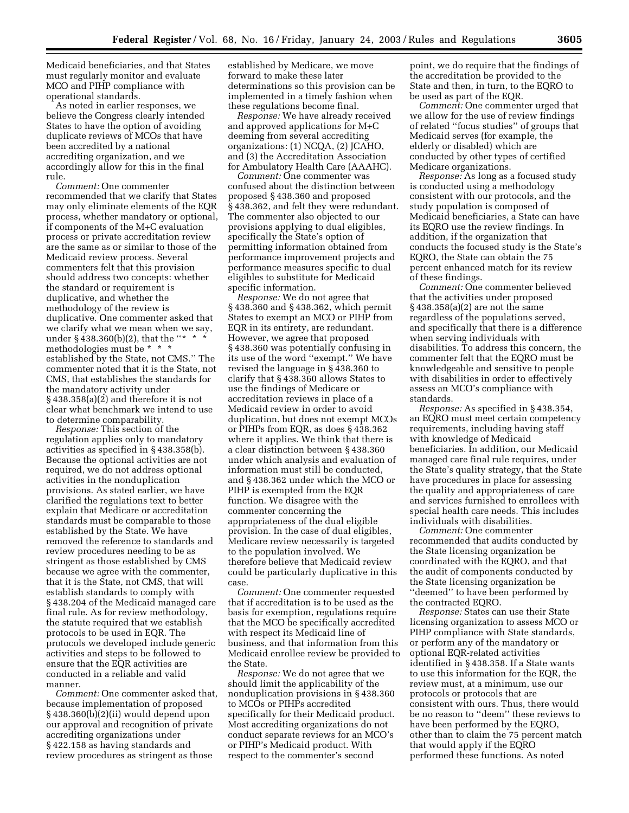Medicaid beneficiaries, and that States must regularly monitor and evaluate MCO and PIHP compliance with operational standards.

As noted in earlier responses, we believe the Congress clearly intended States to have the option of avoiding duplicate reviews of MCOs that have been accredited by a national accrediting organization, and we accordingly allow for this in the final rule.

*Comment:* One commenter recommended that we clarify that States may only eliminate elements of the EQR process, whether mandatory or optional, if components of the M+C evaluation process or private accreditation review are the same as or similar to those of the Medicaid review process. Several commenters felt that this provision should address two concepts: whether the standard or requirement is duplicative, and whether the methodology of the review is duplicative. One commenter asked that we clarify what we mean when we say, under §438.360(b)(2), that the "\* methodologies must be \* \* \* established by the State, not CMS.'' The commenter noted that it is the State, not CMS, that establishes the standards for the mandatory activity under § 438.358(a)(2) and therefore it is not clear what benchmark we intend to use to determine comparability.

*Response:* This section of the regulation applies only to mandatory activities as specified in § 438.358(b). Because the optional activities are not required, we do not address optional activities in the nonduplication provisions. As stated earlier, we have clarified the regulations text to better explain that Medicare or accreditation standards must be comparable to those established by the State. We have removed the reference to standards and review procedures needing to be as stringent as those established by CMS because we agree with the commenter, that it is the State, not CMS, that will establish standards to comply with § 438.204 of the Medicaid managed care final rule. As for review methodology, the statute required that we establish protocols to be used in EQR. The protocols we developed include generic activities and steps to be followed to ensure that the EQR activities are conducted in a reliable and valid manner.

*Comment:* One commenter asked that, because implementation of proposed § 438.360(b)(2)(ii) would depend upon our approval and recognition of private accrediting organizations under § 422.158 as having standards and review procedures as stringent as those

established by Medicare, we move forward to make these later determinations so this provision can be implemented in a timely fashion when these regulations become final.

*Response:* We have already received and approved applications for M+C deeming from several accrediting organizations: (1) NCQA, (2) JCAHO, and (3) the Accreditation Association for Ambulatory Health Care (AAAHC).

*Comment:* One commenter was confused about the distinction between proposed § 438.360 and proposed § 438.362, and felt they were redundant. The commenter also objected to our provisions applying to dual eligibles, specifically the State's option of permitting information obtained from performance improvement projects and performance measures specific to dual eligibles to substitute for Medicaid specific information.

*Response:* We do not agree that § 438.360 and § 438.362, which permit States to exempt an MCO or PIHP from EQR in its entirety, are redundant. However, we agree that proposed § 438.360 was potentially confusing in its use of the word ''exempt.'' We have revised the language in § 438.360 to clarify that § 438.360 allows States to use the findings of Medicare or accreditation reviews in place of a Medicaid review in order to avoid duplication, but does not exempt MCOs or PIHPs from EQR, as does § 438.362 where it applies. We think that there is a clear distinction between § 438.360 under which analysis and evaluation of information must still be conducted, and § 438.362 under which the MCO or PIHP is exempted from the EQR function. We disagree with the commenter concerning the appropriateness of the dual eligible provision. In the case of dual eligibles, Medicare review necessarily is targeted to the population involved. We therefore believe that Medicaid review could be particularly duplicative in this case.

*Comment:* One commenter requested that if accreditation is to be used as the basis for exemption, regulations require that the MCO be specifically accredited with respect its Medicaid line of business, and that information from this Medicaid enrollee review be provided to the State.

*Response:* We do not agree that we should limit the applicability of the nonduplication provisions in § 438.360 to MCOs or PIHPs accredited specifically for their Medicaid product. Most accrediting organizations do not conduct separate reviews for an MCO's or PIHP's Medicaid product. With respect to the commenter's second

point, we do require that the findings of the accreditation be provided to the State and then, in turn, to the EQRO to be used as part of the EQR.

*Comment:* One commenter urged that we allow for the use of review findings of related ''focus studies'' of groups that Medicaid serves (for example, the elderly or disabled) which are conducted by other types of certified Medicare organizations.

*Response:* As long as a focused study is conducted using a methodology consistent with our protocols, and the study population is composed of Medicaid beneficiaries, a State can have its EQRO use the review findings. In addition, if the organization that conducts the focused study is the State's EQRO, the State can obtain the 75 percent enhanced match for its review of these findings.

*Comment:* One commenter believed that the activities under proposed § 438.358(a)(2) are not the same regardless of the populations served, and specifically that there is a difference when serving individuals with disabilities. To address this concern, the commenter felt that the EQRO must be knowledgeable and sensitive to people with disabilities in order to effectively assess an MCO's compliance with standards.

*Response:* As specified in § 438.354, an EQRO must meet certain competency requirements, including having staff with knowledge of Medicaid beneficiaries. In addition, our Medicaid managed care final rule requires, under the State's quality strategy, that the State have procedures in place for assessing the quality and appropriateness of care and services furnished to enrollees with special health care needs. This includes individuals with disabilities.

*Comment:* One commenter recommended that audits conducted by the State licensing organization be coordinated with the EQRO, and that the audit of components conducted by the State licensing organization be ''deemed'' to have been performed by the contracted EQRO.

*Response:* States can use their State licensing organization to assess MCO or PIHP compliance with State standards, or perform any of the mandatory or optional EQR-related activities identified in § 438.358. If a State wants to use this information for the EQR, the review must, at a minimum, use our protocols or protocols that are consistent with ours. Thus, there would be no reason to ''deem'' these reviews to have been performed by the EQRO, other than to claim the 75 percent match that would apply if the EQRO performed these functions. As noted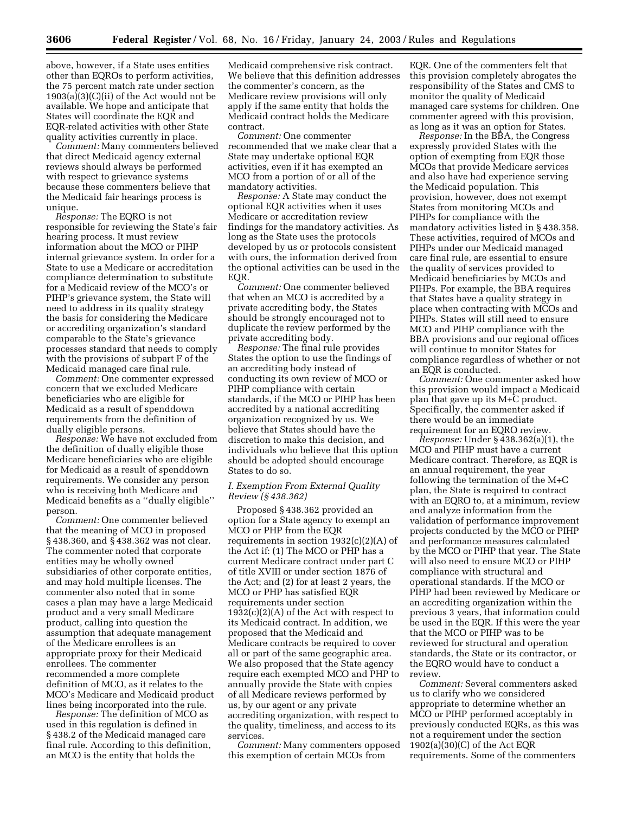above, however, if a State uses entities other than EQROs to perform activities, the 75 percent match rate under section 1903(a)(3)(C)(ii) of the Act would not be available. We hope and anticipate that States will coordinate the EQR and EQR-related activities with other State quality activities currently in place.

*Comment:* Many commenters believed that direct Medicaid agency external reviews should always be performed with respect to grievance systems because these commenters believe that the Medicaid fair hearings process is unique.

*Response:* The EQRO is not responsible for reviewing the State's fair hearing process. It must review information about the MCO or PIHP internal grievance system. In order for a State to use a Medicare or accreditation compliance determination to substitute for a Medicaid review of the MCO's or PIHP's grievance system, the State will need to address in its quality strategy the basis for considering the Medicare or accrediting organization's standard comparable to the State's grievance processes standard that needs to comply with the provisions of subpart F of the Medicaid managed care final rule.

*Comment:* One commenter expressed concern that we excluded Medicare beneficiaries who are eligible for Medicaid as a result of spenddown requirements from the definition of dually eligible persons.

*Response:* We have not excluded from the definition of dually eligible those Medicare beneficiaries who are eligible for Medicaid as a result of spenddown requirements. We consider any person who is receiving both Medicare and Medicaid benefits as a ''dually eligible'' person.

*Comment:* One commenter believed that the meaning of MCO in proposed § 438.360, and § 438.362 was not clear. The commenter noted that corporate entities may be wholly owned subsidiaries of other corporate entities, and may hold multiple licenses. The commenter also noted that in some cases a plan may have a large Medicaid product and a very small Medicare product, calling into question the assumption that adequate management of the Medicare enrollees is an appropriate proxy for their Medicaid enrollees. The commenter recommended a more complete definition of MCO, as it relates to the MCO's Medicare and Medicaid product lines being incorporated into the rule.

*Response:* The definition of MCO as used in this regulation is defined in § 438.2 of the Medicaid managed care final rule. According to this definition, an MCO is the entity that holds the

Medicaid comprehensive risk contract. We believe that this definition addresses the commenter's concern, as the Medicare review provisions will only apply if the same entity that holds the Medicaid contract holds the Medicare contract.

*Comment:* One commenter recommended that we make clear that a State may undertake optional EQR activities, even if it has exempted an MCO from a portion of or all of the mandatory activities.

*Response:* A State may conduct the optional EQR activities when it uses Medicare or accreditation review findings for the mandatory activities. As long as the State uses the protocols developed by us or protocols consistent with ours, the information derived from the optional activities can be used in the EQR.

*Comment:* One commenter believed that when an MCO is accredited by a private accrediting body, the States should be strongly encouraged not to duplicate the review performed by the private accrediting body.

*Response:* The final rule provides States the option to use the findings of an accrediting body instead of conducting its own review of MCO or PIHP compliance with certain standards, if the MCO or PIHP has been accredited by a national accrediting organization recognized by us. We believe that States should have the discretion to make this decision, and individuals who believe that this option should be adopted should encourage States to do so.

#### *I. Exemption From External Quality Review (§ 438.362)*

Proposed § 438.362 provided an option for a State agency to exempt an MCO or PHP from the EQR requirements in section  $1932(c)(2)(A)$  of the Act if: (1) The MCO or PHP has a current Medicare contract under part C of title XVIII or under section 1876 of the Act; and (2) for at least 2 years, the MCO or PHP has satisfied EQR requirements under section  $1932(c)(2)(A)$  of the Act with respect to its Medicaid contract. In addition, we proposed that the Medicaid and Medicare contracts be required to cover all or part of the same geographic area. We also proposed that the State agency require each exempted MCO and PHP to annually provide the State with copies of all Medicare reviews performed by us, by our agent or any private accrediting organization, with respect to the quality, timeliness, and access to its services.

*Comment:* Many commenters opposed this exemption of certain MCOs from

EQR. One of the commenters felt that this provision completely abrogates the responsibility of the States and CMS to monitor the quality of Medicaid managed care systems for children. One commenter agreed with this provision, as long as it was an option for States.

*Response:* In the BBA, the Congress expressly provided States with the option of exempting from EQR those MCOs that provide Medicare services and also have had experience serving the Medicaid population. This provision, however, does not exempt States from monitoring MCOs and PIHPs for compliance with the mandatory activities listed in § 438.358. These activities, required of MCOs and PIHPs under our Medicaid managed care final rule, are essential to ensure the quality of services provided to Medicaid beneficiaries by MCOs and PIHPs. For example, the BBA requires that States have a quality strategy in place when contracting with MCOs and PIHPs. States will still need to ensure MCO and PIHP compliance with the BBA provisions and our regional offices will continue to monitor States for compliance regardless of whether or not an EQR is conducted.

*Comment:* One commenter asked how this provision would impact a Medicaid plan that gave up its M+C product. Specifically, the commenter asked if there would be an immediate requirement for an EQRO review.

*Response:* Under § 438.362(a)(1), the MCO and PIHP must have a current Medicare contract. Therefore, as EQR is an annual requirement, the year following the termination of the M+C plan, the State is required to contract with an EQRO to, at a minimum, review and analyze information from the validation of performance improvement projects conducted by the MCO or PIHP and performance measures calculated by the MCO or PIHP that year. The State will also need to ensure MCO or PIHP compliance with structural and operational standards. If the MCO or PIHP had been reviewed by Medicare or an accrediting organization within the previous 3 years, that information could be used in the EQR. If this were the year that the MCO or PIHP was to be reviewed for structural and operation standards, the State or its contractor, or the EQRO would have to conduct a review.

*Comment:* Several commenters asked us to clarify who we considered appropriate to determine whether an MCO or PIHP performed acceptably in previously conducted EQRs, as this was not a requirement under the section 1902(a)(30)(C) of the Act EQR requirements. Some of the commenters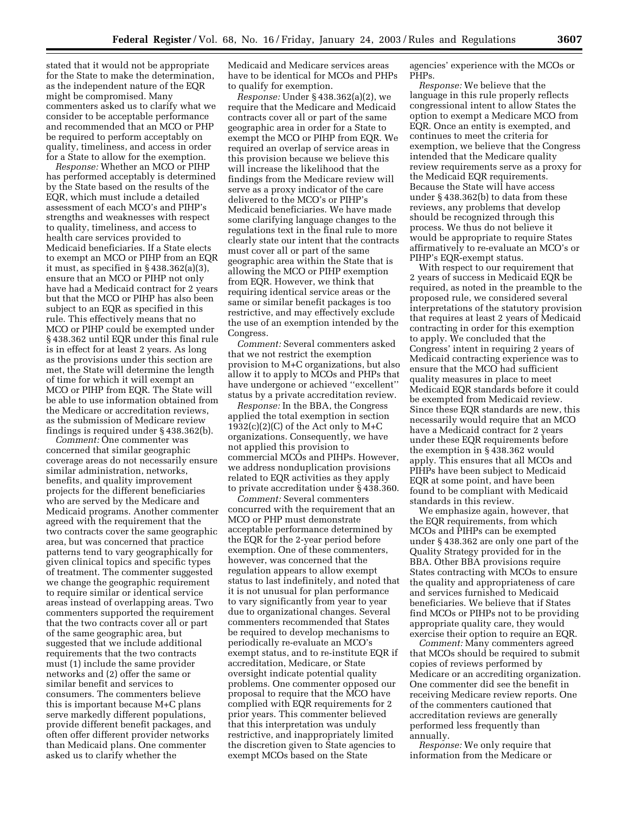stated that it would not be appropriate for the State to make the determination, as the independent nature of the EQR might be compromised. Many commenters asked us to clarify what we consider to be acceptable performance and recommended that an MCO or PHP be required to perform acceptably on quality, timeliness, and access in order for a State to allow for the exemption.

*Response:* Whether an MCO or PIHP has performed acceptably is determined by the State based on the results of the EQR, which must include a detailed assessment of each MCO's and PIHP's strengths and weaknesses with respect to quality, timeliness, and access to health care services provided to Medicaid beneficiaries. If a State elects to exempt an MCO or PIHP from an EQR it must, as specified in § 438.362(a)(3), ensure that an MCO or PIHP not only have had a Medicaid contract for 2 years but that the MCO or PIHP has also been subject to an EQR as specified in this rule. This effectively means that no MCO or PIHP could be exempted under § 438.362 until EQR under this final rule is in effect for at least 2 years. As long as the provisions under this section are met, the State will determine the length of time for which it will exempt an MCO or PIHP from EQR. The State will be able to use information obtained from the Medicare or accreditation reviews, as the submission of Medicare review findings is required under § 438.362(b).

*Comment:* One commenter was concerned that similar geographic coverage areas do not necessarily ensure similar administration, networks, benefits, and quality improvement projects for the different beneficiaries who are served by the Medicare and Medicaid programs. Another commenter agreed with the requirement that the two contracts cover the same geographic area, but was concerned that practice patterns tend to vary geographically for given clinical topics and specific types of treatment. The commenter suggested we change the geographic requirement to require similar or identical service areas instead of overlapping areas. Two commenters supported the requirement that the two contracts cover all or part of the same geographic area, but suggested that we include additional requirements that the two contracts must (1) include the same provider networks and (2) offer the same or similar benefit and services to consumers. The commenters believe this is important because M+C plans serve markedly different populations, provide different benefit packages, and often offer different provider networks than Medicaid plans. One commenter asked us to clarify whether the

Medicaid and Medicare services areas have to be identical for MCOs and PHPs to qualify for exemption.

*Response:* Under § 438.362(a)(2), we require that the Medicare and Medicaid contracts cover all or part of the same geographic area in order for a State to exempt the MCO or PIHP from EQR. We required an overlap of service areas in this provision because we believe this will increase the likelihood that the findings from the Medicare review will serve as a proxy indicator of the care delivered to the MCO's or PIHP's Medicaid beneficiaries. We have made some clarifying language changes to the regulations text in the final rule to more clearly state our intent that the contracts must cover all or part of the same geographic area within the State that is allowing the MCO or PIHP exemption from EQR. However, we think that requiring identical service areas or the same or similar benefit packages is too restrictive, and may effectively exclude the use of an exemption intended by the Congress.

*Comment:* Several commenters asked that we not restrict the exemption provision to M+C organizations, but also allow it to apply to MCOs and PHPs that have undergone or achieved ''excellent'' status by a private accreditation review.

*Response:* In the BBA, the Congress applied the total exemption in section  $1932(c)(2)(C)$  of the Act only to M+C organizations. Consequently, we have not applied this provision to commercial MCOs and PIHPs. However, we address nonduplication provisions related to EQR activities as they apply to private accreditation under § 438.360.

*Comment:* Several commenters concurred with the requirement that an MCO or PHP must demonstrate acceptable performance determined by the EQR for the 2-year period before exemption. One of these commenters, however, was concerned that the regulation appears to allow exempt status to last indefinitely, and noted that it is not unusual for plan performance to vary significantly from year to year due to organizational changes. Several commenters recommended that States be required to develop mechanisms to periodically re-evaluate an MCO's exempt status, and to re-institute EQR if accreditation, Medicare, or State oversight indicate potential quality problems. One commenter opposed our proposal to require that the MCO have complied with EQR requirements for 2 prior years. This commenter believed that this interpretation was unduly restrictive, and inappropriately limited the discretion given to State agencies to exempt MCOs based on the State

agencies' experience with the MCOs or PHPs.

*Response:* We believe that the language in this rule properly reflects congressional intent to allow States the option to exempt a Medicare MCO from EQR. Once an entity is exempted, and continues to meet the criteria for exemption, we believe that the Congress intended that the Medicare quality review requirements serve as a proxy for the Medicaid EQR requirements. Because the State will have access under § 438.362(b) to data from these reviews, any problems that develop should be recognized through this process. We thus do not believe it would be appropriate to require States affirmatively to re-evaluate an MCO's or PIHP's EQR-exempt status.

With respect to our requirement that 2 years of success in Medicaid EQR be required, as noted in the preamble to the proposed rule, we considered several interpretations of the statutory provision that requires at least 2 years of Medicaid contracting in order for this exemption to apply. We concluded that the Congress' intent in requiring 2 years of Medicaid contracting experience was to ensure that the MCO had sufficient quality measures in place to meet Medicaid EQR standards before it could be exempted from Medicaid review. Since these EQR standards are new, this necessarily would require that an MCO have a Medicaid contract for 2 years under these EQR requirements before the exemption in § 438.362 would apply. This ensures that all MCOs and PIHPs have been subject to Medicaid EQR at some point, and have been found to be compliant with Medicaid standards in this review.

We emphasize again, however, that the EQR requirements, from which MCOs and PIHPs can be exempted under § 438.362 are only one part of the Quality Strategy provided for in the BBA. Other BBA provisions require States contracting with MCOs to ensure the quality and appropriateness of care and services furnished to Medicaid beneficiaries. We believe that if States find MCOs or PIHPs not to be providing appropriate quality care, they would exercise their option to require an EQR.

*Comment:* Many commenters agreed that MCOs should be required to submit copies of reviews performed by Medicare or an accrediting organization. One commenter did see the benefit in receiving Medicare review reports. One of the commenters cautioned that accreditation reviews are generally performed less frequently than annually.

*Response:* We only require that information from the Medicare or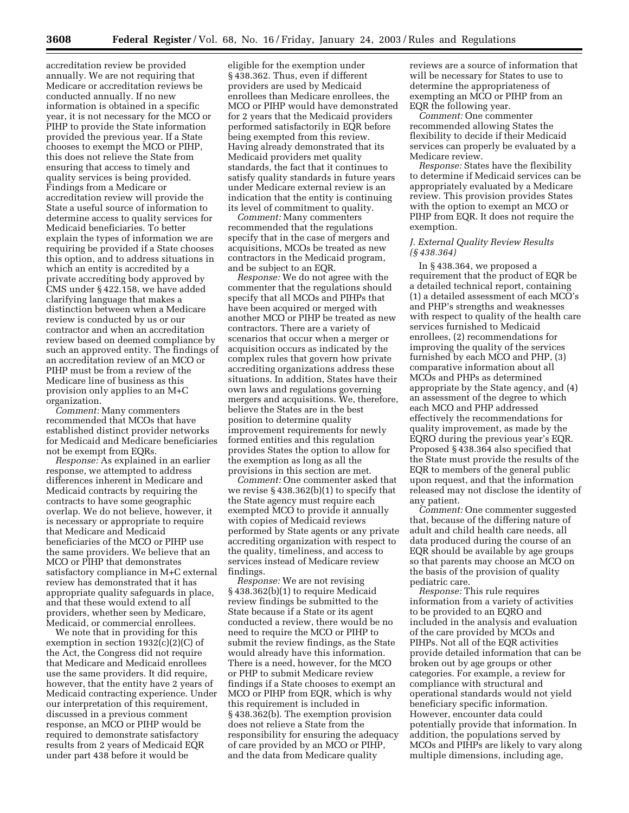accreditation review be provided annually. We are not requiring that Medicare or accreditation reviews be conducted annually. If no new information is obtained in a specific year, it is not necessary for the MCO or PIHP to provide the State information provided the previous year. If a State chooses to exempt the MCO or PIHP, this does not relieve the State from ensuring that access to timely and quality services is being provided. Findings from a Medicare or accreditation review will provide the State a useful source of information to determine access to quality services for Medicaid beneficiaries. To better explain the types of information we are requiring be provided if a State chooses this option, and to address situations in which an entity is accredited by a private accrediting body approved by CMS under § 422.158, we have added clarifying language that makes a distinction between when a Medicare review is conducted by us or our contractor and when an accreditation review based on deemed compliance by such an approved entity. The findings of an accreditation review of an MCO or PIHP must be from a review of the Medicare line of business as this provision only applies to an M+C organization.

*Comment:* Many commenters recommended that MCOs that have established distinct provider networks for Medicaid and Medicare beneficiaries not be exempt from EQRs.

*Response:* As explained in an earlier response, we attempted to address differences inherent in Medicare and Medicaid contracts by requiring the contracts to have some geographic overlap. We do not believe, however, it is necessary or appropriate to require that Medicare and Medicaid beneficiaries of the MCO or PIHP use the same providers. We believe that an MCO or PIHP that demonstrates satisfactory compliance in M+C external review has demonstrated that it has appropriate quality safeguards in place, and that these would extend to all providers, whether seen by Medicare, Medicaid, or commercial enrollees.

We note that in providing for this exemption in section  $1932(c)(2)(C)$  of the Act, the Congress did not require that Medicare and Medicaid enrollees use the same providers. It did require, however, that the entity have 2 years of Medicaid contracting experience. Under our interpretation of this requirement, discussed in a previous comment response, an MCO or PIHP would be required to demonstrate satisfactory results from 2 years of Medicaid EQR under part 438 before it would be

eligible for the exemption under § 438.362. Thus, even if different providers are used by Medicaid enrollees than Medicare enrollees, the MCO or PIHP would have demonstrated for 2 years that the Medicaid providers performed satisfactorily in EQR before being exempted from this review. Having already demonstrated that its Medicaid providers met quality standards, the fact that it continues to satisfy quality standards in future years under Medicare external review is an indication that the entity is continuing its level of commitment to quality.

*Comment:* Many commenters recommended that the regulations specify that in the case of mergers and acquisitions, MCOs be treated as new contractors in the Medicaid program, and be subject to an EQR.

*Response:* We do not agree with the commenter that the regulations should specify that all MCOs and PIHPs that have been acquired or merged with another MCO or PIHP be treated as new contractors. There are a variety of scenarios that occur when a merger or acquisition occurs as indicated by the complex rules that govern how private accrediting organizations address these situations. In addition, States have their own laws and regulations governing mergers and acquisitions. We, therefore, believe the States are in the best position to determine quality improvement requirements for newly formed entities and this regulation provides States the option to allow for the exemption as long as all the provisions in this section are met.

*Comment:* One commenter asked that we revise  $\S 438.362(b)(1)$  to specify that the State agency must require each exempted MCO to provide it annually with copies of Medicaid reviews performed by State agents or any private accrediting organization with respect to the quality, timeliness, and access to services instead of Medicare review findings.

*Response:* We are not revising § 438.362(b)(1) to require Medicaid review findings be submitted to the State because if a State or its agent conducted a review, there would be no need to require the MCO or PIHP to submit the review findings, as the State would already have this information. There is a need, however, for the MCO or PHP to submit Medicare review findings if a State chooses to exempt an MCO or PIHP from EQR, which is why this requirement is included in § 438.362(b). The exemption provision does not relieve a State from the responsibility for ensuring the adequacy of care provided by an MCO or PIHP, and the data from Medicare quality

reviews are a source of information that will be necessary for States to use to determine the appropriateness of exempting an MCO or PIHP from an EQR the following year.

*Comment:* One commenter recommended allowing States the flexibility to decide if their Medicaid services can properly be evaluated by a Medicare review.

*Response:* States have the flexibility to determine if Medicaid services can be appropriately evaluated by a Medicare review. This provision provides States with the option to exempt an MCO or PIHP from EQR. It does not require the exemption.

#### *J. External Quality Review Results (§ 438.364)*

In § 438.364, we proposed a requirement that the product of EQR be a detailed technical report, containing (1) a detailed assessment of each MCO's and PHP's strengths and weaknesses with respect to quality of the health care services furnished to Medicaid enrollees, (2) recommendations for improving the quality of the services furnished by each MCO and PHP, (3) comparative information about all MCOs and PHPs as determined appropriate by the State agency, and (4) an assessment of the degree to which each MCO and PHP addressed effectively the recommendations for quality improvement, as made by the EQRO during the previous year's EQR. Proposed § 438.364 also specified that the State must provide the results of the EQR to members of the general public upon request, and that the information released may not disclose the identity of any patient.

*Comment:* One commenter suggested that, because of the differing nature of adult and child health care needs, all data produced during the course of an EQR should be available by age groups so that parents may choose an MCO on the basis of the provision of quality pediatric care.

*Response:* This rule requires information from a variety of activities to be provided to an EQRO and included in the analysis and evaluation of the care provided by MCOs and PIHPs. Not all of the EQR activities provide detailed information that can be broken out by age groups or other categories. For example, a review for compliance with structural and operational standards would not yield beneficiary specific information. However, encounter data could potentially provide that information. In addition, the populations served by MCOs and PIHPs are likely to vary along multiple dimensions, including age,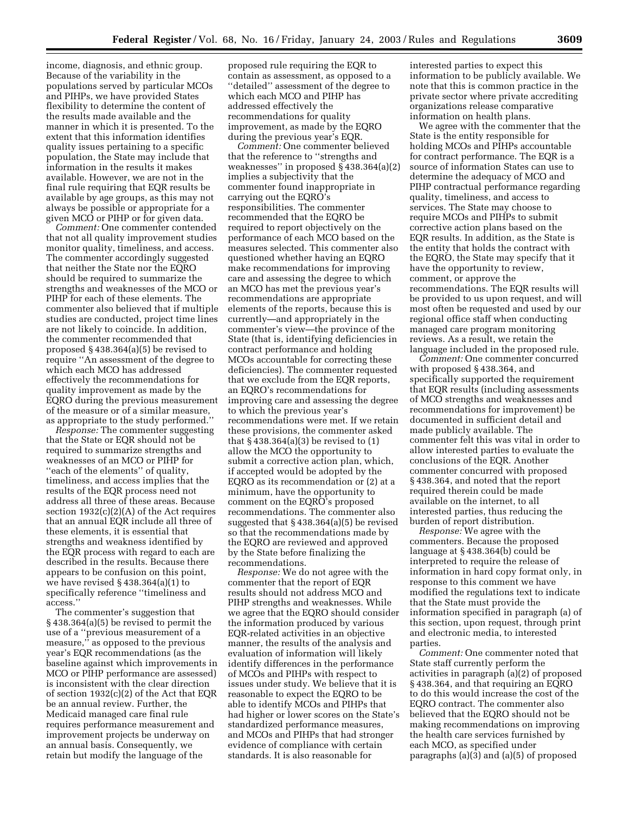income, diagnosis, and ethnic group. Because of the variability in the populations served by particular MCOs and PIHPs, we have provided States flexibility to determine the content of the results made available and the manner in which it is presented. To the extent that this information identifies quality issues pertaining to a specific population, the State may include that information in the results it makes available. However, we are not in the final rule requiring that EQR results be available by age groups, as this may not always be possible or appropriate for a given MCO or PIHP or for given data.

*Comment:* One commenter contended that not all quality improvement studies monitor quality, timeliness, and access. The commenter accordingly suggested that neither the State nor the EQRO should be required to summarize the strengths and weaknesses of the MCO or PIHP for each of these elements. The commenter also believed that if multiple studies are conducted, project time lines are not likely to coincide. In addition, the commenter recommended that proposed § 438.364(a)(5) be revised to require ''An assessment of the degree to which each MCO has addressed effectively the recommendations for quality improvement as made by the EQRO during the previous measurement of the measure or of a similar measure, as appropriate to the study performed.''

*Response:* The commenter suggesting that the State or EQR should not be required to summarize strengths and weaknesses of an MCO or PIHP for "each of the elements" of quality, timeliness, and access implies that the results of the EQR process need not address all three of these areas. Because section 1932(c)(2)(A) of the Act requires that an annual EQR include all three of these elements, it is essential that strengths and weakness identified by the EQR process with regard to each are described in the results. Because there appears to be confusion on this point, we have revised § 438.364(a)(1) to specifically reference ''timeliness and access.''

The commenter's suggestion that § 438.364(a)(5) be revised to permit the use of a ''previous measurement of a measure,'' as opposed to the previous year's EQR recommendations (as the baseline against which improvements in MCO or PIHP performance are assessed) is inconsistent with the clear direction of section 1932(c)(2) of the Act that EQR be an annual review. Further, the Medicaid managed care final rule requires performance measurement and improvement projects be underway on an annual basis. Consequently, we retain but modify the language of the

proposed rule requiring the EQR to contain as assessment, as opposed to a ''detailed'' assessment of the degree to which each MCO and PIHP has addressed effectively the recommendations for quality improvement, as made by the EQRO during the previous year's EQR.

*Comment:* One commenter believed that the reference to ''strengths and weaknesses" in proposed  $\S$  438.364(a)(2) implies a subjectivity that the commenter found inappropriate in carrying out the EQRO's responsibilities. The commenter recommended that the EQRO be required to report objectively on the performance of each MCO based on the measures selected. This commenter also questioned whether having an EQRO make recommendations for improving care and assessing the degree to which an MCO has met the previous year's recommendations are appropriate elements of the reports, because this is currently—and appropriately in the commenter's view—the province of the State (that is, identifying deficiencies in contract performance and holding MCOs accountable for correcting these deficiencies). The commenter requested that we exclude from the EQR reports, an EQRO's recommendations for improving care and assessing the degree to which the previous year's recommendations were met. If we retain these provisions, the commenter asked that  $\S$  438.364(a)(3) be revised to (1) allow the MCO the opportunity to submit a corrective action plan, which, if accepted would be adopted by the EQRO as its recommendation or (2) at a minimum, have the opportunity to comment on the EQRO's proposed recommendations. The commenter also suggested that § 438.364(a)(5) be revised so that the recommendations made by the EQRO are reviewed and approved by the State before finalizing the recommendations.

*Response:* We do not agree with the commenter that the report of EQR results should not address MCO and PIHP strengths and weaknesses. While we agree that the EQRO should consider the information produced by various EQR-related activities in an objective manner, the results of the analysis and evaluation of information will likely identify differences in the performance of MCOs and PIHPs with respect to issues under study. We believe that it is reasonable to expect the EQRO to be able to identify MCOs and PIHPs that had higher or lower scores on the State's standardized performance measures, and MCOs and PIHPs that had stronger evidence of compliance with certain standards. It is also reasonable for

interested parties to expect this information to be publicly available. We note that this is common practice in the private sector where private accrediting organizations release comparative information on health plans.

We agree with the commenter that the State is the entity responsible for holding MCOs and PIHPs accountable for contract performance. The EQR is a source of information States can use to determine the adequacy of MCO and PIHP contractual performance regarding quality, timeliness, and access to services. The State may choose to require MCOs and PIHPs to submit corrective action plans based on the EQR results. In addition, as the State is the entity that holds the contract with the EQRO, the State may specify that it have the opportunity to review, comment, or approve the recommendations. The EQR results will be provided to us upon request, and will most often be requested and used by our regional office staff when conducting managed care program monitoring reviews. As a result, we retain the language included in the proposed rule.

*Comment:* One commenter concurred with proposed § 438.364, and specifically supported the requirement that EQR results (including assessments of MCO strengths and weaknesses and recommendations for improvement) be documented in sufficient detail and made publicly available. The commenter felt this was vital in order to allow interested parties to evaluate the conclusions of the EQR. Another commenter concurred with proposed § 438.364, and noted that the report required therein could be made available on the internet, to all interested parties, thus reducing the burden of report distribution.

*Response:* We agree with the commenters. Because the proposed language at § 438.364(b) could be interpreted to require the release of information in hard copy format only, in response to this comment we have modified the regulations text to indicate that the State must provide the information specified in paragraph (a) of this section, upon request, through print and electronic media, to interested parties.

*Comment:* One commenter noted that State staff currently perform the activities in paragraph (a)(2) of proposed § 438.364, and that requiring an EQRO to do this would increase the cost of the EQRO contract. The commenter also believed that the EQRO should not be making recommendations on improving the health care services furnished by each MCO, as specified under paragraphs (a)(3) and (a)(5) of proposed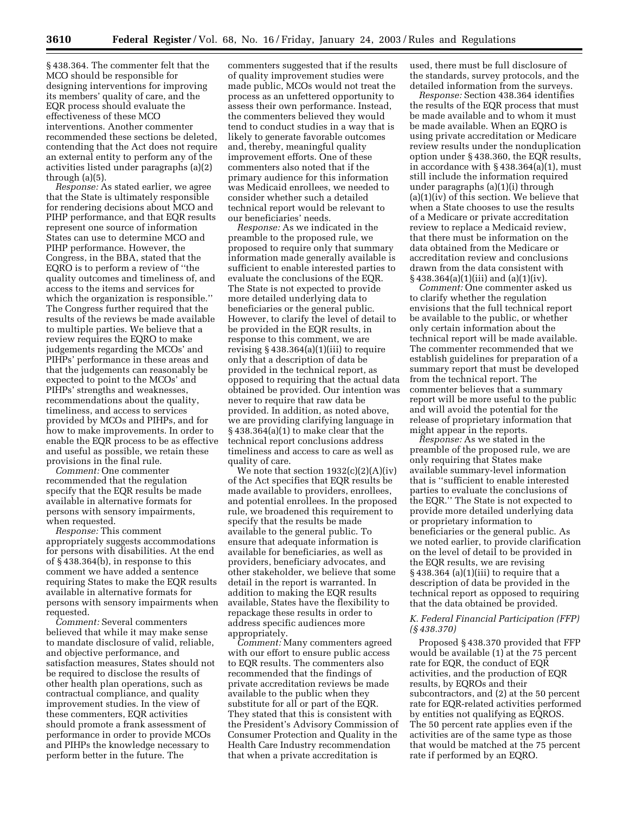§ 438.364. The commenter felt that the MCO should be responsible for designing interventions for improving its members' quality of care, and the EQR process should evaluate the effectiveness of these MCO interventions. Another commenter recommended these sections be deleted, contending that the Act does not require an external entity to perform any of the activities listed under paragraphs (a)(2) through (a)(5).

*Response:* As stated earlier, we agree that the State is ultimately responsible for rendering decisions about MCO and PIHP performance, and that EQR results represent one source of information States can use to determine MCO and PIHP performance. However, the Congress, in the BBA, stated that the EQRO is to perform a review of ''the quality outcomes and timeliness of, and access to the items and services for which the organization is responsible.'' The Congress further required that the results of the reviews be made available to multiple parties. We believe that a review requires the EQRO to make judgements regarding the MCOs' and PIHPs' performance in these areas and that the judgements can reasonably be expected to point to the MCOs' and PIHPs' strengths and weaknesses, recommendations about the quality, timeliness, and access to services provided by MCOs and PIHPs, and for how to make improvements. In order to enable the EQR process to be as effective and useful as possible, we retain these provisions in the final rule.

*Comment:* One commenter recommended that the regulation specify that the EQR results be made available in alternative formats for persons with sensory impairments, when requested.

*Response:* This comment appropriately suggests accommodations for persons with disabilities. At the end of § 438.364(b), in response to this comment we have added a sentence requiring States to make the EQR results available in alternative formats for persons with sensory impairments when requested.

*Comment:* Several commenters believed that while it may make sense to mandate disclosure of valid, reliable, and objective performance, and satisfaction measures, States should not be required to disclose the results of other health plan operations, such as contractual compliance, and quality improvement studies. In the view of these commenters, EQR activities should promote a frank assessment of performance in order to provide MCOs and PIHPs the knowledge necessary to perform better in the future. The

commenters suggested that if the results of quality improvement studies were made public, MCOs would not treat the process as an unfettered opportunity to assess their own performance. Instead, the commenters believed they would tend to conduct studies in a way that is likely to generate favorable outcomes and, thereby, meaningful quality improvement efforts. One of these commenters also noted that if the primary audience for this information was Medicaid enrollees, we needed to consider whether such a detailed technical report would be relevant to our beneficiaries' needs.

*Response:* As we indicated in the preamble to the proposed rule, we proposed to require only that summary information made generally available is sufficient to enable interested parties to evaluate the conclusions of the EQR. The State is not expected to provide more detailed underlying data to beneficiaries or the general public. However, to clarify the level of detail to be provided in the EQR results, in response to this comment, we are revising  $§$  438.364(a)(1)(iii) to require only that a description of data be provided in the technical report, as opposed to requiring that the actual data obtained be provided. Our intention was never to require that raw data be provided. In addition, as noted above, we are providing clarifying language in § 438.364(a)(1) to make clear that the technical report conclusions address timeliness and access to care as well as quality of care.

We note that section  $1932(c)(2)(A)(iv)$ of the Act specifies that EQR results be made available to providers, enrollees, and potential enrollees. In the proposed rule, we broadened this requirement to specify that the results be made available to the general public. To ensure that adequate information is available for beneficiaries, as well as providers, beneficiary advocates, and other stakeholder, we believe that some detail in the report is warranted. In addition to making the EQR results available, States have the flexibility to repackage these results in order to address specific audiences more appropriately.

*Comment:* Many commenters agreed with our effort to ensure public access to EQR results. The commenters also recommended that the findings of private accreditation reviews be made available to the public when they substitute for all or part of the EQR. They stated that this is consistent with the President's Advisory Commission of Consumer Protection and Quality in the Health Care Industry recommendation that when a private accreditation is

used, there must be full disclosure of the standards, survey protocols, and the detailed information from the surveys.

*Response:* Section 438.364 identifies the results of the EQR process that must be made available and to whom it must be made available. When an EQRO is using private accreditation or Medicare review results under the nonduplication option under § 438.360, the EQR results, in accordance with § 438.364(a)(1), must still include the information required under paragraphs (a)(1)(i) through (a)(1)(iv) of this section. We believe that when a State chooses to use the results of a Medicare or private accreditation review to replace a Medicaid review, that there must be information on the data obtained from the Medicare or accreditation review and conclusions drawn from the data consistent with  $\S$  438.364(a)(1)(iii) and (a)(1)(iv).

*Comment:* One commenter asked us to clarify whether the regulation envisions that the full technical report be available to the public, or whether only certain information about the technical report will be made available. The commenter recommended that we establish guidelines for preparation of a summary report that must be developed from the technical report. The commenter believes that a summary report will be more useful to the public and will avoid the potential for the release of proprietary information that might appear in the reports.

*Response:* As we stated in the preamble of the proposed rule, we are only requiring that States make available summary-level information that is ''sufficient to enable interested parties to evaluate the conclusions of the EQR.'' The State is not expected to provide more detailed underlying data or proprietary information to beneficiaries or the general public. As we noted earlier, to provide clarification on the level of detail to be provided in the EQR results, we are revising  $§$  438.364 (a)(1)(iii) to require that a description of data be provided in the technical report as opposed to requiring that the data obtained be provided.

#### *K. Federal Financial Participation (FFP) (§ 438.370)*

Proposed § 438.370 provided that FFP would be available (1) at the 75 percent rate for EQR, the conduct of EQR activities, and the production of EQR results, by EQROs and their subcontractors, and (2) at the 50 percent rate for EQR-related activities performed by entities not qualifying as EQROS. The 50 percent rate applies even if the activities are of the same type as those that would be matched at the 75 percent rate if performed by an EQRO.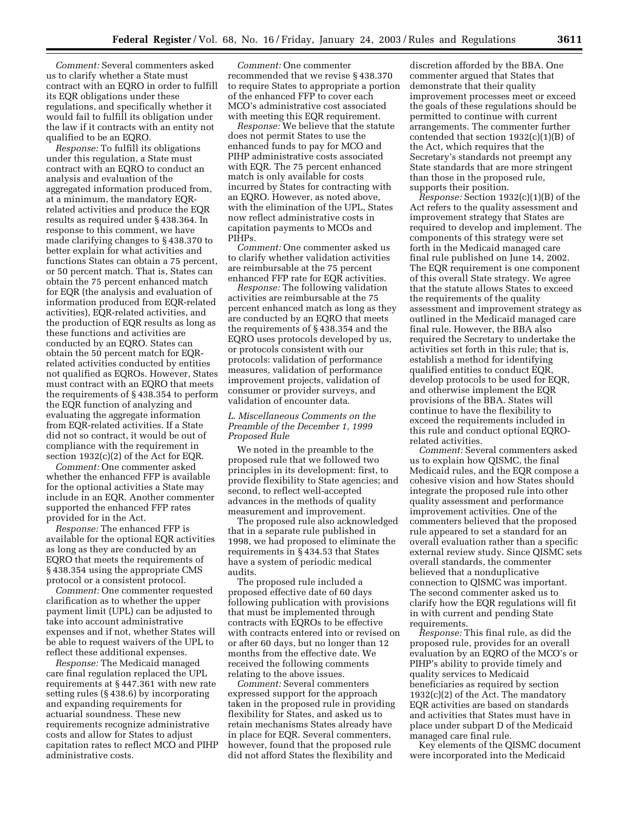*Comment:* Several commenters asked us to clarify whether a State must contract with an EQRO in order to fulfill its EQR obligations under these regulations, and specifically whether it would fail to fulfill its obligation under the law if it contracts with an entity not qualified to be an EQRO.

*Response:* To fulfill its obligations under this regulation, a State must contract with an EQRO to conduct an analysis and evaluation of the aggregated information produced from, at a minimum, the mandatory EQRrelated activities and produce the EQR results as required under § 438.364. In response to this comment, we have made clarifying changes to § 438.370 to better explain for what activities and functions States can obtain a 75 percent, or 50 percent match. That is, States can obtain the 75 percent enhanced match for EQR (the analysis and evaluation of information produced from EQR-related activities), EQR-related activities, and the production of EQR results as long as these functions and activities are conducted by an EQRO. States can obtain the 50 percent match for EQRrelated activities conducted by entities not qualified as EQROs. However, States must contract with an EQRO that meets the requirements of § 438.354 to perform the EQR function of analyzing and evaluating the aggregate information from EQR-related activities. If a State did not so contract, it would be out of compliance with the requirement in section 1932(c)(2) of the Act for EQR.

*Comment:* One commenter asked whether the enhanced FFP is available for the optional activities a State may include in an EQR. Another commenter supported the enhanced FFP rates provided for in the Act.

*Response:* The enhanced FFP is available for the optional EQR activities as long as they are conducted by an EQRO that meets the requirements of § 438.354 using the appropriate CMS protocol or a consistent protocol.

*Comment:* One commenter requested clarification as to whether the upper payment limit (UPL) can be adjusted to take into account administrative expenses and if not, whether States will be able to request waivers of the UPL to reflect these additional expenses.

*Response:* The Medicaid managed care final regulation replaced the UPL requirements at § 447.361 with new rate setting rules (§ 438.6) by incorporating and expanding requirements for actuarial soundness. These new requirements recognize administrative costs and allow for States to adjust capitation rates to reflect MCO and PIHP administrative costs.

*Comment:* One commenter recommended that we revise § 438.370 to require States to appropriate a portion of the enhanced FFP to cover each MCO's administrative cost associated with meeting this EQR requirement.

*Response:* We believe that the statute does not permit States to use the enhanced funds to pay for MCO and PIHP administrative costs associated with EQR. The 75 percent enhanced match is only available for costs incurred by States for contracting with an EQRO. However, as noted above, with the elimination of the UPL, States now reflect administrative costs in capitation payments to MCOs and PIHPs.

*Comment:* One commenter asked us to clarify whether validation activities are reimbursable at the 75 percent enhanced FFP rate for EQR activities.

*Response:* The following validation activities are reimbursable at the 75 percent enhanced match as long as they are conducted by an EQRO that meets the requirements of § 438.354 and the EQRO uses protocols developed by us, or protocols consistent with our protocols: validation of performance measures, validation of performance improvement projects, validation of consumer or provider surveys, and validation of encounter data.

#### *L. Miscellaneous Comments on the Preamble of the December 1, 1999 Proposed Rule*

We noted in the preamble to the proposed rule that we followed two principles in its development: first, to provide flexibility to State agencies; and second, to reflect well-accepted advances in the methods of quality measurement and improvement.

The proposed rule also acknowledged that in a separate rule published in 1998, we had proposed to eliminate the requirements in § 434.53 that States have a system of periodic medical audits.

The proposed rule included a proposed effective date of 60 days following publication with provisions that must be implemented through contracts with EQROs to be effective with contracts entered into or revised on or after 60 days, but no longer than 12 months from the effective date. We received the following comments relating to the above issues.

*Comment:* Several commenters expressed support for the approach taken in the proposed rule in providing flexibility for States, and asked us to retain mechanisms States already have in place for EQR. Several commenters, however, found that the proposed rule did not afford States the flexibility and

discretion afforded by the BBA. One commenter argued that States that demonstrate that their quality improvement processes meet or exceed the goals of these regulations should be permitted to continue with current arrangements. The commenter further contended that section 1932(c)(1)(B) of the Act, which requires that the Secretary's standards not preempt any State standards that are more stringent than those in the proposed rule, supports their position.

*Response:* Section 1932(c)(1)(B) of the Act refers to the quality assessment and improvement strategy that States are required to develop and implement. The components of this strategy were set forth in the Medicaid managed care final rule published on June 14, 2002. The EQR requirement is one component of this overall State strategy. We agree that the statute allows States to exceed the requirements of the quality assessment and improvement strategy as outlined in the Medicaid managed care final rule. However, the BBA also required the Secretary to undertake the activities set forth in this rule; that is, establish a method for identifying qualified entities to conduct EQR, develop protocols to be used for EQR, and otherwise implement the EQR provisions of the BBA. States will continue to have the flexibility to exceed the requirements included in this rule and conduct optional EQROrelated activities.

*Comment:* Several commenters asked us to explain how QISMC, the final Medicaid rules, and the EQR compose a cohesive vision and how States should integrate the proposed rule into other quality assessment and performance improvement activities. One of the commenters believed that the proposed rule appeared to set a standard for an overall evaluation rather than a specific external review study. Since QISMC sets overall standards, the commenter believed that a nonduplicative connection to QISMC was important. The second commenter asked us to clarify how the EQR regulations will fit in with current and pending State requirements.

*Response:* This final rule, as did the proposed rule, provides for an overall evaluation by an EQRO of the MCO's or PIHP's ability to provide timely and quality services to Medicaid beneficiaries as required by section 1932(c)(2) of the Act. The mandatory EQR activities are based on standards and activities that States must have in place under subpart D of the Medicaid managed care final rule.

Key elements of the QISMC document were incorporated into the Medicaid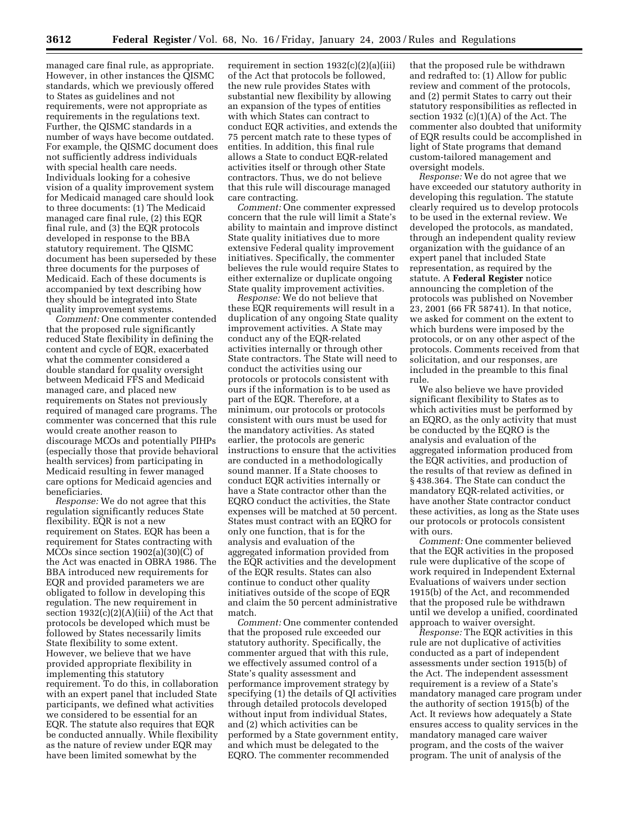managed care final rule, as appropriate. However, in other instances the QISMC standards, which we previously offered to States as guidelines and not requirements, were not appropriate as requirements in the regulations text. Further, the QISMC standards in a number of ways have become outdated. For example, the QISMC document does not sufficiently address individuals with special health care needs. Individuals looking for a cohesive vision of a quality improvement system for Medicaid managed care should look to three documents: (1) The Medicaid managed care final rule, (2) this EQR final rule, and (3) the EQR protocols developed in response to the BBA statutory requirement. The QISMC document has been superseded by these three documents for the purposes of Medicaid. Each of these documents is accompanied by text describing how they should be integrated into State quality improvement systems.

*Comment:* One commenter contended that the proposed rule significantly reduced State flexibility in defining the content and cycle of EQR, exacerbated what the commenter considered a double standard for quality oversight between Medicaid FFS and Medicaid managed care, and placed new requirements on States not previously required of managed care programs. The commenter was concerned that this rule would create another reason to discourage MCOs and potentially PIHPs (especially those that provide behavioral health services) from participating in Medicaid resulting in fewer managed care options for Medicaid agencies and beneficiaries.

*Response:* We do not agree that this regulation significantly reduces State flexibility. EQR is not a new requirement on States. EQR has been a requirement for States contracting with MCOs since section 1902(a)(30)(C) of the Act was enacted in OBRA 1986. The BBA introduced new requirements for EQR and provided parameters we are obligated to follow in developing this regulation. The new requirement in section  $1932(c)(2)(A)(iii)$  of the Act that protocols be developed which must be followed by States necessarily limits State flexibility to some extent. However, we believe that we have provided appropriate flexibility in implementing this statutory requirement. To do this, in collaboration with an expert panel that included State participants, we defined what activities we considered to be essential for an EQR. The statute also requires that EQR be conducted annually. While flexibility as the nature of review under EQR may have been limited somewhat by the

requirement in section  $1932(c)(2)(a)(iii)$ of the Act that protocols be followed, the new rule provides States with substantial new flexibility by allowing an expansion of the types of entities with which States can contract to conduct EQR activities, and extends the 75 percent match rate to these types of entities. In addition, this final rule allows a State to conduct EQR-related activities itself or through other State contractors. Thus, we do not believe that this rule will discourage managed care contracting.

*Comment:* One commenter expressed concern that the rule will limit a State's ability to maintain and improve distinct State quality initiatives due to more extensive Federal quality improvement initiatives. Specifically, the commenter believes the rule would require States to either externalize or duplicate ongoing State quality improvement activities.

*Response:* We do not believe that these EQR requirements will result in a duplication of any ongoing State quality improvement activities. A State may conduct any of the EQR-related activities internally or through other State contractors. The State will need to conduct the activities using our protocols or protocols consistent with ours if the information is to be used as part of the EQR. Therefore, at a minimum, our protocols or protocols consistent with ours must be used for the mandatory activities. As stated earlier, the protocols are generic instructions to ensure that the activities are conducted in a methodologically sound manner. If a State chooses to conduct EQR activities internally or have a State contractor other than the EQRO conduct the activities, the State expenses will be matched at 50 percent. States must contract with an EQRO for only one function, that is for the analysis and evaluation of the aggregated information provided from the EQR activities and the development of the EQR results. States can also continue to conduct other quality initiatives outside of the scope of EQR and claim the 50 percent administrative match.

*Comment:* One commenter contended that the proposed rule exceeded our statutory authority. Specifically, the commenter argued that with this rule, we effectively assumed control of a State's quality assessment and performance improvement strategy by specifying (1) the details of QI activities through detailed protocols developed without input from individual States, and (2) which activities can be performed by a State government entity, and which must be delegated to the EQRO. The commenter recommended

that the proposed rule be withdrawn and redrafted to: (1) Allow for public review and comment of the protocols, and (2) permit States to carry out their statutory responsibilities as reflected in section 1932  $(c)(1)(A)$  of the Act. The commenter also doubted that uniformity of EQR results could be accomplished in light of State programs that demand custom-tailored management and oversight models.

*Response:* We do not agree that we have exceeded our statutory authority in developing this regulation. The statute clearly required us to develop protocols to be used in the external review. We developed the protocols, as mandated, through an independent quality review organization with the guidance of an expert panel that included State representation, as required by the statute. A **Federal Register** notice announcing the completion of the protocols was published on November 23, 2001 (66 FR 58741). In that notice, we asked for comment on the extent to which burdens were imposed by the protocols, or on any other aspect of the protocols. Comments received from that solicitation, and our responses, are included in the preamble to this final rule.

We also believe we have provided significant flexibility to States as to which activities must be performed by an EQRO, as the only activity that must be conducted by the EQRO is the analysis and evaluation of the aggregated information produced from the EQR activities, and production of the results of that review as defined in § 438.364. The State can conduct the mandatory EQR-related activities, or have another State contractor conduct these activities, as long as the State uses our protocols or protocols consistent with ours.

*Comment:* One commenter believed that the EQR activities in the proposed rule were duplicative of the scope of work required in Independent External Evaluations of waivers under section 1915(b) of the Act, and recommended that the proposed rule be withdrawn until we develop a unified, coordinated approach to waiver oversight.

*Response:* The EQR activities in this rule are not duplicative of activities conducted as a part of independent assessments under section 1915(b) of the Act. The independent assessment requirement is a review of a State's mandatory managed care program under the authority of section 1915(b) of the Act. It reviews how adequately a State ensures access to quality services in the mandatory managed care waiver program, and the costs of the waiver program. The unit of analysis of the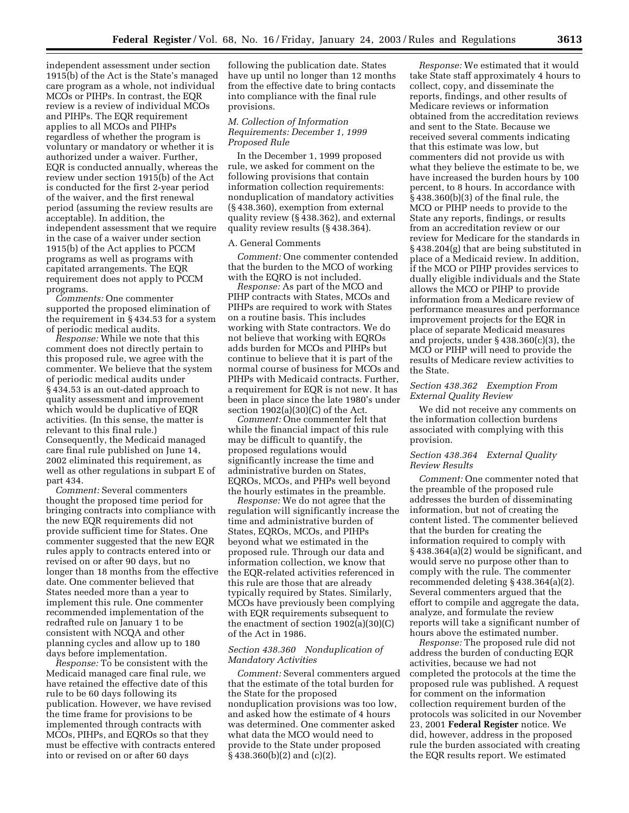independent assessment under section 1915(b) of the Act is the State's managed care program as a whole, not individual MCOs or PIHPs. In contrast, the EQR review is a review of individual MCOs and PIHPs. The EQR requirement applies to all MCOs and PIHPs regardless of whether the program is voluntary or mandatory or whether it is authorized under a waiver. Further, EQR is conducted annually, whereas the review under section 1915(b) of the Act is conducted for the first 2-year period of the waiver, and the first renewal period (assuming the review results are acceptable). In addition, the independent assessment that we require in the case of a waiver under section 1915(b) of the Act applies to PCCM programs as well as programs with capitated arrangements. The EQR requirement does not apply to PCCM programs.

*Comments:* One commenter supported the proposed elimination of the requirement in § 434.53 for a system of periodic medical audits.

*Response:* While we note that this comment does not directly pertain to this proposed rule, we agree with the commenter. We believe that the system of periodic medical audits under § 434.53 is an out-dated approach to quality assessment and improvement which would be duplicative of EQR activities. (In this sense, the matter is relevant to this final rule.) Consequently, the Medicaid managed care final rule published on June 14, 2002 eliminated this requirement, as well as other regulations in subpart E of part 434.

*Comment:* Several commenters thought the proposed time period for bringing contracts into compliance with the new EQR requirements did not provide sufficient time for States. One commenter suggested that the new EQR rules apply to contracts entered into or revised on or after 90 days, but no longer than 18 months from the effective date. One commenter believed that States needed more than a year to implement this rule. One commenter recommended implementation of the redrafted rule on January 1 to be consistent with NCQA and other planning cycles and allow up to 180 days before implementation.

*Response:* To be consistent with the Medicaid managed care final rule, we have retained the effective date of this rule to be 60 days following its publication. However, we have revised the time frame for provisions to be implemented through contracts with MCOs, PIHPs, and EQROs so that they must be effective with contracts entered into or revised on or after 60 days

following the publication date. States have up until no longer than 12 months from the effective date to bring contacts into compliance with the final rule provisions.

#### *M. Collection of Information Requirements: December 1, 1999 Proposed Rule*

In the December 1, 1999 proposed rule, we asked for comment on the following provisions that contain information collection requirements: nonduplication of mandatory activities (§ 438.360), exemption from external quality review (§ 438.362), and external quality review results (§ 438.364).

#### A. General Comments

*Comment:* One commenter contended that the burden to the MCO of working with the EQRO is not included.

*Response:* As part of the MCO and PIHP contracts with States, MCOs and PIHPs are required to work with States on a routine basis. This includes working with State contractors. We do not believe that working with EQROs adds burden for MCOs and PIHPs but continue to believe that it is part of the normal course of business for MCOs and PIHPs with Medicaid contracts. Further, a requirement for EQR is not new. It has been in place since the late 1980's under section 1902(a)(30)(C) of the Act.

*Comment:* One commenter felt that while the financial impact of this rule may be difficult to quantify, the proposed regulations would significantly increase the time and administrative burden on States, EQROs, MCOs, and PHPs well beyond the hourly estimates in the preamble.

*Response:* We do not agree that the regulation will significantly increase the time and administrative burden of States, EQROs, MCOs, and PIHPs beyond what we estimated in the proposed rule. Through our data and information collection, we know that the EQR-related activities referenced in this rule are those that are already typically required by States. Similarly, MCOs have previously been complying with EQR requirements subsequent to the enactment of section 1902(a)(30)(C) of the Act in 1986.

#### *Section 438.360 Nonduplication of Mandatory Activities*

*Comment:* Several commenters argued that the estimate of the total burden for the State for the proposed nonduplication provisions was too low, and asked how the estimate of 4 hours was determined. One commenter asked what data the MCO would need to provide to the State under proposed § 438.360(b)(2) and (c)(2).

*Response:* We estimated that it would take State staff approximately 4 hours to collect, copy, and disseminate the reports, findings, and other results of Medicare reviews or information obtained from the accreditation reviews and sent to the State. Because we received several comments indicating that this estimate was low, but commenters did not provide us with what they believe the estimate to be, we have increased the burden hours by 100 percent, to 8 hours. In accordance with § 438.360(b)(3) of the final rule, the MCO or PIHP needs to provide to the State any reports, findings, or results from an accreditation review or our review for Medicare for the standards in § 438.204(g) that are being substituted in place of a Medicaid review. In addition, if the MCO or PIHP provides services to dually eligible individuals and the State allows the MCO or PIHP to provide information from a Medicare review of performance measures and performance improvement projects for the EQR in place of separate Medicaid measures and projects, under § 438.360(c)(3), the MCO or PIHP will need to provide the results of Medicare review activities to the State.

#### *Section 438.362 Exemption From External Quality Review*

We did not receive any comments on the information collection burdens associated with complying with this provision.

#### *Section 438.364 External Quality Review Results*

*Comment:* One commenter noted that the preamble of the proposed rule addresses the burden of disseminating information, but not of creating the content listed. The commenter believed that the burden for creating the information required to comply with § 438.364(a)(2) would be significant, and would serve no purpose other than to comply with the rule. The commenter recommended deleting § 438.364(a)(2). Several commenters argued that the effort to compile and aggregate the data, analyze, and formulate the review reports will take a significant number of hours above the estimated number.

*Response:* The proposed rule did not address the burden of conducting EQR activities, because we had not completed the protocols at the time the proposed rule was published. A request for comment on the information collection requirement burden of the protocols was solicited in our November 23, 2001 **Federal Register** notice. We did, however, address in the proposed rule the burden associated with creating the EQR results report. We estimated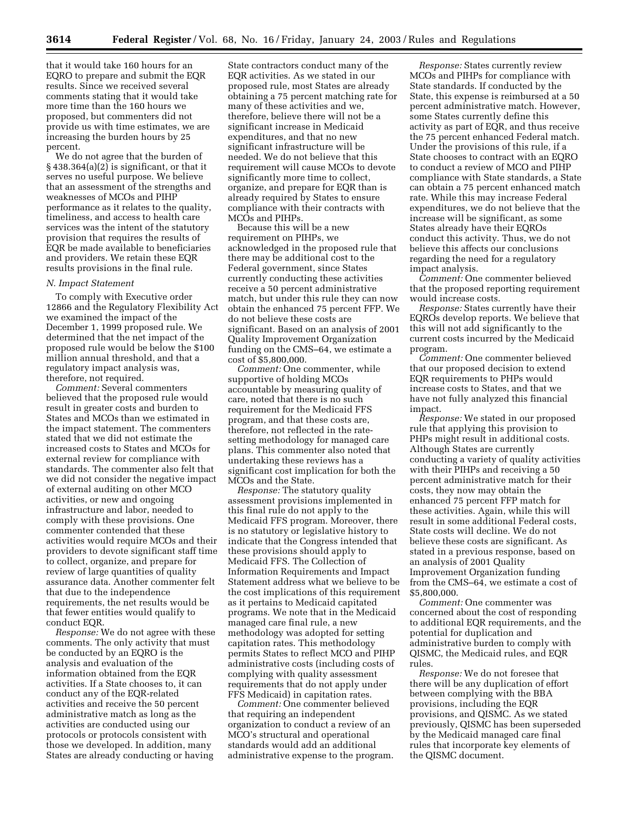that it would take 160 hours for an EQRO to prepare and submit the EQR results. Since we received several comments stating that it would take more time than the 160 hours we proposed, but commenters did not provide us with time estimates, we are increasing the burden hours by 25 percent.

We do not agree that the burden of § 438.364(a)(2) is significant, or that it serves no useful purpose. We believe that an assessment of the strengths and weaknesses of MCOs and PIHP performance as it relates to the quality, timeliness, and access to health care services was the intent of the statutory provision that requires the results of EQR be made available to beneficiaries and providers. We retain these EQR results provisions in the final rule.

#### *N. Impact Statement*

To comply with Executive order 12866 and the Regulatory Flexibility Act we examined the impact of the December 1, 1999 proposed rule. We determined that the net impact of the proposed rule would be below the \$100 million annual threshold, and that a regulatory impact analysis was, therefore, not required.

*Comment:* Several commenters believed that the proposed rule would result in greater costs and burden to States and MCOs than we estimated in the impact statement. The commenters stated that we did not estimate the increased costs to States and MCOs for external review for compliance with standards. The commenter also felt that we did not consider the negative impact of external auditing on other MCO activities, or new and ongoing infrastructure and labor, needed to comply with these provisions. One commenter contended that these activities would require MCOs and their providers to devote significant staff time to collect, organize, and prepare for review of large quantities of quality assurance data. Another commenter felt that due to the independence requirements, the net results would be that fewer entities would qualify to conduct EQR.

*Response:* We do not agree with these comments. The only activity that must be conducted by an EQRO is the analysis and evaluation of the information obtained from the EQR activities. If a State chooses to, it can conduct any of the EQR-related activities and receive the 50 percent administrative match as long as the activities are conducted using our protocols or protocols consistent with those we developed. In addition, many States are already conducting or having

State contractors conduct many of the EQR activities. As we stated in our proposed rule, most States are already obtaining a 75 percent matching rate for many of these activities and we, therefore, believe there will not be a significant increase in Medicaid expenditures, and that no new significant infrastructure will be needed. We do not believe that this requirement will cause MCOs to devote significantly more time to collect, organize, and prepare for EQR than is already required by States to ensure compliance with their contracts with MCOs and PIHPs.

Because this will be a new requirement on PIHPs, we acknowledged in the proposed rule that there may be additional cost to the Federal government, since States currently conducting these activities receive a 50 percent administrative match, but under this rule they can now obtain the enhanced 75 percent FFP. We do not believe these costs are significant. Based on an analysis of 2001 Quality Improvement Organization funding on the CMS–64, we estimate a cost of \$5,800,000.

*Comment:* One commenter, while supportive of holding MCOs accountable by measuring quality of care, noted that there is no such requirement for the Medicaid FFS program, and that these costs are, therefore, not reflected in the ratesetting methodology for managed care plans. This commenter also noted that undertaking these reviews has a significant cost implication for both the MCOs and the State.

*Response:* The statutory quality assessment provisions implemented in this final rule do not apply to the Medicaid FFS program. Moreover, there is no statutory or legislative history to indicate that the Congress intended that these provisions should apply to Medicaid FFS. The Collection of Information Requirements and Impact Statement address what we believe to be the cost implications of this requirement as it pertains to Medicaid capitated programs. We note that in the Medicaid managed care final rule, a new methodology was adopted for setting capitation rates. This methodology permits States to reflect MCO and PIHP administrative costs (including costs of complying with quality assessment requirements that do not apply under FFS Medicaid) in capitation rates.

*Comment:* One commenter believed that requiring an independent organization to conduct a review of an MCO's structural and operational standards would add an additional administrative expense to the program.

*Response:* States currently review MCOs and PIHPs for compliance with State standards. If conducted by the State, this expense is reimbursed at a 50 percent administrative match. However, some States currently define this activity as part of EQR, and thus receive the 75 percent enhanced Federal match. Under the provisions of this rule, if a State chooses to contract with an EQRO to conduct a review of MCO and PIHP compliance with State standards, a State can obtain a 75 percent enhanced match rate. While this may increase Federal expenditures, we do not believe that the increase will be significant, as some States already have their EQROs conduct this activity. Thus, we do not believe this affects our conclusions regarding the need for a regulatory impact analysis.

*Comment:* One commenter believed that the proposed reporting requirement would increase costs.

*Response:* States currently have their EQROs develop reports. We believe that this will not add significantly to the current costs incurred by the Medicaid program.

*Comment:* One commenter believed that our proposed decision to extend EQR requirements to PHPs would increase costs to States, and that we have not fully analyzed this financial impact.

*Response:* We stated in our proposed rule that applying this provision to PHPs might result in additional costs. Although States are currently conducting a variety of quality activities with their PIHPs and receiving a 50 percent administrative match for their costs, they now may obtain the enhanced 75 percent FFP match for these activities. Again, while this will result in some additional Federal costs, State costs will decline. We do not believe these costs are significant. As stated in a previous response, based on an analysis of 2001 Quality Improvement Organization funding from the CMS–64, we estimate a cost of \$5,800,000.

*Comment:* One commenter was concerned about the cost of responding to additional EQR requirements, and the potential for duplication and administrative burden to comply with QISMC, the Medicaid rules, and EQR rules.

*Response:* We do not foresee that there will be any duplication of effort between complying with the BBA provisions, including the EQR provisions, and QISMC. As we stated previously, QISMC has been superseded by the Medicaid managed care final rules that incorporate key elements of the QISMC document.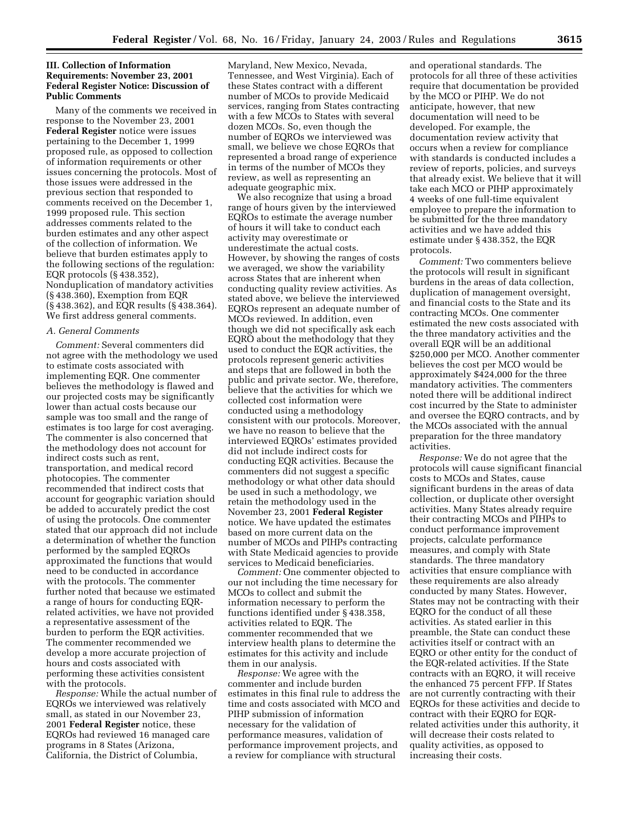#### **III. Collection of Information Requirements: November 23, 2001 Federal Register Notice: Discussion of Public Comments**

Many of the comments we received in response to the November 23, 2001 **Federal Register** notice were issues pertaining to the December 1, 1999 proposed rule, as opposed to collection of information requirements or other issues concerning the protocols. Most of those issues were addressed in the previous section that responded to comments received on the December 1, 1999 proposed rule. This section addresses comments related to the burden estimates and any other aspect of the collection of information. We believe that burden estimates apply to the following sections of the regulation: EQR protocols (§ 438.352), Nonduplication of mandatory activities (§ 438.360), Exemption from EQR (§ 438.362), and EQR results (§ 438.364). We first address general comments.

#### *A. General Comments*

*Comment:* Several commenters did not agree with the methodology we used to estimate costs associated with implementing EQR. One commenter believes the methodology is flawed and our projected costs may be significantly lower than actual costs because our sample was too small and the range of estimates is too large for cost averaging. The commenter is also concerned that the methodology does not account for indirect costs such as rent, transportation, and medical record photocopies. The commenter recommended that indirect costs that account for geographic variation should be added to accurately predict the cost of using the protocols. One commenter stated that our approach did not include a determination of whether the function performed by the sampled EQROs approximated the functions that would need to be conducted in accordance with the protocols. The commenter further noted that because we estimated a range of hours for conducting EQRrelated activities, we have not provided a representative assessment of the burden to perform the EQR activities. The commenter recommended we develop a more accurate projection of hours and costs associated with performing these activities consistent with the protocols.

*Response:* While the actual number of EQROs we interviewed was relatively small, as stated in our November 23, 2001 **Federal Register** notice, these EQROs had reviewed 16 managed care programs in 8 States (Arizona, California, the District of Columbia,

Maryland, New Mexico, Nevada, Tennessee, and West Virginia). Each of these States contract with a different number of MCOs to provide Medicaid services, ranging from States contracting with a few MCOs to States with several dozen MCOs. So, even though the number of EQROs we interviewed was small, we believe we chose EQROs that represented a broad range of experience in terms of the number of MCOs they review, as well as representing an adequate geographic mix.

We also recognize that using a broad range of hours given by the interviewed EQROs to estimate the average number of hours it will take to conduct each activity may overestimate or underestimate the actual costs. However, by showing the ranges of costs we averaged, we show the variability across States that are inherent when conducting quality review activities. As stated above, we believe the interviewed EQROs represent an adequate number of MCOs reviewed. In addition, even though we did not specifically ask each EQRO about the methodology that they used to conduct the EQR activities, the protocols represent generic activities and steps that are followed in both the public and private sector. We, therefore, believe that the activities for which we collected cost information were conducted using a methodology consistent with our protocols. Moreover, we have no reason to believe that the interviewed EQROs' estimates provided did not include indirect costs for conducting EQR activities. Because the commenters did not suggest a specific methodology or what other data should be used in such a methodology, we retain the methodology used in the November 23, 2001 **Federal Register** notice. We have updated the estimates based on more current data on the number of MCOs and PIHPs contracting with State Medicaid agencies to provide services to Medicaid beneficiaries.

*Comment:* One commenter objected to our not including the time necessary for MCOs to collect and submit the information necessary to perform the functions identified under § 438.358, activities related to EQR. The commenter recommended that we interview health plans to determine the estimates for this activity and include them in our analysis.

*Response:* We agree with the commenter and include burden estimates in this final rule to address the time and costs associated with MCO and PIHP submission of information necessary for the validation of performance measures, validation of performance improvement projects, and a review for compliance with structural

and operational standards. The protocols for all three of these activities require that documentation be provided by the MCO or PIHP. We do not anticipate, however, that new documentation will need to be developed. For example, the documentation review activity that occurs when a review for compliance with standards is conducted includes a review of reports, policies, and surveys that already exist. We believe that it will take each MCO or PIHP approximately 4 weeks of one full-time equivalent employee to prepare the information to be submitted for the three mandatory activities and we have added this estimate under § 438.352, the EQR protocols.

*Comment:* Two commenters believe the protocols will result in significant burdens in the areas of data collection, duplication of management oversight, and financial costs to the State and its contracting MCOs. One commenter estimated the new costs associated with the three mandatory activities and the overall EQR will be an additional \$250,000 per MCO. Another commenter believes the cost per MCO would be approximately \$424,000 for the three mandatory activities. The commenters noted there will be additional indirect cost incurred by the State to administer and oversee the EQRO contracts, and by the MCOs associated with the annual preparation for the three mandatory activities.

*Response:* We do not agree that the protocols will cause significant financial costs to MCOs and States, cause significant burdens in the areas of data collection, or duplicate other oversight activities. Many States already require their contracting MCOs and PIHPs to conduct performance improvement projects, calculate performance measures, and comply with State standards. The three mandatory activities that ensure compliance with these requirements are also already conducted by many States. However, States may not be contracting with their EQRO for the conduct of all these activities. As stated earlier in this preamble, the State can conduct these activities itself or contract with an EQRO or other entity for the conduct of the EQR-related activities. If the State contracts with an EQRO, it will receive the enhanced 75 percent FFP. If States are not currently contracting with their EQROs for these activities and decide to contract with their EQRO for EQRrelated activities under this authority, it will decrease their costs related to quality activities, as opposed to increasing their costs.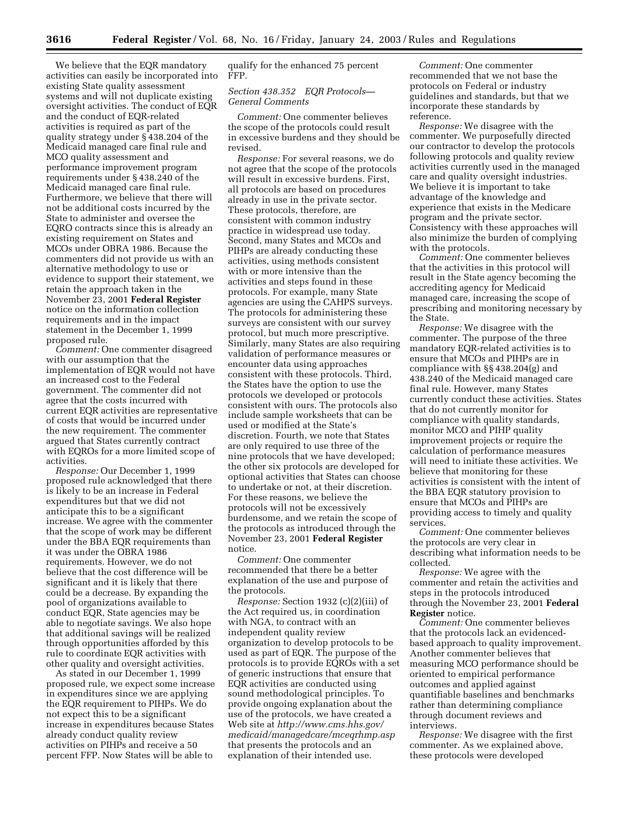We believe that the EQR mandatory activities can easily be incorporated into existing State quality assessment systems and will not duplicate existing oversight activities. The conduct of EQR and the conduct of EQR-related activities is required as part of the quality strategy under § 438.204 of the Medicaid managed care final rule and MCO quality assessment and performance improvement program requirements under § 438.240 of the Medicaid managed care final rule. Furthermore, we believe that there will not be additional costs incurred by the State to administer and oversee the EQRO contracts since this is already an existing requirement on States and MCOs under OBRA 1986. Because the commenters did not provide us with an alternative methodology to use or evidence to support their statement, we retain the approach taken in the November 23, 2001 **Federal Register** notice on the information collection requirements and in the impact statement in the December 1, 1999 proposed rule.

*Comment:* One commenter disagreed with our assumption that the implementation of EQR would not have an increased cost to the Federal government. The commenter did not agree that the costs incurred with current EQR activities are representative of costs that would be incurred under the new requirement. The commenter argued that States currently contract with EQROs for a more limited scope of activities.

*Response:* Our December 1, 1999 proposed rule acknowledged that there is likely to be an increase in Federal expenditures but that we did not anticipate this to be a significant increase. We agree with the commenter that the scope of work may be different under the BBA EQR requirements than it was under the OBRA 1986 requirements. However, we do not believe that the cost difference will be significant and it is likely that there could be a decrease. By expanding the pool of organizations available to conduct EQR, State agencies may be able to negotiate savings. We also hope that additional savings will be realized through opportunities afforded by this rule to coordinate EQR activities with other quality and oversight activities.

As stated in our December 1, 1999 proposed rule, we expect some increase in expenditures since we are applying the EQR requirement to PIHPs. We do not expect this to be a significant increase in expenditures because States already conduct quality review activities on PIHPs and receive a 50 percent FFP. Now States will be able to

qualify for the enhanced 75 percent FFP.

#### *Section 438.352 EQR Protocols— General Comments*

*Comment:* One commenter believes the scope of the protocols could result in excessive burdens and they should be revised.

*Response:* For several reasons, we do not agree that the scope of the protocols will result in excessive burdens. First, all protocols are based on procedures already in use in the private sector. These protocols, therefore, are consistent with common industry practice in widespread use today. Second, many States and MCOs and PIHPs are already conducting these activities, using methods consistent with or more intensive than the activities and steps found in these protocols. For example, many State agencies are using the CAHPS surveys. The protocols for administering these surveys are consistent with our survey protocol, but much more prescriptive. Similarly, many States are also requiring validation of performance measures or encounter data using approaches consistent with these protocols. Third, the States have the option to use the protocols we developed or protocols consistent with ours. The protocols also include sample worksheets that can be used or modified at the State's discretion. Fourth, we note that States are only required to use three of the nine protocols that we have developed; the other six protocols are developed for optional activities that States can choose to undertake or not, at their discretion. For these reasons, we believe the protocols will not be excessively burdensome, and we retain the scope of the protocols as introduced through the November 23, 2001 **Federal Register** notice.

*Comment:* One commenter recommended that there be a better explanation of the use and purpose of the protocols.

*Response:* Section 1932 (c)(2)(iii) of the Act required us, in coordination with NGA, to contract with an independent quality review organization to develop protocols to be used as part of EQR. The purpose of the protocols is to provide EQROs with a set of generic instructions that ensure that EQR activities are conducted using sound methodological principles. To provide ongoing explanation about the use of the protocols, we have created a Web site at *http://www.cms.hhs.gov/ medicaid/managedcare/mceqrhmp.asp* that presents the protocols and an explanation of their intended use.

*Comment:* One commenter recommended that we not base the protocols on Federal or industry guidelines and standards, but that we incorporate these standards by reference.

*Response:* We disagree with the commenter. We purposefully directed our contractor to develop the protocols following protocols and quality review activities currently used in the managed care and quality oversight industries. We believe it is important to take advantage of the knowledge and experience that exists in the Medicare program and the private sector. Consistency with these approaches will also minimize the burden of complying with the protocols.

*Comment:* One commenter believes that the activities in this protocol will result in the State agency becoming the accrediting agency for Medicaid managed care, increasing the scope of prescribing and monitoring necessary by the State.

*Response:* We disagree with the commenter. The purpose of the three mandatory EQR-related activities is to ensure that MCOs and PIHPs are in compliance with §§ 438.204(g) and 438.240 of the Medicaid managed care final rule. However, many States currently conduct these activities. States that do not currently monitor for compliance with quality standards, monitor MCO and PIHP quality improvement projects or require the calculation of performance measures will need to initiate these activities. We believe that monitoring for these activities is consistent with the intent of the BBA EQR statutory provision to ensure that MCOs and PIHPs are providing access to timely and quality services.

*Comment:* One commenter believes the protocols are very clear in describing what information needs to be collected.

*Response:* We agree with the commenter and retain the activities and steps in the protocols introduced through the November 23, 2001 **Federal Register** notice.

*Comment:* One commenter believes that the protocols lack an evidencedbased approach to quality improvement. Another commenter believes that measuring MCO performance should be oriented to empirical performance outcomes and applied against quantifiable baselines and benchmarks rather than determining compliance through document reviews and interviews.

*Response:* We disagree with the first commenter. As we explained above, these protocols were developed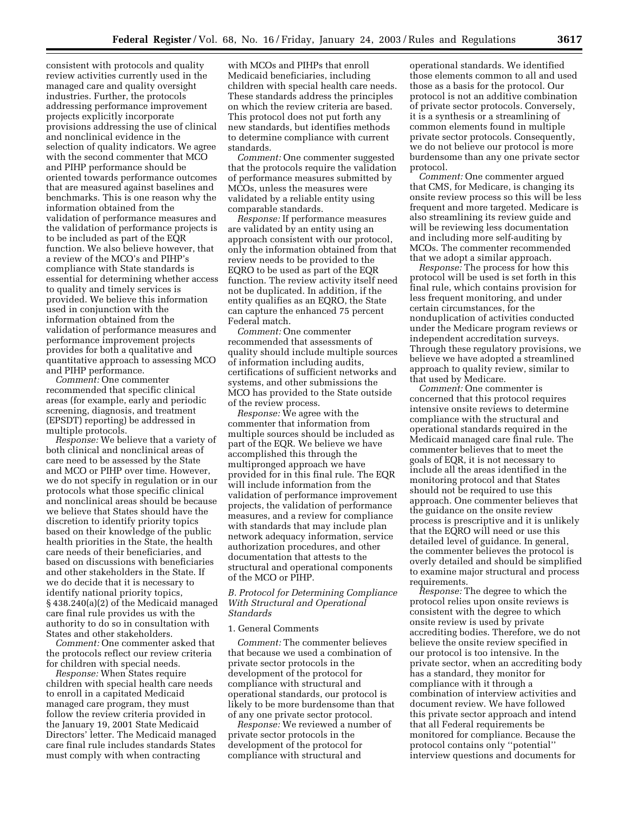consistent with protocols and quality review activities currently used in the managed care and quality oversight industries. Further, the protocols addressing performance improvement projects explicitly incorporate provisions addressing the use of clinical and nonclinical evidence in the selection of quality indicators. We agree with the second commenter that MCO and PIHP performance should be oriented towards performance outcomes that are measured against baselines and benchmarks. This is one reason why the information obtained from the validation of performance measures and the validation of performance projects is to be included as part of the EQR function. We also believe however, that a review of the MCO's and PIHP's compliance with State standards is essential for determining whether access to quality and timely services is provided. We believe this information used in conjunction with the information obtained from the validation of performance measures and performance improvement projects provides for both a qualitative and quantitative approach to assessing MCO and PIHP performance.

*Comment:* One commenter recommended that specific clinical areas (for example, early and periodic screening, diagnosis, and treatment (EPSDT) reporting) be addressed in multiple protocols.

*Response:* We believe that a variety of both clinical and nonclinical areas of care need to be assessed by the State and MCO or PIHP over time. However, we do not specify in regulation or in our protocols what those specific clinical and nonclinical areas should be because we believe that States should have the discretion to identify priority topics based on their knowledge of the public health priorities in the State, the health care needs of their beneficiaries, and based on discussions with beneficiaries and other stakeholders in the State. If we do decide that it is necessary to identify national priority topics, § 438.240(a)(2) of the Medicaid managed care final rule provides us with the authority to do so in consultation with States and other stakeholders.

*Comment:* One commenter asked that the protocols reflect our review criteria for children with special needs.

*Response:* When States require children with special health care needs to enroll in a capitated Medicaid managed care program, they must follow the review criteria provided in the January 19, 2001 State Medicaid Directors' letter. The Medicaid managed care final rule includes standards States must comply with when contracting

with MCOs and PIHPs that enroll Medicaid beneficiaries, including children with special health care needs. These standards address the principles on which the review criteria are based. This protocol does not put forth any new standards, but identifies methods to determine compliance with current standards.

*Comment:* One commenter suggested that the protocols require the validation of performance measures submitted by MCOs, unless the measures were validated by a reliable entity using comparable standards.

*Response:* If performance measures are validated by an entity using an approach consistent with our protocol, only the information obtained from that review needs to be provided to the EQRO to be used as part of the EQR function. The review activity itself need not be duplicated. In addition, if the entity qualifies as an EQRO, the State can capture the enhanced 75 percent Federal match.

*Comment:* One commenter recommended that assessments of quality should include multiple sources of information including audits, certifications of sufficient networks and systems, and other submissions the MCO has provided to the State outside of the review process.

*Response:* We agree with the commenter that information from multiple sources should be included as part of the EQR. We believe we have accomplished this through the multipronged approach we have provided for in this final rule. The EQR will include information from the validation of performance improvement projects, the validation of performance measures, and a review for compliance with standards that may include plan network adequacy information, service authorization procedures, and other documentation that attests to the structural and operational components of the MCO or PIHP.

#### *B. Protocol for Determining Compliance With Structural and Operational Standards*

#### 1. General Comments

*Comment:* The commenter believes that because we used a combination of private sector protocols in the development of the protocol for compliance with structural and operational standards, our protocol is likely to be more burdensome than that of any one private sector protocol.

*Response:* We reviewed a number of private sector protocols in the development of the protocol for compliance with structural and

operational standards. We identified those elements common to all and used those as a basis for the protocol. Our protocol is not an additive combination of private sector protocols. Conversely, it is a synthesis or a streamlining of common elements found in multiple private sector protocols. Consequently, we do not believe our protocol is more burdensome than any one private sector protocol.

*Comment:* One commenter argued that CMS, for Medicare, is changing its onsite review process so this will be less frequent and more targeted. Medicare is also streamlining its review guide and will be reviewing less documentation and including more self-auditing by MCOs. The commenter recommended that we adopt a similar approach.

*Response:* The process for how this protocol will be used is set forth in this final rule, which contains provision for less frequent monitoring, and under certain circumstances, for the nonduplication of activities conducted under the Medicare program reviews or independent accreditation surveys. Through these regulatory provisions, we believe we have adopted a streamlined approach to quality review, similar to that used by Medicare.

*Comment:* One commenter is concerned that this protocol requires intensive onsite reviews to determine compliance with the structural and operational standards required in the Medicaid managed care final rule. The commenter believes that to meet the goals of EQR, it is not necessary to include all the areas identified in the monitoring protocol and that States should not be required to use this approach. One commenter believes that the guidance on the onsite review process is prescriptive and it is unlikely that the EQRO will need or use this detailed level of guidance. In general, the commenter believes the protocol is overly detailed and should be simplified to examine major structural and process requirements.

*Response:* The degree to which the protocol relies upon onsite reviews is consistent with the degree to which onsite review is used by private accrediting bodies. Therefore, we do not believe the onsite review specified in our protocol is too intensive. In the private sector, when an accrediting body has a standard, they monitor for compliance with it through a combination of interview activities and document review. We have followed this private sector approach and intend that all Federal requirements be monitored for compliance. Because the protocol contains only ''potential'' interview questions and documents for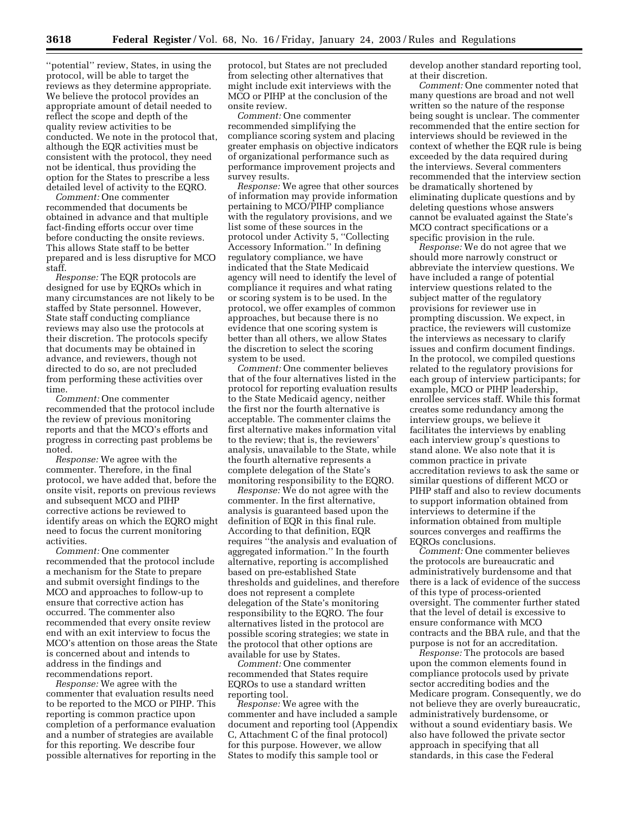''potential'' review, States, in using the protocol, will be able to target the reviews as they determine appropriate. We believe the protocol provides an appropriate amount of detail needed to reflect the scope and depth of the quality review activities to be conducted. We note in the protocol that, although the EQR activities must be consistent with the protocol, they need not be identical, thus providing the option for the States to prescribe a less detailed level of activity to the EQRO.

*Comment:* One commenter recommended that documents be obtained in advance and that multiple fact-finding efforts occur over time before conducting the onsite reviews. This allows State staff to be better prepared and is less disruptive for MCO staff.

*Response:* The EQR protocols are designed for use by EQROs which in many circumstances are not likely to be staffed by State personnel. However, State staff conducting compliance reviews may also use the protocols at their discretion. The protocols specify that documents may be obtained in advance, and reviewers, though not directed to do so, are not precluded from performing these activities over time.

*Comment:* One commenter recommended that the protocol include the review of previous monitoring reports and that the MCO's efforts and progress in correcting past problems be noted.

*Response:* We agree with the commenter. Therefore, in the final protocol, we have added that, before the onsite visit, reports on previous reviews and subsequent MCO and PIHP corrective actions be reviewed to identify areas on which the EQRO might need to focus the current monitoring activities.

*Comment:* One commenter recommended that the protocol include a mechanism for the State to prepare and submit oversight findings to the MCO and approaches to follow-up to ensure that corrective action has occurred. The commenter also recommended that every onsite review end with an exit interview to focus the MCO's attention on those areas the State is concerned about and intends to address in the findings and recommendations report.

*Response:* We agree with the commenter that evaluation results need to be reported to the MCO or PIHP. This reporting is common practice upon completion of a performance evaluation and a number of strategies are available for this reporting. We describe four possible alternatives for reporting in the

protocol, but States are not precluded from selecting other alternatives that might include exit interviews with the MCO or PIHP at the conclusion of the onsite review.

*Comment:* One commenter recommended simplifying the compliance scoring system and placing greater emphasis on objective indicators of organizational performance such as performance improvement projects and survey results.

*Response:* We agree that other sources of information may provide information pertaining to MCO/PIHP compliance with the regulatory provisions, and we list some of these sources in the protocol under Activity 5, ''Collecting Accessory Information.'' In defining regulatory compliance, we have indicated that the State Medicaid agency will need to identify the level of compliance it requires and what rating or scoring system is to be used. In the protocol, we offer examples of common approaches, but because there is no evidence that one scoring system is better than all others, we allow States the discretion to select the scoring system to be used.

*Comment:* One commenter believes that of the four alternatives listed in the protocol for reporting evaluation results to the State Medicaid agency, neither the first nor the fourth alternative is acceptable. The commenter claims the first alternative makes information vital to the review; that is, the reviewers' analysis, unavailable to the State, while the fourth alternative represents a complete delegation of the State's monitoring responsibility to the EQRO.

*Response:* We do not agree with the commenter. In the first alternative, analysis is guaranteed based upon the definition of EQR in this final rule. According to that definition, EQR requires ''the analysis and evaluation of aggregated information.'' In the fourth alternative, reporting is accomplished based on pre-established State thresholds and guidelines, and therefore does not represent a complete delegation of the State's monitoring responsibility to the EQRO. The four alternatives listed in the protocol are possible scoring strategies; we state in the protocol that other options are available for use by States.

*Comment:* One commenter recommended that States require EQROs to use a standard written reporting tool.

*Response:* We agree with the commenter and have included a sample document and reporting tool (Appendix C, Attachment C of the final protocol) for this purpose. However, we allow States to modify this sample tool or

develop another standard reporting tool, at their discretion.

*Comment:* One commenter noted that many questions are broad and not well written so the nature of the response being sought is unclear. The commenter recommended that the entire section for interviews should be reviewed in the context of whether the EQR rule is being exceeded by the data required during the interviews. Several commenters recommended that the interview section be dramatically shortened by eliminating duplicate questions and by deleting questions whose answers cannot be evaluated against the State's MCO contract specifications or a specific provision in the rule.

*Response:* We do not agree that we should more narrowly construct or abbreviate the interview questions. We have included a range of potential interview questions related to the subject matter of the regulatory provisions for reviewer use in prompting discussion. We expect, in practice, the reviewers will customize the interviews as necessary to clarify issues and confirm document findings. In the protocol, we compiled questions related to the regulatory provisions for each group of interview participants; for example, MCO or PIHP leadership, enrollee services staff. While this format creates some redundancy among the interview groups, we believe it facilitates the interviews by enabling each interview group's questions to stand alone. We also note that it is common practice in private accreditation reviews to ask the same or similar questions of different MCO or PIHP staff and also to review documents to support information obtained from interviews to determine if the information obtained from multiple sources converges and reaffirms the EQROs conclusions.

*Comment:* One commenter believes the protocols are bureaucratic and administratively burdensome and that there is a lack of evidence of the success of this type of process-oriented oversight. The commenter further stated that the level of detail is excessive to ensure conformance with MCO contracts and the BBA rule, and that the purpose is not for an accreditation.

*Response:* The protocols are based upon the common elements found in compliance protocols used by private sector accrediting bodies and the Medicare program. Consequently, we do not believe they are overly bureaucratic, administratively burdensome, or without a sound evidentiary basis. We also have followed the private sector approach in specifying that all standards, in this case the Federal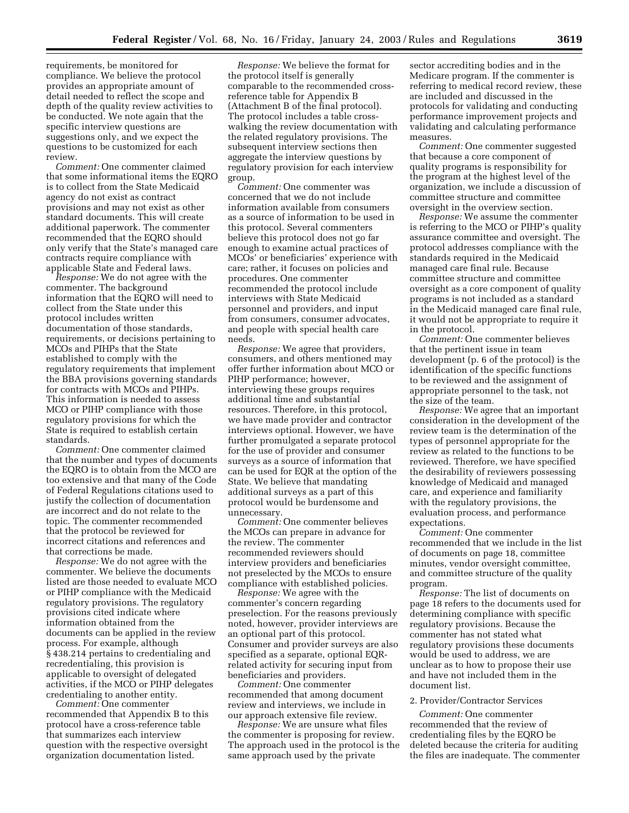requirements, be monitored for compliance. We believe the protocol provides an appropriate amount of detail needed to reflect the scope and depth of the quality review activities to be conducted. We note again that the specific interview questions are suggestions only, and we expect the questions to be customized for each review.

*Comment:* One commenter claimed that some informational items the EQRO is to collect from the State Medicaid agency do not exist as contract provisions and may not exist as other standard documents. This will create additional paperwork. The commenter recommended that the EQRO should only verify that the State's managed care contracts require compliance with applicable State and Federal laws.

*Response:* We do not agree with the commenter. The background information that the EQRO will need to collect from the State under this protocol includes written documentation of those standards, requirements, or decisions pertaining to MCOs and PIHPs that the State established to comply with the regulatory requirements that implement the BBA provisions governing standards for contracts with MCOs and PIHPs. This information is needed to assess MCO or PIHP compliance with those regulatory provisions for which the State is required to establish certain standards.

*Comment:* One commenter claimed that the number and types of documents the EQRO is to obtain from the MCO are too extensive and that many of the Code of Federal Regulations citations used to justify the collection of documentation are incorrect and do not relate to the topic. The commenter recommended that the protocol be reviewed for incorrect citations and references and that corrections be made.

*Response:* We do not agree with the commenter. We believe the documents listed are those needed to evaluate MCO or PIHP compliance with the Medicaid regulatory provisions. The regulatory provisions cited indicate where information obtained from the documents can be applied in the review process. For example, although § 438.214 pertains to credentialing and recredentialing, this provision is applicable to oversight of delegated activities, if the MCO or PIHP delegates credentialing to another entity.

*Comment:* One commenter recommended that Appendix B to this protocol have a cross-reference table that summarizes each interview question with the respective oversight organization documentation listed.

*Response:* We believe the format for the protocol itself is generally comparable to the recommended crossreference table for Appendix B (Attachment B of the final protocol). The protocol includes a table crosswalking the review documentation with the related regulatory provisions. The subsequent interview sections then aggregate the interview questions by regulatory provision for each interview group.

*Comment:* One commenter was concerned that we do not include information available from consumers as a source of information to be used in this protocol. Several commenters believe this protocol does not go far enough to examine actual practices of MCOs' or beneficiaries' experience with care; rather, it focuses on policies and procedures. One commenter recommended the protocol include interviews with State Medicaid personnel and providers, and input from consumers, consumer advocates, and people with special health care needs.

*Response:* We agree that providers, consumers, and others mentioned may offer further information about MCO or PIHP performance; however, interviewing these groups requires additional time and substantial resources. Therefore, in this protocol, we have made provider and contractor interviews optional. However, we have further promulgated a separate protocol for the use of provider and consumer surveys as a source of information that can be used for EQR at the option of the State. We believe that mandating additional surveys as a part of this protocol would be burdensome and unnecessary.

*Comment:* One commenter believes the MCOs can prepare in advance for the review. The commenter recommended reviewers should interview providers and beneficiaries not preselected by the MCOs to ensure compliance with established policies.

*Response:* We agree with the commenter's concern regarding preselection. For the reasons previously noted, however, provider interviews are an optional part of this protocol. Consumer and provider surveys are also specified as a separate, optional EQRrelated activity for securing input from beneficiaries and providers.

*Comment:* One commenter recommended that among document review and interviews, we include in our approach extensive file review.

*Response:* We are unsure what files the commenter is proposing for review. The approach used in the protocol is the same approach used by the private

sector accrediting bodies and in the Medicare program. If the commenter is referring to medical record review, these are included and discussed in the protocols for validating and conducting performance improvement projects and validating and calculating performance measures.

*Comment:* One commenter suggested that because a core component of quality programs is responsibility for the program at the highest level of the organization, we include a discussion of committee structure and committee oversight in the overview section.

*Response:* We assume the commenter is referring to the MCO or PIHP's quality assurance committee and oversight. The protocol addresses compliance with the standards required in the Medicaid managed care final rule. Because committee structure and committee oversight as a core component of quality programs is not included as a standard in the Medicaid managed care final rule, it would not be appropriate to require it in the protocol.

*Comment:* One commenter believes that the pertinent issue in team development (p. 6 of the protocol) is the identification of the specific functions to be reviewed and the assignment of appropriate personnel to the task, not the size of the team.

*Response:* We agree that an important consideration in the development of the review team is the determination of the types of personnel appropriate for the review as related to the functions to be reviewed. Therefore, we have specified the desirability of reviewers possessing knowledge of Medicaid and managed care, and experience and familiarity with the regulatory provisions, the evaluation process, and performance expectations.

*Comment:* One commenter recommended that we include in the list of documents on page 18, committee minutes, vendor oversight committee, and committee structure of the quality program.

*Response:* The list of documents on page 18 refers to the documents used for determining compliance with specific regulatory provisions. Because the commenter has not stated what regulatory provisions these documents would be used to address, we are unclear as to how to propose their use and have not included them in the document list.

#### 2. Provider/Contractor Services

*Comment:* One commenter recommended that the review of credentialing files by the EQRO be deleted because the criteria for auditing the files are inadequate. The commenter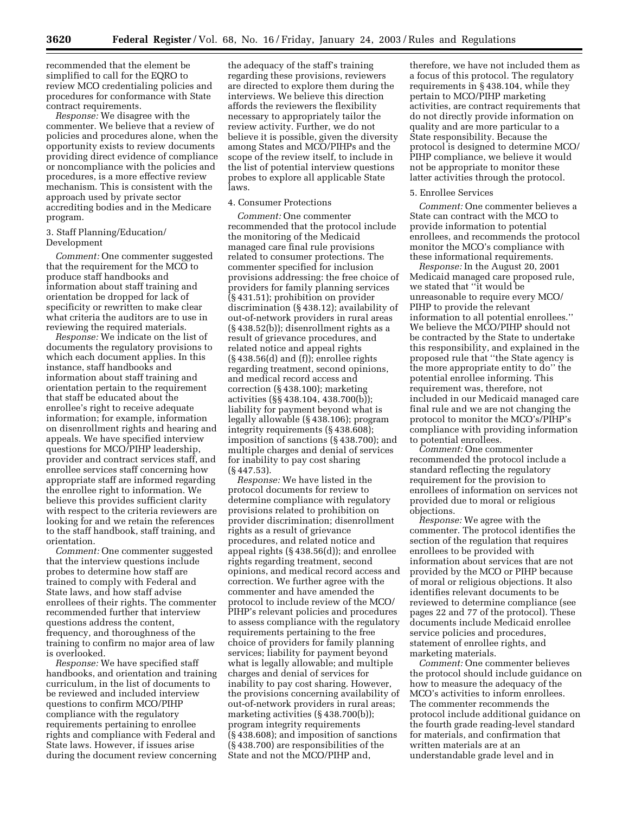recommended that the element be simplified to call for the EQRO to review MCO credentialing policies and procedures for conformance with State contract requirements.

*Response:* We disagree with the commenter. We believe that a review of policies and procedures alone, when the opportunity exists to review documents providing direct evidence of compliance or noncompliance with the policies and procedures, is a more effective review mechanism. This is consistent with the approach used by private sector accrediting bodies and in the Medicare program.

#### 3. Staff Planning/Education/ Development

*Comment:* One commenter suggested that the requirement for the MCO to produce staff handbooks and information about staff training and orientation be dropped for lack of specificity or rewritten to make clear what criteria the auditors are to use in reviewing the required materials.

*Response:* We indicate on the list of documents the regulatory provisions to which each document applies. In this instance, staff handbooks and information about staff training and orientation pertain to the requirement that staff be educated about the enrollee's right to receive adequate information; for example, information on disenrollment rights and hearing and appeals. We have specified interview questions for MCO/PIHP leadership, provider and contract services staff, and enrollee services staff concerning how appropriate staff are informed regarding the enrollee right to information. We believe this provides sufficient clarity with respect to the criteria reviewers are looking for and we retain the references to the staff handbook, staff training, and orientation.

*Comment:* One commenter suggested that the interview questions include probes to determine how staff are trained to comply with Federal and State laws, and how staff advise enrollees of their rights. The commenter recommended further that interview questions address the content, frequency, and thoroughness of the training to confirm no major area of law is overlooked.

*Response:* We have specified staff handbooks, and orientation and training curriculum, in the list of documents to be reviewed and included interview questions to confirm MCO/PIHP compliance with the regulatory requirements pertaining to enrollee rights and compliance with Federal and State laws. However, if issues arise during the document review concerning

the adequacy of the staff's training regarding these provisions, reviewers are directed to explore them during the interviews. We believe this direction affords the reviewers the flexibility necessary to appropriately tailor the review activity. Further, we do not believe it is possible, given the diversity among States and MCO/PIHPs and the scope of the review itself, to include in the list of potential interview questions probes to explore all applicable State laws.

#### 4. Consumer Protections

*Comment:* One commenter recommended that the protocol include the monitoring of the Medicaid managed care final rule provisions related to consumer protections. The commenter specified for inclusion provisions addressing: the free choice of providers for family planning services (§ 431.51); prohibition on provider discrimination (§ 438.12); availability of out-of-network providers in rural areas (§ 438.52(b)); disenrollment rights as a result of grievance procedures, and related notice and appeal rights (§ 438.56(d) and (f)); enrollee rights regarding treatment, second opinions, and medical record access and correction (§ 438.100); marketing activities (§§ 438.104, 438.700(b)); liability for payment beyond what is legally allowable (§ 438.106); program integrity requirements (§ 438.608); imposition of sanctions (§ 438.700); and multiple charges and denial of services for inability to pay cost sharing (§ 447.53).

*Response:* We have listed in the protocol documents for review to determine compliance with regulatory provisions related to prohibition on provider discrimination; disenrollment rights as a result of grievance procedures, and related notice and appeal rights (§ 438.56(d)); and enrollee rights regarding treatment, second opinions, and medical record access and correction. We further agree with the commenter and have amended the protocol to include review of the MCO/ PIHP's relevant policies and procedures to assess compliance with the regulatory requirements pertaining to the free choice of providers for family planning services; liability for payment beyond what is legally allowable; and multiple charges and denial of services for inability to pay cost sharing. However, the provisions concerning availability of out-of-network providers in rural areas; marketing activities (§ 438.700(b)); program integrity requirements (§ 438.608); and imposition of sanctions (§ 438.700) are responsibilities of the State and not the MCO/PIHP and,

therefore, we have not included them as a focus of this protocol. The regulatory requirements in § 438.104, while they pertain to MCO/PIHP marketing activities, are contract requirements that do not directly provide information on quality and are more particular to a State responsibility. Because the protocol is designed to determine MCO/ PIHP compliance, we believe it would not be appropriate to monitor these latter activities through the protocol.

#### 5. Enrollee Services

*Comment:* One commenter believes a State can contract with the MCO to provide information to potential enrollees, and recommends the protocol monitor the MCO's compliance with these informational requirements.

*Response:* In the August 20, 2001 Medicaid managed care proposed rule, we stated that ''it would be unreasonable to require every MCO/ PIHP to provide the relevant information to all potential enrollees.'' We believe the MCO/PIHP should not be contracted by the State to undertake this responsibility, and explained in the proposed rule that ''the State agency is the more appropriate entity to do'' the potential enrollee informing. This requirement was, therefore, not included in our Medicaid managed care final rule and we are not changing the protocol to monitor the MCO's/PIHP's compliance with providing information to potential enrollees.

*Comment:* One commenter recommended the protocol include a standard reflecting the regulatory requirement for the provision to enrollees of information on services not provided due to moral or religious objections.

*Response:* We agree with the commenter. The protocol identifies the section of the regulation that requires enrollees to be provided with information about services that are not provided by the MCO or PIHP because of moral or religious objections. It also identifies relevant documents to be reviewed to determine compliance (see pages 22 and 77 of the protocol). These documents include Medicaid enrollee service policies and procedures, statement of enrollee rights, and marketing materials.

*Comment:* One commenter believes the protocol should include guidance on how to measure the adequacy of the MCO's activities to inform enrollees. The commenter recommends the protocol include additional guidance on the fourth grade reading-level standard for materials, and confirmation that written materials are at an understandable grade level and in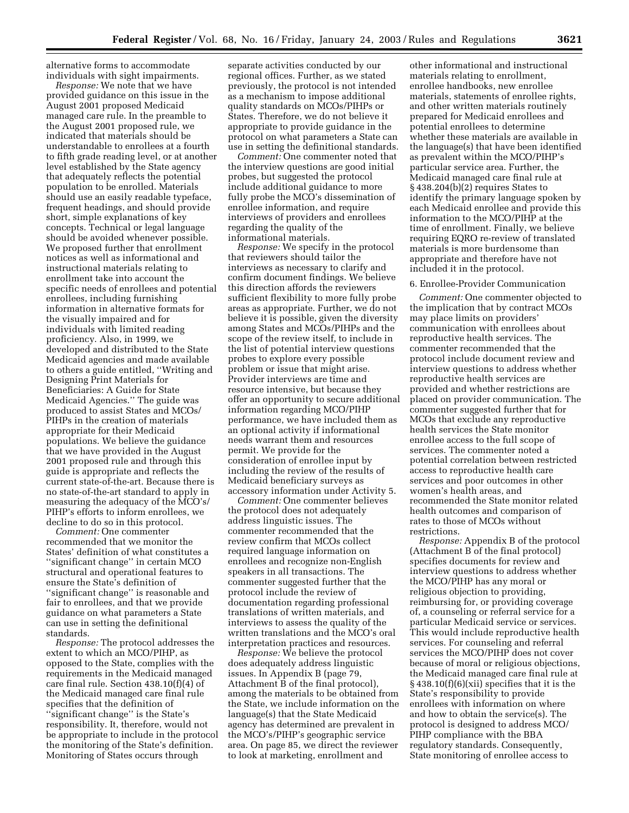alternative forms to accommodate individuals with sight impairments.

*Response:* We note that we have provided guidance on this issue in the August 2001 proposed Medicaid managed care rule. In the preamble to the August 2001 proposed rule, we indicated that materials should be understandable to enrollees at a fourth to fifth grade reading level, or at another level established by the State agency that adequately reflects the potential population to be enrolled. Materials should use an easily readable typeface, frequent headings, and should provide short, simple explanations of key concepts. Technical or legal language should be avoided whenever possible. We proposed further that enrollment notices as well as informational and instructional materials relating to enrollment take into account the specific needs of enrollees and potential enrollees, including furnishing information in alternative formats for the visually impaired and for individuals with limited reading proficiency. Also, in 1999, we developed and distributed to the State Medicaid agencies and made available to others a guide entitled, ''Writing and Designing Print Materials for Beneficiaries: A Guide for State Medicaid Agencies.'' The guide was produced to assist States and MCOs/ PIHPs in the creation of materials appropriate for their Medicaid populations. We believe the guidance that we have provided in the August 2001 proposed rule and through this guide is appropriate and reflects the current state-of-the-art. Because there is no state-of-the-art standard to apply in measuring the adequacy of the MCO's/ PIHP's efforts to inform enrollees, we decline to do so in this protocol.

*Comment:* One commenter recommended that we monitor the States' definition of what constitutes a ''significant change'' in certain MCO structural and operational features to ensure the State's definition of ''significant change'' is reasonable and fair to enrollees, and that we provide guidance on what parameters a State can use in setting the definitional standards.

*Response:* The protocol addresses the extent to which an MCO/PIHP, as opposed to the State, complies with the requirements in the Medicaid managed care final rule. Section 438.10(f)(4) of the Medicaid managed care final rule specifies that the definition of ''significant change'' is the State's responsibility. It, therefore, would not be appropriate to include in the protocol the monitoring of the State's definition. Monitoring of States occurs through

separate activities conducted by our regional offices. Further, as we stated previously, the protocol is not intended as a mechanism to impose additional quality standards on MCOs/PIHPs or States. Therefore, we do not believe it appropriate to provide guidance in the protocol on what parameters a State can use in setting the definitional standards.

*Comment:* One commenter noted that the interview questions are good initial probes, but suggested the protocol include additional guidance to more fully probe the MCO's dissemination of enrollee information, and require interviews of providers and enrollees regarding the quality of the informational materials.

*Response:* We specify in the protocol that reviewers should tailor the interviews as necessary to clarify and confirm document findings. We believe this direction affords the reviewers sufficient flexibility to more fully probe areas as appropriate. Further, we do not believe it is possible, given the diversity among States and MCOs/PIHPs and the scope of the review itself, to include in the list of potential interview questions probes to explore every possible problem or issue that might arise. Provider interviews are time and resource intensive, but because they offer an opportunity to secure additional information regarding MCO/PIHP performance, we have included them as an optional activity if informational needs warrant them and resources permit. We provide for the consideration of enrollee input by including the review of the results of Medicaid beneficiary surveys as accessory information under Activity 5.

*Comment:* One commenter believes the protocol does not adequately address linguistic issues. The commenter recommended that the review confirm that MCOs collect required language information on enrollees and recognize non-English speakers in all transactions. The commenter suggested further that the protocol include the review of documentation regarding professional translations of written materials, and interviews to assess the quality of the written translations and the MCO's oral interpretation practices and resources.

*Response:* We believe the protocol does adequately address linguistic issues. In Appendix B (page 79, Attachment B of the final protocol), among the materials to be obtained from the State, we include information on the language(s) that the State Medicaid agency has determined are prevalent in the MCO's/PIHP's geographic service area. On page 85, we direct the reviewer to look at marketing, enrollment and

other informational and instructional materials relating to enrollment, enrollee handbooks, new enrollee materials, statements of enrollee rights, and other written materials routinely prepared for Medicaid enrollees and potential enrollees to determine whether these materials are available in the language(s) that have been identified as prevalent within the MCO/PIHP's particular service area. Further, the Medicaid managed care final rule at § 438.204(b)(2) requires States to identify the primary language spoken by each Medicaid enrollee and provide this information to the MCO/PIHP at the time of enrollment. Finally, we believe requiring EQRO re-review of translated materials is more burdensome than appropriate and therefore have not included it in the protocol.

#### 6. Enrollee-Provider Communication

*Comment:* One commenter objected to the implication that by contract MCOs may place limits on providers' communication with enrollees about reproductive health services. The commenter recommended that the protocol include document review and interview questions to address whether reproductive health services are provided and whether restrictions are placed on provider communication. The commenter suggested further that for MCOs that exclude any reproductive health services the State monitor enrollee access to the full scope of services. The commenter noted a potential correlation between restricted access to reproductive health care services and poor outcomes in other women's health areas, and recommended the State monitor related health outcomes and comparison of rates to those of MCOs without restrictions.

*Response:* Appendix B of the protocol (Attachment B of the final protocol) specifies documents for review and interview questions to address whether the MCO/PIHP has any moral or religious objection to providing, reimbursing for, or providing coverage of, a counseling or referral service for a particular Medicaid service or services. This would include reproductive health services. For counseling and referral services the MCO/PIHP does not cover because of moral or religious objections, the Medicaid managed care final rule at § 438.10(f)(6)(xii) specifies that it is the State's responsibility to provide enrollees with information on where and how to obtain the service(s). The protocol is designed to address MCO/ PIHP compliance with the BBA regulatory standards. Consequently, State monitoring of enrollee access to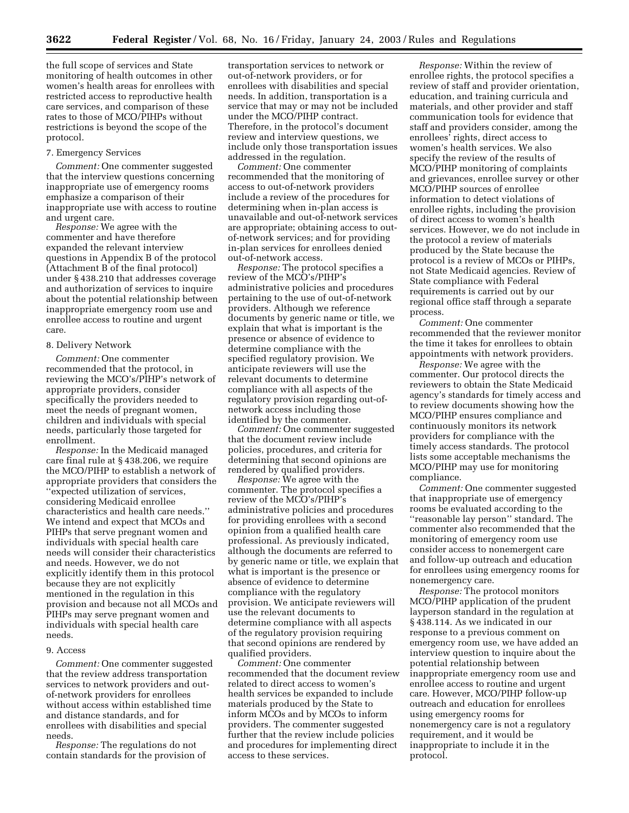the full scope of services and State monitoring of health outcomes in other women's health areas for enrollees with restricted access to reproductive health care services, and comparison of these rates to those of MCO/PIHPs without restrictions is beyond the scope of the protocol.

#### 7. Emergency Services

*Comment:* One commenter suggested that the interview questions concerning inappropriate use of emergency rooms emphasize a comparison of their inappropriate use with access to routine and urgent care.

*Response:* We agree with the commenter and have therefore expanded the relevant interview questions in Appendix B of the protocol (Attachment B of the final protocol) under § 438.210 that addresses coverage and authorization of services to inquire about the potential relationship between inappropriate emergency room use and enrollee access to routine and urgent care.

#### 8. Delivery Network

*Comment:* One commenter recommended that the protocol, in reviewing the MCO's/PIHP's network of appropriate providers, consider specifically the providers needed to meet the needs of pregnant women, children and individuals with special needs, particularly those targeted for enrollment.

*Response:* In the Medicaid managed care final rule at § 438.206, we require the MCO/PIHP to establish a network of appropriate providers that considers the ''expected utilization of services, considering Medicaid enrollee characteristics and health care needs.'' We intend and expect that MCOs and PIHPs that serve pregnant women and individuals with special health care needs will consider their characteristics and needs. However, we do not explicitly identify them in this protocol because they are not explicitly mentioned in the regulation in this provision and because not all MCOs and PIHPs may serve pregnant women and individuals with special health care needs.

#### 9. Access

*Comment:* One commenter suggested that the review address transportation services to network providers and outof-network providers for enrollees without access within established time and distance standards, and for enrollees with disabilities and special needs.

*Response:* The regulations do not contain standards for the provision of

transportation services to network or out-of-network providers, or for enrollees with disabilities and special needs. In addition, transportation is a service that may or may not be included under the MCO/PIHP contract. Therefore, in the protocol's document review and interview questions, we include only those transportation issues addressed in the regulation.

*Comment:* One commenter recommended that the monitoring of access to out-of-network providers include a review of the procedures for determining when in-plan access is unavailable and out-of-network services are appropriate; obtaining access to outof-network services; and for providing in-plan services for enrollees denied out-of-network access.

*Response:* The protocol specifies a review of the MCO's/PIHP's administrative policies and procedures pertaining to the use of out-of-network providers. Although we reference documents by generic name or title, we explain that what is important is the presence or absence of evidence to determine compliance with the specified regulatory provision. We anticipate reviewers will use the relevant documents to determine compliance with all aspects of the regulatory provision regarding out-ofnetwork access including those identified by the commenter.

*Comment:* One commenter suggested that the document review include policies, procedures, and criteria for determining that second opinions are rendered by qualified providers.

*Response:* We agree with the commenter. The protocol specifies a review of the MCO's/PIHP's administrative policies and procedures for providing enrollees with a second opinion from a qualified health care professional. As previously indicated, although the documents are referred to by generic name or title, we explain that what is important is the presence or absence of evidence to determine compliance with the regulatory provision. We anticipate reviewers will use the relevant documents to determine compliance with all aspects of the regulatory provision requiring that second opinions are rendered by qualified providers.

*Comment:* One commenter recommended that the document review related to direct access to women's health services be expanded to include materials produced by the State to inform MCOs and by MCOs to inform providers. The commenter suggested further that the review include policies and procedures for implementing direct access to these services.

*Response:* Within the review of enrollee rights, the protocol specifies a review of staff and provider orientation, education, and training curricula and materials, and other provider and staff communication tools for evidence that staff and providers consider, among the enrollees' rights, direct access to women's health services. We also specify the review of the results of MCO/PIHP monitoring of complaints and grievances, enrollee survey or other MCO/PIHP sources of enrollee information to detect violations of enrollee rights, including the provision of direct access to women's health services. However, we do not include in the protocol a review of materials produced by the State because the protocol is a review of MCOs or PIHPs, not State Medicaid agencies. Review of State compliance with Federal requirements is carried out by our regional office staff through a separate process.

*Comment:* One commenter recommended that the reviewer monitor the time it takes for enrollees to obtain appointments with network providers.

*Response:* We agree with the commenter. Our protocol directs the reviewers to obtain the State Medicaid agency's standards for timely access and to review documents showing how the MCO/PIHP ensures compliance and continuously monitors its network providers for compliance with the timely access standards. The protocol lists some acceptable mechanisms the MCO/PIHP may use for monitoring compliance.

*Comment:* One commenter suggested that inappropriate use of emergency rooms be evaluated according to the ''reasonable lay person'' standard. The commenter also recommended that the monitoring of emergency room use consider access to nonemergent care and follow-up outreach and education for enrollees using emergency rooms for nonemergency care.

*Response:* The protocol monitors MCO/PIHP application of the prudent layperson standard in the regulation at § 438.114. As we indicated in our response to a previous comment on emergency room use, we have added an interview question to inquire about the potential relationship between inappropriate emergency room use and enrollee access to routine and urgent care. However, MCO/PIHP follow-up outreach and education for enrollees using emergency rooms for nonemergency care is not a regulatory requirement, and it would be inappropriate to include it in the protocol.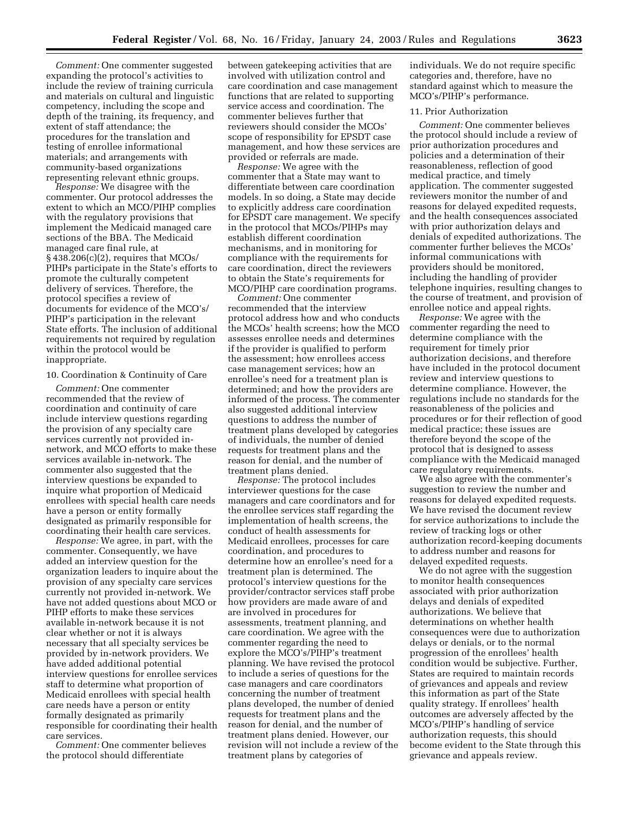*Comment:* One commenter suggested expanding the protocol's activities to include the review of training curricula and materials on cultural and linguistic competency, including the scope and depth of the training, its frequency, and extent of staff attendance; the procedures for the translation and testing of enrollee informational materials; and arrangements with community-based organizations representing relevant ethnic groups.

*Response:* We disagree with the commenter. Our protocol addresses the extent to which an MCO/PIHP complies with the regulatory provisions that implement the Medicaid managed care sections of the BBA. The Medicaid managed care final rule, at § 438.206(c)(2), requires that MCOs/ PIHPs participate in the State's efforts to promote the culturally competent delivery of services. Therefore, the protocol specifies a review of documents for evidence of the MCO's/ PIHP's participation in the relevant State efforts. The inclusion of additional requirements not required by regulation within the protocol would be inappropriate.

#### 10. Coordination & Continuity of Care

*Comment:* One commenter recommended that the review of coordination and continuity of care include interview questions regarding the provision of any specialty care services currently not provided innetwork, and MCO efforts to make these services available in-network. The commenter also suggested that the interview questions be expanded to inquire what proportion of Medicaid enrollees with special health care needs have a person or entity formally designated as primarily responsible for coordinating their health care services.

*Response:* We agree, in part, with the commenter. Consequently, we have added an interview question for the organization leaders to inquire about the provision of any specialty care services currently not provided in-network. We have not added questions about MCO or PIHP efforts to make these services available in-network because it is not clear whether or not it is always necessary that all specialty services be provided by in-network providers. We have added additional potential interview questions for enrollee services staff to determine what proportion of Medicaid enrollees with special health care needs have a person or entity formally designated as primarily responsible for coordinating their health care services.

*Comment:* One commenter believes the protocol should differentiate

between gatekeeping activities that are involved with utilization control and care coordination and case management functions that are related to supporting service access and coordination. The commenter believes further that reviewers should consider the MCOs' scope of responsibility for EPSDT case management, and how these services are provided or referrals are made.

*Response:* We agree with the commenter that a State may want to differentiate between care coordination models. In so doing, a State may decide to explicitly address care coordination for EPSDT care management. We specify in the protocol that MCOs/PIHPs may establish different coordination mechanisms, and in monitoring for compliance with the requirements for care coordination, direct the reviewers to obtain the State's requirements for MCO/PIHP care coordination programs.

*Comment:* One commenter recommended that the interview protocol address how and who conducts the MCOs' health screens; how the MCO assesses enrollee needs and determines if the provider is qualified to perform the assessment; how enrollees access case management services; how an enrollee's need for a treatment plan is determined; and how the providers are informed of the process. The commenter also suggested additional interview questions to address the number of treatment plans developed by categories of individuals, the number of denied requests for treatment plans and the reason for denial, and the number of treatment plans denied.

*Response:* The protocol includes interviewer questions for the case managers and care coordinators and for the enrollee services staff regarding the implementation of health screens, the conduct of health assessments for Medicaid enrollees, processes for care coordination, and procedures to determine how an enrollee's need for a treatment plan is determined. The protocol's interview questions for the provider/contractor services staff probe how providers are made aware of and are involved in procedures for assessments, treatment planning, and care coordination. We agree with the commenter regarding the need to explore the MCO's/PIHP's treatment planning. We have revised the protocol to include a series of questions for the case managers and care coordinators concerning the number of treatment plans developed, the number of denied requests for treatment plans and the reason for denial, and the number of treatment plans denied. However, our revision will not include a review of the treatment plans by categories of

individuals. We do not require specific categories and, therefore, have no standard against which to measure the MCO's/PIHP's performance.

#### 11. Prior Authorization

*Comment:* One commenter believes the protocol should include a review of prior authorization procedures and policies and a determination of their reasonableness, reflection of good medical practice, and timely application. The commenter suggested reviewers monitor the number of and reasons for delayed expedited requests, and the health consequences associated with prior authorization delays and denials of expedited authorizations. The commenter further believes the MCOs' informal communications with providers should be monitored, including the handling of provider telephone inquiries, resulting changes to the course of treatment, and provision of enrollee notice and appeal rights.

*Response:* We agree with the commenter regarding the need to determine compliance with the requirement for timely prior authorization decisions, and therefore have included in the protocol document review and interview questions to determine compliance. However, the regulations include no standards for the reasonableness of the policies and procedures or for their reflection of good medical practice; these issues are therefore beyond the scope of the protocol that is designed to assess compliance with the Medicaid managed care regulatory requirements.

We also agree with the commenter's suggestion to review the number and reasons for delayed expedited requests. We have revised the document review for service authorizations to include the review of tracking logs or other authorization record-keeping documents to address number and reasons for delayed expedited requests.

We do not agree with the suggestion to monitor health consequences associated with prior authorization delays and denials of expedited authorizations. We believe that determinations on whether health consequences were due to authorization delays or denials, or to the normal progression of the enrollees' health condition would be subjective. Further, States are required to maintain records of grievances and appeals and review this information as part of the State quality strategy. If enrollees' health outcomes are adversely affected by the MCO's/PIHP's handling of service authorization requests, this should become evident to the State through this grievance and appeals review.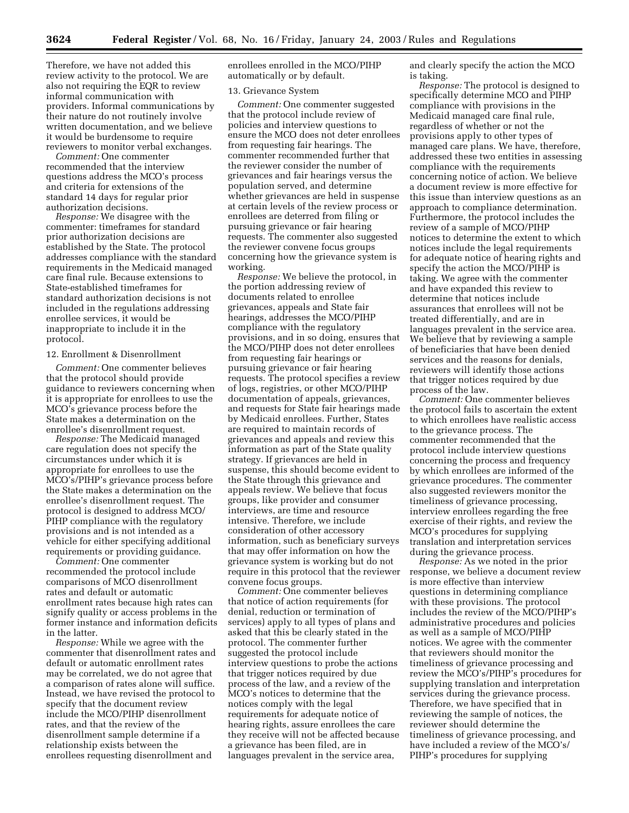Therefore, we have not added this review activity to the protocol. We are also not requiring the EQR to review informal communication with providers. Informal communications by their nature do not routinely involve written documentation, and we believe it would be burdensome to require reviewers to monitor verbal exchanges.

*Comment:* One commenter recommended that the interview questions address the MCO's process and criteria for extensions of the standard 14 days for regular prior authorization decisions.

*Response:* We disagree with the commenter: timeframes for standard prior authorization decisions are established by the State. The protocol addresses compliance with the standard requirements in the Medicaid managed care final rule. Because extensions to State-established timeframes for standard authorization decisions is not included in the regulations addressing enrollee services, it would be inappropriate to include it in the protocol.

#### 12. Enrollment & Disenrollment

*Comment:* One commenter believes that the protocol should provide guidance to reviewers concerning when it is appropriate for enrollees to use the MCO's grievance process before the State makes a determination on the enrollee's disenrollment request.

*Response:* The Medicaid managed care regulation does not specify the circumstances under which it is appropriate for enrollees to use the MCO's/PIHP's grievance process before the State makes a determination on the enrollee's disenrollment request. The protocol is designed to address MCO/ PIHP compliance with the regulatory provisions and is not intended as a vehicle for either specifying additional requirements or providing guidance.

*Comment:* One commenter recommended the protocol include comparisons of MCO disenrollment rates and default or automatic enrollment rates because high rates can signify quality or access problems in the former instance and information deficits in the latter.

*Response:* While we agree with the commenter that disenrollment rates and default or automatic enrollment rates may be correlated, we do not agree that a comparison of rates alone will suffice. Instead, we have revised the protocol to specify that the document review include the MCO/PIHP disenrollment rates, and that the review of the disenrollment sample determine if a relationship exists between the enrollees requesting disenrollment and

enrollees enrolled in the MCO/PIHP automatically or by default.

#### 13. Grievance System

*Comment:* One commenter suggested that the protocol include review of policies and interview questions to ensure the MCO does not deter enrollees from requesting fair hearings. The commenter recommended further that the reviewer consider the number of grievances and fair hearings versus the population served, and determine whether grievances are held in suspense at certain levels of the review process or enrollees are deterred from filing or pursuing grievance or fair hearing requests. The commenter also suggested the reviewer convene focus groups concerning how the grievance system is working.

*Response:* We believe the protocol, in the portion addressing review of documents related to enrollee grievances, appeals and State fair hearings, addresses the MCO/PIHP compliance with the regulatory provisions, and in so doing, ensures that the MCO/PIHP does not deter enrollees from requesting fair hearings or pursuing grievance or fair hearing requests. The protocol specifies a review of logs, registries, or other MCO/PIHP documentation of appeals, grievances, and requests for State fair hearings made by Medicaid enrollees. Further, States are required to maintain records of grievances and appeals and review this information as part of the State quality strategy. If grievances are held in suspense, this should become evident to the State through this grievance and appeals review. We believe that focus groups, like provider and consumer interviews, are time and resource intensive. Therefore, we include consideration of other accessory information, such as beneficiary surveys that may offer information on how the grievance system is working but do not require in this protocol that the reviewer convene focus groups.

*Comment:* One commenter believes that notice of action requirements (for denial, reduction or termination of services) apply to all types of plans and asked that this be clearly stated in the protocol. The commenter further suggested the protocol include interview questions to probe the actions that trigger notices required by due process of the law, and a review of the MCO's notices to determine that the notices comply with the legal requirements for adequate notice of hearing rights, assure enrollees the care they receive will not be affected because a grievance has been filed, are in languages prevalent in the service area,

and clearly specify the action the MCO is taking.

*Response:* The protocol is designed to specifically determine MCO and PIHP compliance with provisions in the Medicaid managed care final rule, regardless of whether or not the provisions apply to other types of managed care plans. We have, therefore, addressed these two entities in assessing compliance with the requirements concerning notice of action. We believe a document review is more effective for this issue than interview questions as an approach to compliance determination. Furthermore, the protocol includes the review of a sample of MCO/PIHP notices to determine the extent to which notices include the legal requirements for adequate notice of hearing rights and specify the action the MCO/PIHP is taking. We agree with the commenter and have expanded this review to determine that notices include assurances that enrollees will not be treated differentially, and are in languages prevalent in the service area. We believe that by reviewing a sample of beneficiaries that have been denied services and the reasons for denials, reviewers will identify those actions that trigger notices required by due process of the law.

*Comment:* One commenter believes the protocol fails to ascertain the extent to which enrollees have realistic access to the grievance process. The commenter recommended that the protocol include interview questions concerning the process and frequency by which enrollees are informed of the grievance procedures. The commenter also suggested reviewers monitor the timeliness of grievance processing, interview enrollees regarding the free exercise of their rights, and review the MCO's procedures for supplying translation and interpretation services during the grievance process.

*Response:* As we noted in the prior response, we believe a document review is more effective than interview questions in determining compliance with these provisions. The protocol includes the review of the MCO/PIHP's administrative procedures and policies as well as a sample of MCO/PIHP notices. We agree with the commenter that reviewers should monitor the timeliness of grievance processing and review the MCO's/PIHP's procedures for supplying translation and interpretation services during the grievance process. Therefore, we have specified that in reviewing the sample of notices, the reviewer should determine the timeliness of grievance processing, and have included a review of the MCO's/ PIHP's procedures for supplying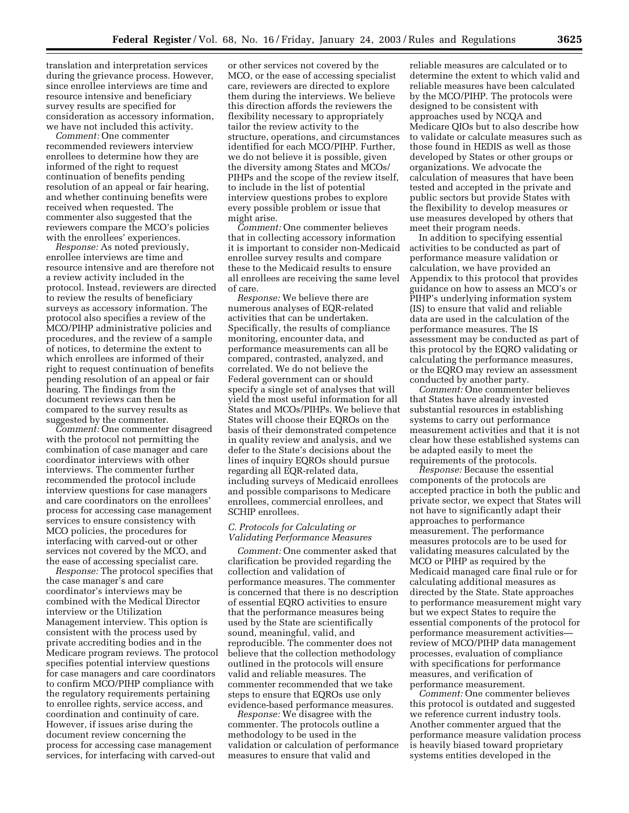translation and interpretation services during the grievance process. However, since enrollee interviews are time and resource intensive and beneficiary survey results are specified for consideration as accessory information, we have not included this activity.

*Comment:* One commenter recommended reviewers interview enrollees to determine how they are informed of the right to request continuation of benefits pending resolution of an appeal or fair hearing, and whether continuing benefits were received when requested. The commenter also suggested that the reviewers compare the MCO's policies with the enrollees' experiences.

*Response:* As noted previously, enrollee interviews are time and resource intensive and are therefore not a review activity included in the protocol. Instead, reviewers are directed to review the results of beneficiary surveys as accessory information. The protocol also specifies a review of the MCO/PIHP administrative policies and procedures, and the review of a sample of notices, to determine the extent to which enrollees are informed of their right to request continuation of benefits pending resolution of an appeal or fair hearing. The findings from the document reviews can then be compared to the survey results as suggested by the commenter.

*Comment:* One commenter disagreed with the protocol not permitting the combination of case manager and care coordinator interviews with other interviews. The commenter further recommended the protocol include interview questions for case managers and care coordinators on the enrollees' process for accessing case management services to ensure consistency with MCO policies, the procedures for interfacing with carved-out or other services not covered by the MCO, and the ease of accessing specialist care.

*Response:* The protocol specifies that the case manager's and care coordinator's interviews may be combined with the Medical Director interview or the Utilization Management interview. This option is consistent with the process used by private accrediting bodies and in the Medicare program reviews. The protocol specifies potential interview questions for case managers and care coordinators to confirm MCO/PIHP compliance with the regulatory requirements pertaining to enrollee rights, service access, and coordination and continuity of care. However, if issues arise during the document review concerning the process for accessing case management services, for interfacing with carved-out

or other services not covered by the MCO, or the ease of accessing specialist care, reviewers are directed to explore them during the interviews. We believe this direction affords the reviewers the flexibility necessary to appropriately tailor the review activity to the structure, operations, and circumstances identified for each MCO/PIHP. Further, we do not believe it is possible, given the diversity among States and MCOs/ PIHPs and the scope of the review itself, to include in the list of potential interview questions probes to explore every possible problem or issue that might arise.

*Comment:* One commenter believes that in collecting accessory information it is important to consider non-Medicaid enrollee survey results and compare these to the Medicaid results to ensure all enrollees are receiving the same level of care.

*Response:* We believe there are numerous analyses of EQR-related activities that can be undertaken. Specifically, the results of compliance monitoring, encounter data, and performance measurements can all be compared, contrasted, analyzed, and correlated. We do not believe the Federal government can or should specify a single set of analyses that will yield the most useful information for all States and MCOs/PIHPs. We believe that States will choose their EQROs on the basis of their demonstrated competence in quality review and analysis, and we defer to the State's decisions about the lines of inquiry EQROs should pursue regarding all EQR-related data, including surveys of Medicaid enrollees and possible comparisons to Medicare enrollees, commercial enrollees, and SCHIP enrollees.

#### *C. Protocols for Calculating or Validating Performance Measures*

*Comment:* One commenter asked that clarification be provided regarding the collection and validation of performance measures. The commenter is concerned that there is no description of essential EQRO activities to ensure that the performance measures being used by the State are scientifically sound, meaningful, valid, and reproducible. The commenter does not believe that the collection methodology outlined in the protocols will ensure valid and reliable measures. The commenter recommended that we take steps to ensure that EQROs use only evidence-based performance measures.

*Response:* We disagree with the commenter. The protocols outline a methodology to be used in the validation or calculation of performance measures to ensure that valid and

reliable measures are calculated or to determine the extent to which valid and reliable measures have been calculated by the MCO/PIHP. The protocols were designed to be consistent with approaches used by NCQA and Medicare QIOs but to also describe how to validate or calculate measures such as those found in HEDIS as well as those developed by States or other groups or organizations. We advocate the calculation of measures that have been tested and accepted in the private and public sectors but provide States with the flexibility to develop measures or use measures developed by others that meet their program needs.

In addition to specifying essential activities to be conducted as part of performance measure validation or calculation, we have provided an Appendix to this protocol that provides guidance on how to assess an MCO's or PIHP's underlying information system (IS) to ensure that valid and reliable data are used in the calculation of the performance measures. The IS assessment may be conducted as part of this protocol by the EQRO validating or calculating the performance measures, or the EQRO may review an assessment conducted by another party.

*Comment:* One commenter believes that States have already invested substantial resources in establishing systems to carry out performance measurement activities and that it is not clear how these established systems can be adapted easily to meet the requirements of the protocols.

*Response:* Because the essential components of the protocols are accepted practice in both the public and private sector, we expect that States will not have to significantly adapt their approaches to performance measurement. The performance measures protocols are to be used for validating measures calculated by the MCO or PIHP as required by the Medicaid managed care final rule or for calculating additional measures as directed by the State. State approaches to performance measurement might vary but we expect States to require the essential components of the protocol for performance measurement activities review of MCO/PIHP data management processes, evaluation of compliance with specifications for performance measures, and verification of performance measurement.

*Comment:* One commenter believes this protocol is outdated and suggested we reference current industry tools. Another commenter argued that the performance measure validation process is heavily biased toward proprietary systems entities developed in the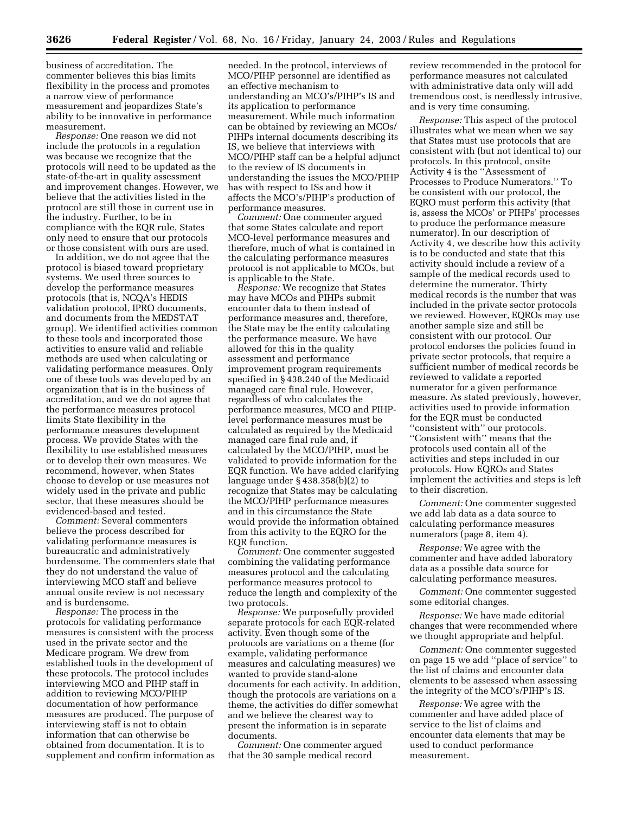business of accreditation. The commenter believes this bias limits flexibility in the process and promotes a narrow view of performance measurement and jeopardizes State's ability to be innovative in performance measurement.

*Response:* One reason we did not include the protocols in a regulation was because we recognize that the protocols will need to be updated as the state-of-the-art in quality assessment and improvement changes. However, we believe that the activities listed in the protocol are still those in current use in the industry. Further, to be in compliance with the EQR rule, States only need to ensure that our protocols or those consistent with ours are used.

In addition, we do not agree that the protocol is biased toward proprietary systems. We used three sources to develop the performance measures protocols (that is, NCQA's HEDIS validation protocol, IPRO documents, and documents from the MEDSTAT group). We identified activities common to these tools and incorporated those activities to ensure valid and reliable methods are used when calculating or validating performance measures. Only one of these tools was developed by an organization that is in the business of accreditation, and we do not agree that the performance measures protocol limits State flexibility in the performance measures development process. We provide States with the flexibility to use established measures or to develop their own measures. We recommend, however, when States choose to develop or use measures not widely used in the private and public sector, that these measures should be evidenced-based and tested.

*Comment:* Several commenters believe the process described for validating performance measures is bureaucratic and administratively burdensome. The commenters state that they do not understand the value of interviewing MCO staff and believe annual onsite review is not necessary and is burdensome.

*Response:* The process in the protocols for validating performance measures is consistent with the process used in the private sector and the Medicare program. We drew from established tools in the development of these protocols. The protocol includes interviewing MCO and PIHP staff in addition to reviewing MCO/PIHP documentation of how performance measures are produced. The purpose of interviewing staff is not to obtain information that can otherwise be obtained from documentation. It is to supplement and confirm information as

needed. In the protocol, interviews of MCO/PIHP personnel are identified as an effective mechanism to understanding an MCO's/PIHP's IS and its application to performance measurement. While much information can be obtained by reviewing an MCOs/ PIHPs internal documents describing its IS, we believe that interviews with MCO/PIHP staff can be a helpful adjunct to the review of IS documents in understanding the issues the MCO/PIHP has with respect to ISs and how it affects the MCO's/PIHP's production of performance measures.

*Comment:* One commenter argued that some States calculate and report MCO-level performance measures and therefore, much of what is contained in the calculating performance measures protocol is not applicable to MCOs, but is applicable to the State.

*Response:* We recognize that States may have MCOs and PIHPs submit encounter data to them instead of performance measures and, therefore, the State may be the entity calculating the performance measure. We have allowed for this in the quality assessment and performance improvement program requirements specified in § 438.240 of the Medicaid managed care final rule. However, regardless of who calculates the performance measures, MCO and PIHPlevel performance measures must be calculated as required by the Medicaid managed care final rule and, if calculated by the MCO/PIHP, must be validated to provide information for the EQR function. We have added clarifying language under § 438.358(b)(2) to recognize that States may be calculating the MCO/PIHP performance measures and in this circumstance the State would provide the information obtained from this activity to the EQRO for the EQR function.

*Comment:* One commenter suggested combining the validating performance measures protocol and the calculating performance measures protocol to reduce the length and complexity of the two protocols.

*Response:* We purposefully provided separate protocols for each EQR-related activity. Even though some of the protocols are variations on a theme (for example, validating performance measures and calculating measures) we wanted to provide stand-alone documents for each activity. In addition, though the protocols are variations on a theme, the activities do differ somewhat and we believe the clearest way to present the information is in separate documents.

*Comment:* One commenter argued that the 30 sample medical record

review recommended in the protocol for performance measures not calculated with administrative data only will add tremendous cost, is needlessly intrusive, and is very time consuming.

*Response:* This aspect of the protocol illustrates what we mean when we say that States must use protocols that are consistent with (but not identical to) our protocols. In this protocol, onsite Activity 4 is the ''Assessment of Processes to Produce Numerators.'' To be consistent with our protocol, the EQRO must perform this activity (that is, assess the MCOs' or PIHPs' processes to produce the performance measure numerator). In our description of Activity 4, we describe how this activity is to be conducted and state that this activity should include a review of a sample of the medical records used to determine the numerator. Thirty medical records is the number that was included in the private sector protocols we reviewed. However, EQROs may use another sample size and still be consistent with our protocol. Our protocol endorses the policies found in private sector protocols, that require a sufficient number of medical records be reviewed to validate a reported numerator for a given performance measure. As stated previously, however, activities used to provide information for the EQR must be conducted ''consistent with'' our protocols. ''Consistent with'' means that the protocols used contain all of the activities and steps included in our protocols. How EQROs and States implement the activities and steps is left to their discretion.

*Comment:* One commenter suggested we add lab data as a data source to calculating performance measures numerators (page 8, item 4).

*Response:* We agree with the commenter and have added laboratory data as a possible data source for calculating performance measures.

*Comment:* One commenter suggested some editorial changes.

*Response:* We have made editorial changes that were recommended where we thought appropriate and helpful.

*Comment:* One commenter suggested on page 15 we add ''place of service'' to the list of claims and encounter data elements to be assessed when assessing the integrity of the MCO's/PIHP's IS.

*Response:* We agree with the commenter and have added place of service to the list of claims and encounter data elements that may be used to conduct performance measurement.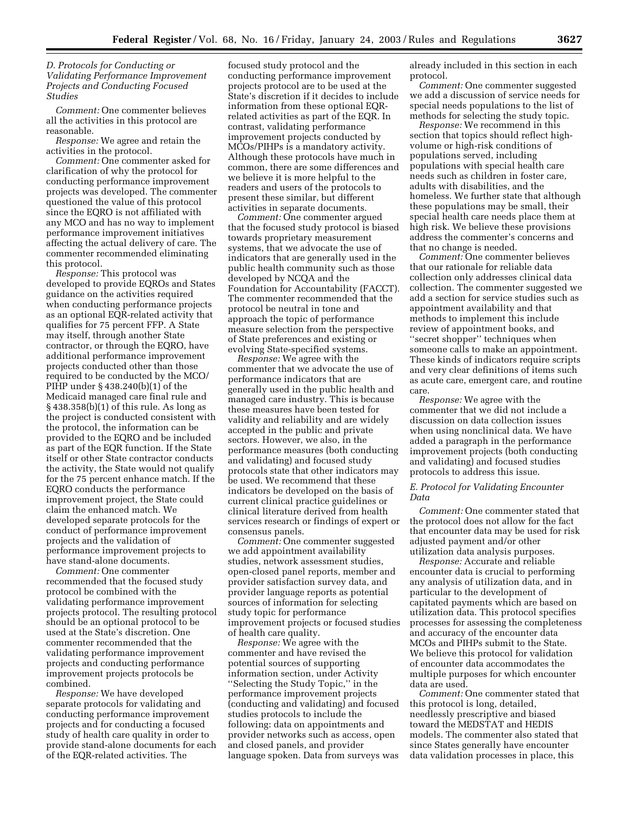#### *D. Protocols for Conducting or Validating Performance Improvement Projects and Conducting Focused Studies*

*Comment:* One commenter believes all the activities in this protocol are reasonable.

*Response:* We agree and retain the activities in the protocol.

*Comment:* One commenter asked for clarification of why the protocol for conducting performance improvement projects was developed. The commenter questioned the value of this protocol since the EQRO is not affiliated with any MCO and has no way to implement performance improvement initiatives affecting the actual delivery of care. The commenter recommended eliminating this protocol.

*Response:* This protocol was developed to provide EQROs and States guidance on the activities required when conducting performance projects as an optional EQR-related activity that qualifies for 75 percent FFP. A State may itself, through another State contractor, or through the EQRO, have additional performance improvement projects conducted other than those required to be conducted by the MCO/ PIHP under § 438.240(b)(1) of the Medicaid managed care final rule and § 438.358(b)(1) of this rule. As long as the project is conducted consistent with the protocol, the information can be provided to the EQRO and be included as part of the EQR function. If the State itself or other State contractor conducts the activity, the State would not qualify for the 75 percent enhance match. If the EQRO conducts the performance improvement project, the State could claim the enhanced match. We developed separate protocols for the conduct of performance improvement projects and the validation of performance improvement projects to have stand-alone documents.

*Comment:* One commenter recommended that the focused study protocol be combined with the validating performance improvement projects protocol. The resulting protocol should be an optional protocol to be used at the State's discretion. One commenter recommended that the validating performance improvement projects and conducting performance improvement projects protocols be combined.

*Response:* We have developed separate protocols for validating and conducting performance improvement projects and for conducting a focused study of health care quality in order to provide stand-alone documents for each of the EQR-related activities. The

focused study protocol and the conducting performance improvement projects protocol are to be used at the State's discretion if it decides to include information from these optional EQRrelated activities as part of the EQR. In contrast, validating performance improvement projects conducted by MCOs/PIHPs is a mandatory activity. Although these protocols have much in common, there are some differences and we believe it is more helpful to the readers and users of the protocols to present these similar, but different activities in separate documents.

*Comment:* One commenter argued that the focused study protocol is biased towards proprietary measurement systems, that we advocate the use of indicators that are generally used in the public health community such as those developed by NCQA and the Foundation for Accountability (FACCT). The commenter recommended that the protocol be neutral in tone and approach the topic of performance measure selection from the perspective of State preferences and existing or evolving State-specified systems.

*Response:* We agree with the commenter that we advocate the use of performance indicators that are generally used in the public health and managed care industry. This is because these measures have been tested for validity and reliability and are widely accepted in the public and private sectors. However, we also, in the performance measures (both conducting and validating) and focused study protocols state that other indicators may be used. We recommend that these indicators be developed on the basis of current clinical practice guidelines or clinical literature derived from health services research or findings of expert or consensus panels.

*Comment:* One commenter suggested we add appointment availability studies, network assessment studies, open-closed panel reports, member and provider satisfaction survey data, and provider language reports as potential sources of information for selecting study topic for performance improvement projects or focused studies of health care quality.

*Response:* We agree with the commenter and have revised the potential sources of supporting information section, under Activity ''Selecting the Study Topic,'' in the performance improvement projects (conducting and validating) and focused studies protocols to include the following: data on appointments and provider networks such as access, open and closed panels, and provider language spoken. Data from surveys was

already included in this section in each protocol.

*Comment:* One commenter suggested we add a discussion of service needs for special needs populations to the list of methods for selecting the study topic.

*Response:* We recommend in this section that topics should reflect highvolume or high-risk conditions of populations served, including populations with special health care needs such as children in foster care, adults with disabilities, and the homeless. We further state that although these populations may be small, their special health care needs place them at high risk. We believe these provisions address the commenter's concerns and that no change is needed.

*Comment:* One commenter believes that our rationale for reliable data collection only addresses clinical data collection. The commenter suggested we add a section for service studies such as appointment availability and that methods to implement this include review of appointment books, and ''secret shopper'' techniques when someone calls to make an appointment. These kinds of indicators require scripts and very clear definitions of items such as acute care, emergent care, and routine care.

*Response:* We agree with the commenter that we did not include a discussion on data collection issues when using nonclinical data. We have added a paragraph in the performance improvement projects (both conducting and validating) and focused studies protocols to address this issue.

#### *E. Protocol for Validating Encounter Data*

*Comment:* One commenter stated that the protocol does not allow for the fact that encounter data may be used for risk adjusted payment and/or other utilization data analysis purposes.

*Response:* Accurate and reliable encounter data is crucial to performing any analysis of utilization data, and in particular to the development of capitated payments which are based on utilization data. This protocol specifies processes for assessing the completeness and accuracy of the encounter data MCOs and PIHPs submit to the State. We believe this protocol for validation of encounter data accommodates the multiple purposes for which encounter data are used.

*Comment:* One commenter stated that this protocol is long, detailed, needlessly prescriptive and biased toward the MEDSTAT and HEDIS models. The commenter also stated that since States generally have encounter data validation processes in place, this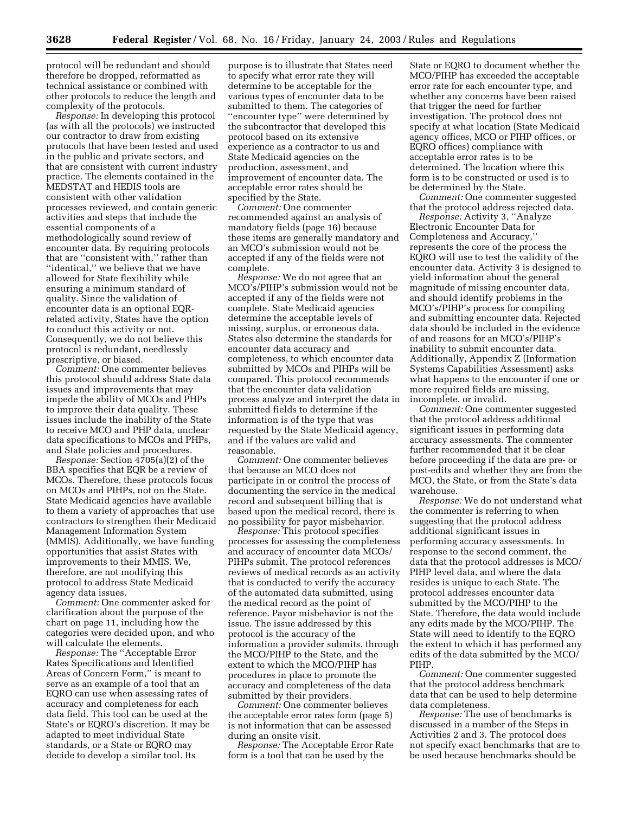protocol will be redundant and should therefore be dropped, reformatted as technical assistance or combined with other protocols to reduce the length and complexity of the protocols.

*Response:* In developing this protocol (as with all the protocols) we instructed our contractor to draw from existing protocols that have been tested and used in the public and private sectors, and that are consistent with current industry practice. The elements contained in the MEDSTAT and HEDIS tools are consistent with other validation processes reviewed, and contain generic activities and steps that include the essential components of a methodologically sound review of encounter data. By requiring protocols that are ''consistent with,'' rather than ''identical,'' we believe that we have allowed for State flexibility while ensuring a minimum standard of quality. Since the validation of encounter data is an optional EQRrelated activity, States have the option to conduct this activity or not. Consequently, we do not believe this protocol is redundant, needlessly prescriptive, or biased.

*Comment:* One commenter believes this protocol should address State data issues and improvements that may impede the ability of MCOs and PHPs to improve their data quality. These issues include the inability of the State to receive MCO and PHP data, unclear data specifications to MCOs and PHPs, and State policies and procedures.

*Response:* Section 4705(a)(2) of the BBA specifies that EQR be a review of MCOs. Therefore, these protocols focus on MCOs and PIHPs, not on the State. State Medicaid agencies have available to them a variety of approaches that use contractors to strengthen their Medicaid Management Information System (MMIS). Additionally, we have funding opportunities that assist States with improvements to their MMIS. We, therefore, are not modifying this protocol to address State Medicaid agency data issues.

*Comment:* One commenter asked for clarification about the purpose of the chart on page 11, including how the categories were decided upon, and who will calculate the elements.

*Response:* The ''Acceptable Error Rates Specifications and Identified Areas of Concern Form,'' is meant to serve as an example of a tool that an EQRO can use when assessing rates of accuracy and completeness for each data field. This tool can be used at the State's or EQRO's discretion. It may be adapted to meet individual State standards, or a State or EQRO may decide to develop a similar tool. Its

purpose is to illustrate that States need to specify what error rate they will determine to be acceptable for the various types of encounter data to be submitted to them. The categories of ''encounter type'' were determined by the subcontractor that developed this protocol based on its extensive experience as a contractor to us and State Medicaid agencies on the production, assessment, and improvement of encounter data. The acceptable error rates should be specified by the State.

*Comment:* One commenter recommended against an analysis of mandatory fields (page 16) because these items are generally mandatory and an MCO's submission would not be accepted if any of the fields were not complete.

*Response:* We do not agree that an MCO's/PIHP's submission would not be accepted if any of the fields were not complete. State Medicaid agencies determine the acceptable levels of missing, surplus, or erroneous data. States also determine the standards for encounter data accuracy and completeness, to which encounter data submitted by MCOs and PIHPs will be compared. This protocol recommends that the encounter data validation process analyze and interpret the data in submitted fields to determine if the information is of the type that was requested by the State Medicaid agency, and if the values are valid and reasonable.

*Comment:* One commenter believes that because an MCO does not participate in or control the process of documenting the service in the medical record and subsequent billing that is based upon the medical record, there is no possibility for payor misbehavior.

*Response:* This protocol specifies processes for assessing the completeness and accuracy of encounter data MCOs/ PIHPs submit. The protocol references reviews of medical records as an activity that is conducted to verify the accuracy of the automated data submitted, using the medical record as the point of reference. Payor misbehavior is not the issue. The issue addressed by this protocol is the accuracy of the information a provider submits, through the MCO/PIHP to the State, and the extent to which the MCO/PIHP has procedures in place to promote the accuracy and completeness of the data submitted by their providers.

*Comment:* One commenter believes the acceptable error rates form (page 5) is not information that can be assessed during an onsite visit.

*Response:* The Acceptable Error Rate form is a tool that can be used by the

State or EQRO to document whether the MCO/PIHP has exceeded the acceptable error rate for each encounter type, and whether any concerns have been raised that trigger the need for further investigation. The protocol does not specify at what location (State Medicaid agency offices, MCO or PIHP offices, or EQRO offices) compliance with acceptable error rates is to be determined. The location where this form is to be constructed or used is to be determined by the State.

*Comment:* One commenter suggested that the protocol address rejected data.

*Response:* Activity 3, ''Analyze Electronic Encounter Data for Completeness and Accuracy,'' represents the core of the process the EQRO will use to test the validity of the encounter data. Activity 3 is designed to yield information about the general magnitude of missing encounter data, and should identify problems in the MCO's/PIHP's process for compiling and submitting encounter data. Rejected data should be included in the evidence of and reasons for an MCO's/PIHP's inability to submit encounter data. Additionally, Appendix Z (Information Systems Capabilities Assessment) asks what happens to the encounter if one or more required fields are missing, incomplete, or invalid.

*Comment:* One commenter suggested that the protocol address additional significant issues in performing data accuracy assessments. The commenter further recommended that it be clear before proceeding if the data are pre- or post-edits and whether they are from the MCO, the State, or from the State's data warehouse.

*Response:* We do not understand what the commenter is referring to when suggesting that the protocol address additional significant issues in performing accuracy assessments. In response to the second comment, the data that the protocol addresses is MCO/ PIHP level data, and where the data resides is unique to each State. The protocol addresses encounter data submitted by the MCO/PIHP to the State. Therefore, the data would include any edits made by the MCO/PIHP. The State will need to identify to the EQRO the extent to which it has performed any edits of the data submitted by the MCO/ PIHP.

*Comment:* One commenter suggested that the protocol address benchmark data that can be used to help determine data completeness.

*Response:* The use of benchmarks is discussed in a number of the Steps in Activities 2 and 3. The protocol does not specify exact benchmarks that are to be used because benchmarks should be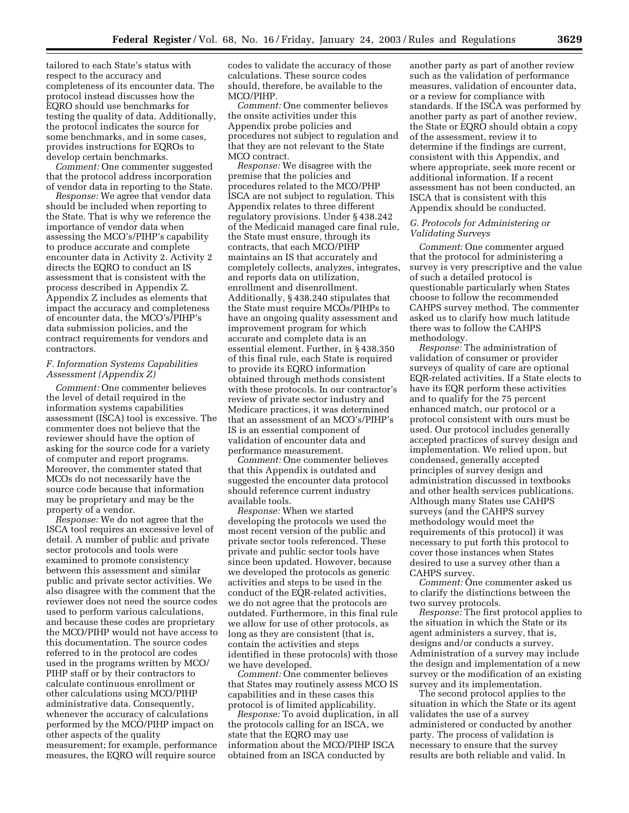tailored to each State's status with respect to the accuracy and completeness of its encounter data. The protocol instead discusses how the EQRO should use benchmarks for testing the quality of data. Additionally, the protocol indicates the source for some benchmarks, and in some cases, provides instructions for EQROs to develop certain benchmarks.

*Comment:* One commenter suggested that the protocol address incorporation of vendor data in reporting to the State.

*Response:* We agree that vendor data should be included when reporting to the State. That is why we reference the importance of vendor data when assessing the MCO's/PIHP's capability to produce accurate and complete encounter data in Activity 2. Activity 2 directs the EQRO to conduct an IS assessment that is consistent with the process described in Appendix Z. Appendix Z includes as elements that impact the accuracy and completeness of encounter data, the MCO's/PIHP's data submission policies, and the contract requirements for vendors and contractors.

#### *F. Information Systems Capabilities Assessment (Appendix Z)*

*Comment:* One commenter believes the level of detail required in the information systems capabilities assessment (ISCA) tool is excessive. The commenter does not believe that the reviewer should have the option of asking for the source code for a variety of computer and report programs. Moreover, the commenter stated that MCOs do not necessarily have the source code because that information may be proprietary and may be the property of a vendor.

*Response:* We do not agree that the ISCA tool requires an excessive level of detail. A number of public and private sector protocols and tools were examined to promote consistency between this assessment and similar public and private sector activities. We also disagree with the comment that the reviewer does not need the source codes used to perform various calculations, and because these codes are proprietary the MCO/PIHP would not have access to this documentation. The source codes referred to in the protocol are codes used in the programs written by MCO/ PIHP staff or by their contractors to calculate continuous enrollment or other calculations using MCO/PIHP administrative data. Consequently, whenever the accuracy of calculations performed by the MCO/PIHP impact on other aspects of the quality measurement; for example, performance measures, the EQRO will require source

codes to validate the accuracy of those calculations. These source codes should, therefore, be available to the MCO/PIHP.

*Comment:* One commenter believes the onsite activities under this Appendix probe policies and procedures not subject to regulation and that they are not relevant to the State MCO contract.

*Response:* We disagree with the premise that the policies and procedures related to the MCO/PHP ISCA are not subject to regulation. This Appendix relates to three different regulatory provisions. Under § 438.242 of the Medicaid managed care final rule, the State must ensure, through its contracts, that each MCO/PIHP maintains an IS that accurately and completely collects, analyzes, integrates, and reports data on utilization, enrollment and disenrollment. Additionally, § 438.240 stipulates that the State must require MCOs/PIHPs to have an ongoing quality assessment and improvement program for which accurate and complete data is an essential element. Further, in § 438.350 of this final rule, each State is required to provide its EQRO information obtained through methods consistent with these protocols. In our contractor's review of private sector industry and Medicare practices, it was determined that an assessment of an MCO's/PIHP's IS is an essential component of validation of encounter data and performance measurement.

*Comment:* One commenter believes that this Appendix is outdated and suggested the encounter data protocol should reference current industry available tools.

*Response:* When we started developing the protocols we used the most recent version of the public and private sector tools referenced. These private and public sector tools have since been updated. However, because we developed the protocols as generic activities and steps to be used in the conduct of the EQR-related activities, we do not agree that the protocols are outdated. Furthermore, in this final rule we allow for use of other protocols, as long as they are consistent (that is, contain the activities and steps identified in these protocols) with those we have developed.

*Comment:* One commenter believes that States may routinely assess MCO IS capabilities and in these cases this protocol is of limited applicability.

*Response:* To avoid duplication, in all the protocols calling for an ISCA, we state that the EQRO may use information about the MCO/PIHP ISCA obtained from an ISCA conducted by

another party as part of another review such as the validation of performance measures, validation of encounter data, or a review for compliance with standards. If the ISCA was performed by another party as part of another review, the State or EQRO should obtain a copy of the assessment, review it to determine if the findings are current, consistent with this Appendix, and where appropriate, seek more recent or additional information. If a recent assessment has not been conducted, an ISCA that is consistent with this Appendix should be conducted.

#### *G. Protocols for Administering or Validating Surveys*

*Comment:* One commenter argued that the protocol for administering a survey is very prescriptive and the value of such a detailed protocol is questionable particularly when States choose to follow the recommended CAHPS survey method. The commenter asked us to clarify how much latitude there was to follow the CAHPS methodology.

*Response:* The administration of validation of consumer or provider surveys of quality of care are optional EQR-related activities. If a State elects to have its EQR perform these activities and to qualify for the 75 percent enhanced match, our protocol or a protocol consistent with ours must be used. Our protocol includes generally accepted practices of survey design and implementation. We relied upon, but condensed, generally accepted principles of survey design and administration discussed in textbooks and other health services publications. Although many States use CAHPS surveys (and the CAHPS survey methodology would meet the requirements of this protocol) it was necessary to put forth this protocol to cover those instances when States desired to use a survey other than a CAHPS survey.

*Comment:* One commenter asked us to clarify the distinctions between the two survey protocols.

*Response:* The first protocol applies to the situation in which the State or its agent administers a survey, that is, designs and/or conducts a survey. Administration of a survey may include the design and implementation of a new survey or the modification of an existing survey and its implementation.

The second protocol applies to the situation in which the State or its agent validates the use of a survey administered or conducted by another party. The process of validation is necessary to ensure that the survey results are both reliable and valid. In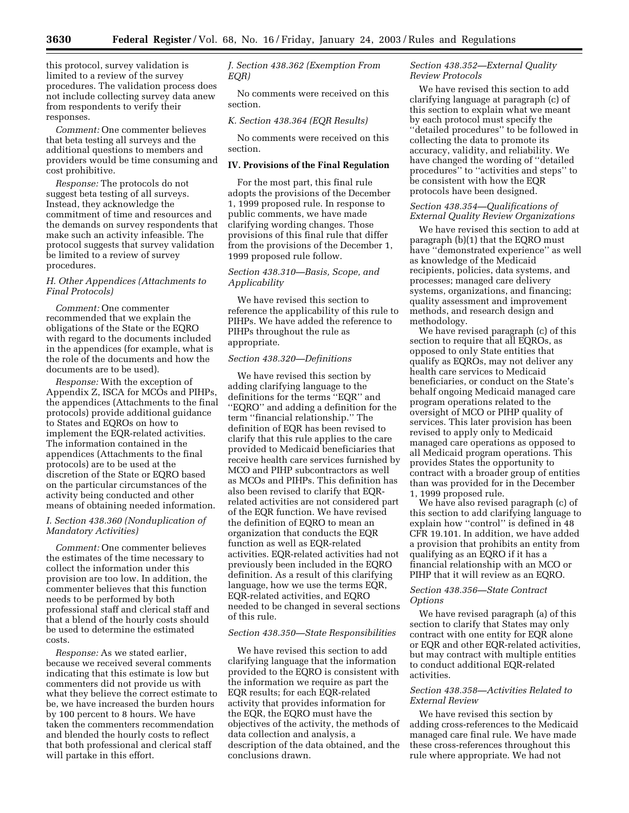this protocol, survey validation is limited to a review of the survey procedures. The validation process does not include collecting survey data anew from respondents to verify their responses.

*Comment:* One commenter believes that beta testing all surveys and the additional questions to members and providers would be time consuming and cost prohibitive.

*Response:* The protocols do not suggest beta testing of all surveys. Instead, they acknowledge the commitment of time and resources and the demands on survey respondents that make such an activity infeasible. The protocol suggests that survey validation be limited to a review of survey procedures.

#### *H. Other Appendices (Attachments to Final Protocols)*

*Comment:* One commenter recommended that we explain the obligations of the State or the EQRO with regard to the documents included in the appendices (for example, what is the role of the documents and how the documents are to be used).

*Response:* With the exception of Appendix Z, ISCA for MCOs and PIHPs, the appendices (Attachments to the final protocols) provide additional guidance to States and EQROs on how to implement the EQR-related activities. The information contained in the appendices (Attachments to the final protocols) are to be used at the discretion of the State or EQRO based on the particular circumstances of the activity being conducted and other means of obtaining needed information.

#### *I. Section 438.360 (Nonduplication of Mandatory Activities)*

*Comment:* One commenter believes the estimates of the time necessary to collect the information under this provision are too low. In addition, the commenter believes that this function needs to be performed by both professional staff and clerical staff and that a blend of the hourly costs should be used to determine the estimated costs.

*Response:* As we stated earlier, because we received several comments indicating that this estimate is low but commenters did not provide us with what they believe the correct estimate to be, we have increased the burden hours by 100 percent to 8 hours. We have taken the commenters recommendation and blended the hourly costs to reflect that both professional and clerical staff will partake in this effort.

*J. Section 438.362 (Exemption From EQR)* 

No comments were received on this section.

#### *K. Section 438.364 (EQR Results)*

No comments were received on this section.

#### **IV. Provisions of the Final Regulation**

For the most part, this final rule adopts the provisions of the December 1, 1999 proposed rule. In response to public comments, we have made clarifying wording changes. Those provisions of this final rule that differ from the provisions of the December 1, 1999 proposed rule follow.

#### *Section 438.310—Basis, Scope, and Applicability*

We have revised this section to reference the applicability of this rule to PIHPs. We have added the reference to PIHPs throughout the rule as appropriate.

#### *Section 438.320—Definitions*

We have revised this section by adding clarifying language to the definitions for the terms ''EQR'' and ''EQRO'' and adding a definition for the term ''financial relationship.'' The definition of EQR has been revised to clarify that this rule applies to the care provided to Medicaid beneficiaries that receive health care services furnished by MCO and PIHP subcontractors as well as MCOs and PIHPs. This definition has also been revised to clarify that EQRrelated activities are not considered part of the EQR function. We have revised the definition of EQRO to mean an organization that conducts the EQR function as well as EQR-related activities. EQR-related activities had not previously been included in the EQRO definition. As a result of this clarifying language, how we use the terms EQR, EQR-related activities, and EQRO needed to be changed in several sections of this rule.

#### *Section 438.350—State Responsibilities*

We have revised this section to add clarifying language that the information provided to the EQRO is consistent with the information we require as part the EQR results; for each EQR-related activity that provides information for the EQR, the EQRO must have the objectives of the activity, the methods of data collection and analysis, a description of the data obtained, and the conclusions drawn.

#### *Section 438.352—External Quality Review Protocols*

We have revised this section to add clarifying language at paragraph (c) of this section to explain what we meant by each protocol must specify the ''detailed procedures'' to be followed in collecting the data to promote its accuracy, validity, and reliability. We have changed the wording of ''detailed procedures'' to ''activities and steps'' to be consistent with how the EQR protocols have been designed.

#### *Section 438.354—Qualifications of External Quality Review Organizations*

We have revised this section to add at paragraph (b)(1) that the EQRO must have ''demonstrated experience'' as well as knowledge of the Medicaid recipients, policies, data systems, and processes; managed care delivery systems, organizations, and financing; quality assessment and improvement methods, and research design and methodology.

We have revised paragraph (c) of this section to require that all EQROs, as opposed to only State entities that qualify as EQROs, may not deliver any health care services to Medicaid beneficiaries, or conduct on the State's behalf ongoing Medicaid managed care program operations related to the oversight of MCO or PIHP quality of services. This later provision has been revised to apply only to Medicaid managed care operations as opposed to all Medicaid program operations. This provides States the opportunity to contract with a broader group of entities than was provided for in the December 1, 1999 proposed rule.

We have also revised paragraph (c) of this section to add clarifying language to explain how ''control'' is defined in 48 CFR 19.101. In addition, we have added a provision that prohibits an entity from qualifying as an EQRO if it has a financial relationship with an MCO or PIHP that it will review as an EQRO.

#### *Section 438.356—State Contract Options*

We have revised paragraph (a) of this section to clarify that States may only contract with one entity for EQR alone or EQR and other EQR-related activities, but may contract with multiple entities to conduct additional EQR-related activities.

#### *Section 438.358—Activities Related to External Review*

We have revised this section by adding cross-references to the Medicaid managed care final rule. We have made these cross-references throughout this rule where appropriate. We had not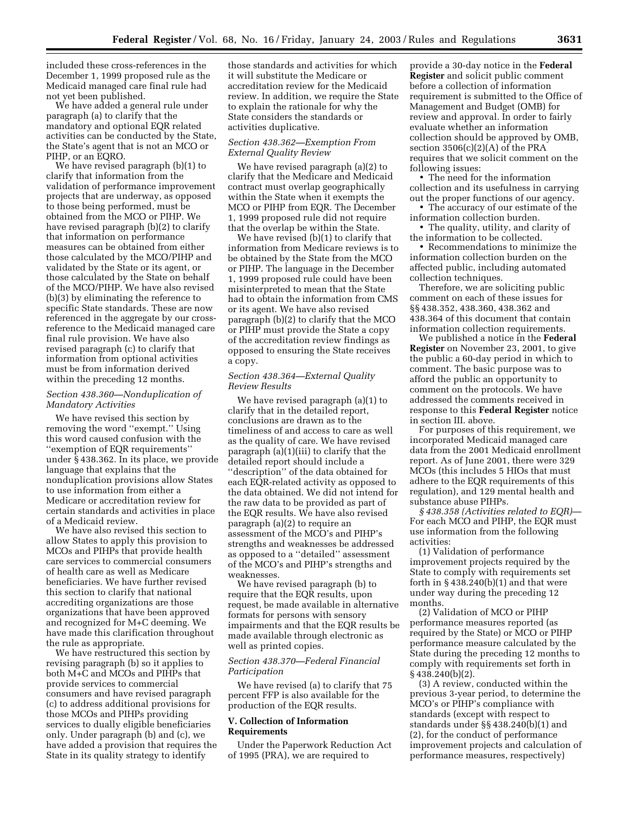included these cross-references in the December 1, 1999 proposed rule as the Medicaid managed care final rule had not yet been published.

We have added a general rule under paragraph (a) to clarify that the mandatory and optional EQR related activities can be conducted by the State, the State's agent that is not an MCO or PIHP, or an EQRO.

We have revised paragraph (b)(1) to clarify that information from the validation of performance improvement projects that are underway, as opposed to those being performed, must be obtained from the MCO or PIHP. We have revised paragraph (b)(2) to clarify that information on performance measures can be obtained from either those calculated by the MCO/PIHP and validated by the State or its agent, or those calculated by the State on behalf of the MCO/PIHP. We have also revised (b)(3) by eliminating the reference to specific State standards. These are now referenced in the aggregate by our crossreference to the Medicaid managed care final rule provision. We have also revised paragraph (c) to clarify that information from optional activities must be from information derived within the preceding 12 months.

#### *Section 438.360—Nonduplication of Mandatory Activities*

We have revised this section by removing the word ''exempt.'' Using this word caused confusion with the ''exemption of EQR requirements'' under § 438.362. In its place, we provide language that explains that the nonduplication provisions allow States to use information from either a Medicare or accreditation review for certain standards and activities in place of a Medicaid review.

We have also revised this section to allow States to apply this provision to MCOs and PIHPs that provide health care services to commercial consumers of health care as well as Medicare beneficiaries. We have further revised this section to clarify that national accrediting organizations are those organizations that have been approved and recognized for M+C deeming. We have made this clarification throughout the rule as appropriate.

We have restructured this section by revising paragraph (b) so it applies to both M+C and MCOs and PIHPs that provide services to commercial consumers and have revised paragraph (c) to address additional provisions for those MCOs and PIHPs providing services to dually eligible beneficiaries only. Under paragraph (b) and (c), we have added a provision that requires the State in its quality strategy to identify

those standards and activities for which it will substitute the Medicare or accreditation review for the Medicaid review. In addition, we require the State to explain the rationale for why the State considers the standards or activities duplicative.

#### *Section 438.362—Exemption From External Quality Review*

We have revised paragraph (a)(2) to clarify that the Medicare and Medicaid contract must overlap geographically within the State when it exempts the MCO or PIHP from EQR. The December 1, 1999 proposed rule did not require that the overlap be within the State.

We have revised (b)(1) to clarify that information from Medicare reviews is to be obtained by the State from the MCO or PIHP. The language in the December 1, 1999 proposed rule could have been misinterpreted to mean that the State had to obtain the information from CMS or its agent. We have also revised paragraph (b)(2) to clarify that the MCO or PIHP must provide the State a copy of the accreditation review findings as opposed to ensuring the State receives a copy.

#### *Section 438.364—External Quality Review Results*

We have revised paragraph (a)(1) to clarify that in the detailed report, conclusions are drawn as to the timeliness of and access to care as well as the quality of care. We have revised paragraph (a)(1)(iii) to clarify that the detailed report should include a ''description'' of the data obtained for each EQR-related activity as opposed to the data obtained. We did not intend for the raw data to be provided as part of the EQR results. We have also revised paragraph (a)(2) to require an assessment of the MCO's and PIHP's strengths and weaknesses be addressed as opposed to a ''detailed'' assessment of the MCO's and PIHP's strengths and weaknesses.

We have revised paragraph (b) to require that the EQR results, upon request, be made available in alternative formats for persons with sensory impairments and that the EQR results be made available through electronic as well as printed copies.

#### *Section 438.370—Federal Financial Participation*

We have revised (a) to clarify that 75 percent FFP is also available for the production of the EQR results.

#### **V. Collection of Information Requirements**

Under the Paperwork Reduction Act of 1995 (PRA), we are required to

provide a 30-day notice in the **Federal Register** and solicit public comment before a collection of information requirement is submitted to the Office of Management and Budget (OMB) for review and approval. In order to fairly evaluate whether an information collection should be approved by OMB, section 3506(c)(2)(A) of the PRA requires that we solicit comment on the following issues:

• The need for the information collection and its usefulness in carrying out the proper functions of our agency.

- The accuracy of our estimate of the information collection burden.
- The quality, utility, and clarity of the information to be collected.

• Recommendations to minimize the information collection burden on the affected public, including automated collection techniques.

Therefore, we are soliciting public comment on each of these issues for §§ 438.352, 438.360, 438.362 and 438.364 of this document that contain information collection requirements.

We published a notice in the **Federal Register** on November 23, 2001, to give the public a 60-day period in which to comment. The basic purpose was to afford the public an opportunity to comment on the protocols. We have addressed the comments received in response to this **Federal Register** notice in section III. above.

For purposes of this requirement, we incorporated Medicaid managed care data from the 2001 Medicaid enrollment report. As of June 2001, there were 329 MCOs (this includes 5 HIOs that must adhere to the EQR requirements of this regulation), and 129 mental health and substance abuse PIHPs.

*§ 438.358 (Activities related to EQR)*— For each MCO and PIHP, the EQR must use information from the following activities:

(1) Validation of performance improvement projects required by the State to comply with requirements set forth in  $\S 438.240(b)(1)$  and that were under way during the preceding 12 months.

(2) Validation of MCO or PIHP performance measures reported (as required by the State) or MCO or PIHP performance measure calculated by the State during the preceding 12 months to comply with requirements set forth in § 438.240(b)(2).

(3) A review, conducted within the previous 3-year period, to determine the MCO's or PIHP's compliance with standards (except with respect to standards under §§ 438.240(b)(1) and (2), for the conduct of performance improvement projects and calculation of performance measures, respectively)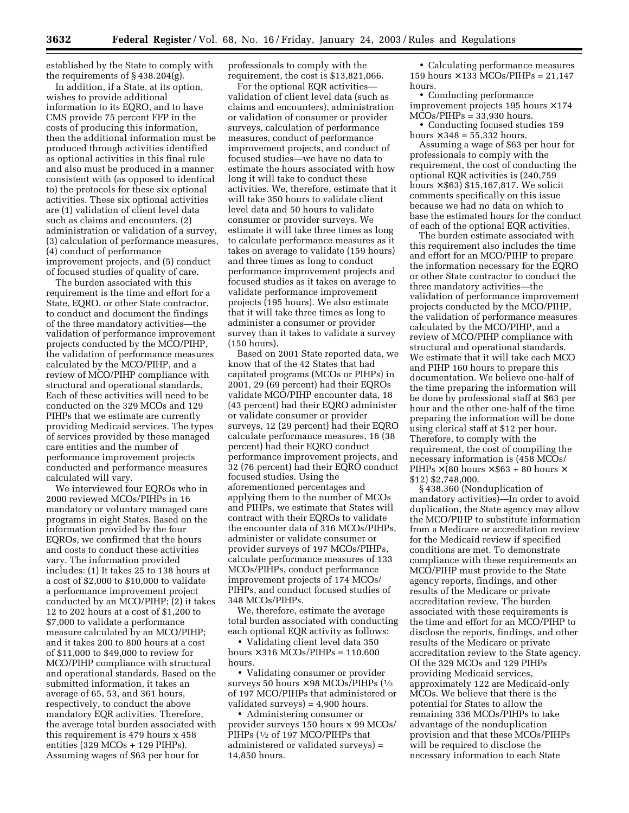established by the State to comply with the requirements of § 438.204(g).

In addition, if a State, at its option, wishes to provide additional information to its EQRO, and to have CMS provide 75 percent FFP in the costs of producing this information, then the additional information must be produced through activities identified as optional activities in this final rule and also must be produced in a manner consistent with (as opposed to identical to) the protocols for these six optional activities. These six optional activities are (1) validation of client level data such as claims and encounters, (2) administration or validation of a survey, (3) calculation of performance measures, (4) conduct of performance improvement projects, and (5) conduct of focused studies of quality of care.

The burden associated with this requirement is the time and effort for a State, EQRO, or other State contractor, to conduct and document the findings of the three mandatory activities—the validation of performance improvement projects conducted by the MCO/PIHP, the validation of performance measures calculated by the MCO/PIHP, and a review of MCO/PIHP compliance with structural and operational standards. Each of these activities will need to be conducted on the 329 MCOs and 129 PIHPs that we estimate are currently providing Medicaid services. The types of services provided by these managed care entities and the number of performance improvement projects conducted and performance measures calculated will vary.

We interviewed four EQROs who in 2000 reviewed MCOs/PIHPs in 16 mandatory or voluntary managed care programs in eight States. Based on the information provided by the four EQROs, we confirmed that the hours and costs to conduct these activities vary. The information provided includes: (1) It takes 25 to 138 hours at a cost of \$2,000 to \$10,000 to validate a performance improvement project conducted by an MCO/PIHP; (2) it takes 12 to 202 hours at a cost of \$1,200 to \$7,000 to validate a performance measure calculated by an MCO/PIHP; and it takes 200 to 800 hours at a cost of \$11,000 to \$49,000 to review for MCO/PIHP compliance with structural and operational standards. Based on the submitted information, it takes an average of 65, 53, and 361 hours, respectively, to conduct the above mandatory EQR activities. Therefore, the average total burden associated with this requirement is 479 hours x 458 entities (329 MCOs + 129 PIHPs). Assuming wages of \$63 per hour for

professionals to comply with the requirement, the cost is \$13,821,066.

For the optional EQR activities validation of client level data (such as claims and encounters), administration or validation of consumer or provider surveys, calculation of performance measures, conduct of performance improvement projects, and conduct of focused studies—we have no data to estimate the hours associated with how long it will take to conduct these activities. We, therefore, estimate that it will take 350 hours to validate client level data and 50 hours to validate consumer or provider surveys. We estimate it will take three times as long to calculate performance measures as it takes on average to validate (159 hours) and three times as long to conduct performance improvement projects and focused studies as it takes on average to validate performance improvement projects (195 hours). We also estimate that it will take three times as long to administer a consumer or provider survey than it takes to validate a survey (150 hours).

Based on 2001 State reported data, we know that of the 42 States that had capitated programs (MCOs or PIHPs) in 2001, 29 (69 percent) had their EQROs validate MCO/PIHP encounter data, 18 (43 percent) had their EQRO administer or validate consumer or provider surveys, 12 (29 percent) had their EQRO calculate performance measures, 16 (38 percent) had their EQRO conduct performance improvement projects, and 32 (76 percent) had their EQRO conduct focused studies. Using the aforementioned percentages and applying them to the number of MCOs and PIHPs, we estimate that States will contract with their EQROs to validate the encounter data of 316 MCOs/PIHPs, administer or validate consumer or provider surveys of 197 MCOs/PIHPs, calculate performance measures of 133 MCOs/PIHPs, conduct performance improvement projects of 174 MCOs/ PIHPs, and conduct focused studies of 348 MCOs/PIHPs.

We, therefore, estimate the average total burden associated with conducting each optional EQR activity as follows:

• Validating client level data 350 hours  $\times$  316 MCOs/PIHPs = 110,600 hours.

• Validating consumer or provider surveys 50 hours  $\times$  98 MCOs/PIHPs ( $\frac{1}{2}$ of 197 MCO/PIHPs that administered or validated surveys) = 4,900 hours.

• Administering consumer or provider surveys 150 hours x 99 MCOs/ PIHPs (1/2 of 197 MCO/PIHPs that administered or validated surveys) = 14,850 hours.

• Calculating performance measures 159 hours  $\times$  133 MCOs/PIHPs = 21,147 hours.

• Conducting performance improvement projects 195 hours  $\times$  174 MCOs/PIHPs = 33,930 hours.

• Conducting focused studies 159 hours  $\times$  348 = 55,332 hours.

Assuming a wage of \$63 per hour for professionals to comply with the requirement, the cost of conducting the optional EQR activities is (240,759 hours  $\times$  \$63) \$15,167,817. We solicit comments specifically on this issue because we had no data on which to base the estimated hours for the conduct of each of the optional EQR activities.

The burden estimate associated with this requirement also includes the time and effort for an MCO/PIHP to prepare the information necessary for the EQRO or other State contractor to conduct the three mandatory activities—the validation of performance improvement projects conducted by the MCO/PIHP, the validation of performance measures calculated by the MCO/PIHP, and a review of MCO/PIHP compliance with structural and operational standards. We estimate that it will take each MCO and PIHP 160 hours to prepare this documentation. We believe one-half of the time preparing the information will be done by professional staff at \$63 per hour and the other one-half of the time preparing the information will be done using clerical staff at \$12 per hour. Therefore, to comply with the requirement, the cost of compiling the necessary information is (458 MCOs/ PIHPs  $\times$  (80 hours  $\times$  \$63 + 80 hours  $\times$ \$12) \$2,748,000.

§ 438.360 (Nonduplication of mandatory activities)—In order to avoid duplication, the State agency may allow the MCO/PIHP to substitute information from a Medicare or accreditation review for the Medicaid review if specified conditions are met. To demonstrate compliance with these requirements an MCO/PIHP must provide to the State agency reports, findings, and other results of the Medicare or private accreditation review. The burden associated with these requirements is the time and effort for an MCO/PIHP to disclose the reports, findings, and other results of the Medicare or private accreditation review to the State agency. Of the 329 MCOs and 129 PIHPs providing Medicaid services, approximately 122 are Medicaid-only MCOs. We believe that there is the potential for States to allow the remaining 336 MCOs/PIHPs to take advantage of the nonduplication provision and that these MCOs/PIHPs will be required to disclose the necessary information to each State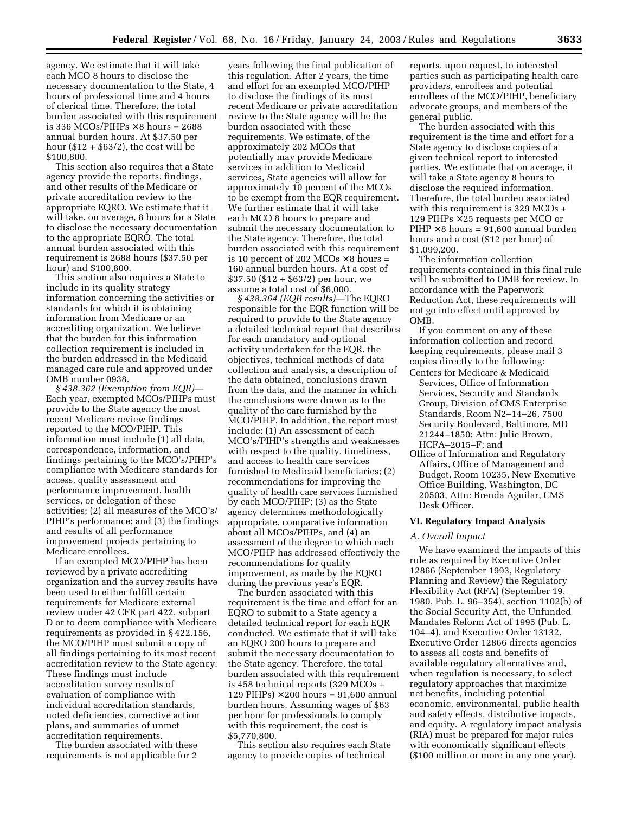agency. We estimate that it will take each MCO 8 hours to disclose the necessary documentation to the State, 4 hours of professional time and 4 hours of clerical time. Therefore, the total burden associated with this requirement is 336 MCOs/PIHPs  $\times$  8 hours = 2688 annual burden hours. At \$37.50 per hour  $(\$12 + \$63/2)$ , the cost will be \$100,800.

This section also requires that a State agency provide the reports, findings, and other results of the Medicare or private accreditation review to the appropriate EQRO. We estimate that it will take, on average, 8 hours for a State to disclose the necessary documentation to the appropriate EQRO. The total annual burden associated with this requirement is 2688 hours (\$37.50 per hour) and \$100,800.

This section also requires a State to include in its quality strategy information concerning the activities or standards for which it is obtaining information from Medicare or an accrediting organization. We believe that the burden for this information collection requirement is included in the burden addressed in the Medicaid managed care rule and approved under OMB number 0938.

*§ 438.362 (Exemption from EQR)*— Each year, exempted MCOs/PIHPs must provide to the State agency the most recent Medicare review findings reported to the MCO/PIHP. This information must include (1) all data, correspondence, information, and findings pertaining to the MCO's/PIHP's compliance with Medicare standards for access, quality assessment and performance improvement, health services, or delegation of these activities; (2) all measures of the MCO's/ PIHP's performance; and (3) the findings and results of all performance improvement projects pertaining to Medicare enrollees.

If an exempted MCO/PIHP has been reviewed by a private accrediting organization and the survey results have been used to either fulfill certain requirements for Medicare external review under 42 CFR part 422, subpart D or to deem compliance with Medicare requirements as provided in § 422.156, the MCO/PIHP must submit a copy of all findings pertaining to its most recent accreditation review to the State agency. These findings must include accreditation survey results of evaluation of compliance with individual accreditation standards, noted deficiencies, corrective action plans, and summaries of unmet accreditation requirements.

The burden associated with these requirements is not applicable for 2

years following the final publication of this regulation. After 2 years, the time and effort for an exempted MCO/PIHP to disclose the findings of its most recent Medicare or private accreditation review to the State agency will be the burden associated with these requirements. We estimate, of the approximately 202 MCOs that potentially may provide Medicare services in addition to Medicaid services, State agencies will allow for approximately 10 percent of the MCOs to be exempt from the EQR requirement. We further estimate that it will take each MCO 8 hours to prepare and submit the necessary documentation to the State agency. Therefore, the total burden associated with this requirement is 10 percent of 202 MCOs  $\times$  8 hours = 160 annual burden hours. At a cost of \$37.50 (\$12 + \$63/2) per hour, we assume a total cost of \$6,000.

*§ 438.364 (EQR results)*—The EQRO responsible for the EQR function will be required to provide to the State agency a detailed technical report that describes for each mandatory and optional activity undertaken for the EQR, the objectives, technical methods of data collection and analysis, a description of the data obtained, conclusions drawn from the data, and the manner in which the conclusions were drawn as to the quality of the care furnished by the MCO/PIHP. In addition, the report must include: (1) An assessment of each MCO's/PIHP's strengths and weaknesses with respect to the quality, timeliness, and access to health care services furnished to Medicaid beneficiaries; (2) recommendations for improving the quality of health care services furnished by each MCO/PIHP; (3) as the State agency determines methodologically appropriate, comparative information about all MCOs/PIHPs, and (4) an assessment of the degree to which each MCO/PIHP has addressed effectively the recommendations for quality improvement, as made by the EQRO during the previous year's EQR.

The burden associated with this requirement is the time and effort for an EQRO to submit to a State agency a detailed technical report for each EQR conducted. We estimate that it will take an EQRO 200 hours to prepare and submit the necessary documentation to the State agency. Therefore, the total burden associated with this requirement is 458 technical reports (329 MCOs + 129 PIHPs)  $\times$  200 hours = 91,600 annual burden hours. Assuming wages of \$63 per hour for professionals to comply with this requirement, the cost is \$5,770,800.

This section also requires each State agency to provide copies of technical

reports, upon request, to interested parties such as participating health care providers, enrollees and potential enrollees of the MCO/PIHP, beneficiary advocate groups, and members of the general public.

The burden associated with this requirement is the time and effort for a State agency to disclose copies of a given technical report to interested parties. We estimate that on average, it will take a State agency 8 hours to disclose the required information. Therefore, the total burden associated with this requirement is 329 MCOs + 129 PIHPs × 25 requests per MCO or  $PIHP \times 8$  hours = 91,600 annual burden hours and a cost (\$12 per hour) of \$1,099,200.

The information collection requirements contained in this final rule will be submitted to OMB for review. In accordance with the Paperwork Reduction Act, these requirements will not go into effect until approved by OMB.

If you comment on any of these information collection and record keeping requirements, please mail 3 copies directly to the following:

- Centers for Medicare & Medicaid Services, Office of Information Services, Security and Standards Group, Division of CMS Enterprise Standards, Room N2–14–26, 7500 Security Boulevard, Baltimore, MD 21244–1850; Attn: Julie Brown, HCFA–2015–F; and
- Office of Information and Regulatory Affairs, Office of Management and Budget, Room 10235, New Executive Office Building, Washington, DC 20503, Attn: Brenda Aguilar, CMS Desk Officer.

#### **VI. Regulatory Impact Analysis**

#### *A. Overall Impact*

We have examined the impacts of this rule as required by Executive Order 12866 (September 1993, Regulatory Planning and Review) the Regulatory Flexibility Act (RFA) (September 19, 1980, Pub. L. 96–354), section 1102(b) of the Social Security Act, the Unfunded Mandates Reform Act of 1995 (Pub. L. 104–4), and Executive Order 13132. Executive Order 12866 directs agencies to assess all costs and benefits of available regulatory alternatives and, when regulation is necessary, to select regulatory approaches that maximize net benefits, including potential economic, environmental, public health and safety effects, distributive impacts, and equity. A regulatory impact analysis (RIA) must be prepared for major rules with economically significant effects (\$100 million or more in any one year).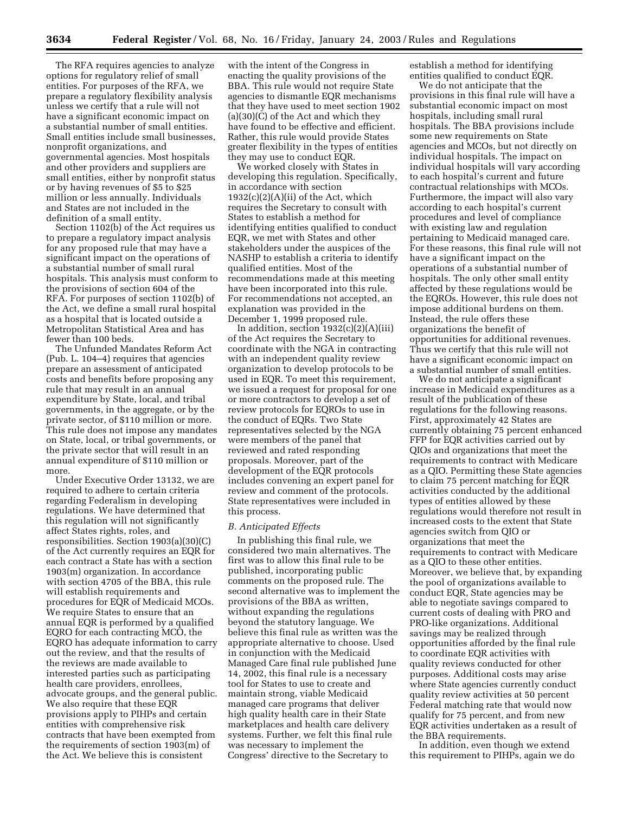The RFA requires agencies to analyze options for regulatory relief of small entities. For purposes of the RFA, we prepare a regulatory flexibility analysis unless we certify that a rule will not have a significant economic impact on a substantial number of small entities. Small entities include small businesses, nonprofit organizations, and governmental agencies. Most hospitals and other providers and suppliers are small entities, either by nonprofit status or by having revenues of \$5 to \$25 million or less annually. Individuals and States are not included in the definition of a small entity.

Section 1102(b) of the Act requires us to prepare a regulatory impact analysis for any proposed rule that may have a significant impact on the operations of a substantial number of small rural hospitals. This analysis must conform to the provisions of section 604 of the RFA. For purposes of section 1102(b) of the Act, we define a small rural hospital as a hospital that is located outside a Metropolitan Statistical Area and has fewer than 100 beds.

The Unfunded Mandates Reform Act (Pub. L. 104–4) requires that agencies prepare an assessment of anticipated costs and benefits before proposing any rule that may result in an annual expenditure by State, local, and tribal governments, in the aggregate, or by the private sector, of \$110 million or more. This rule does not impose any mandates on State, local, or tribal governments, or the private sector that will result in an annual expenditure of \$110 million or more.

Under Executive Order 13132, we are required to adhere to certain criteria regarding Federalism in developing regulations. We have determined that this regulation will not significantly affect States rights, roles, and responsibilities. Section 1903(a)(30)(C) of the Act currently requires an EQR for each contract a State has with a section 1903(m) organization. In accordance with section 4705 of the BBA, this rule will establish requirements and procedures for EQR of Medicaid MCOs. We require States to ensure that an annual EQR is performed by a qualified EQRO for each contracting MCO, the EQRO has adequate information to carry out the review, and that the results of the reviews are made available to interested parties such as participating health care providers, enrollees, advocate groups, and the general public. We also require that these EQR provisions apply to PIHPs and certain entities with comprehensive risk contracts that have been exempted from the requirements of section 1903(m) of the Act. We believe this is consistent

with the intent of the Congress in enacting the quality provisions of the BBA. This rule would not require State agencies to dismantle EQR mechanisms that they have used to meet section 1902 (a)(30)(C) of the Act and which they have found to be effective and efficient. Rather, this rule would provide States greater flexibility in the types of entities they may use to conduct EQR.

We worked closely with States in developing this regulation. Specifically, in accordance with section  $1932(c)(2)(A)(ii)$  of the Act, which requires the Secretary to consult with States to establish a method for identifying entities qualified to conduct EQR, we met with States and other stakeholders under the auspices of the NASHP to establish a criteria to identify qualified entities. Most of the recommendations made at this meeting have been incorporated into this rule. For recommendations not accepted, an explanation was provided in the December 1, 1999 proposed rule.

In addition, section 1932(c)(2)(A)(iii) of the Act requires the Secretary to coordinate with the NGA in contracting with an independent quality review organization to develop protocols to be used in EQR. To meet this requirement, we issued a request for proposal for one or more contractors to develop a set of review protocols for EQROs to use in the conduct of EQRs. Two State representatives selected by the NGA were members of the panel that reviewed and rated responding proposals. Moreover, part of the development of the EQR protocols includes convening an expert panel for review and comment of the protocols. State representatives were included in this process.

#### *B. Anticipated Effects*

In publishing this final rule, we considered two main alternatives. The first was to allow this final rule to be published, incorporating public comments on the proposed rule. The second alternative was to implement the provisions of the BBA as written, without expanding the regulations beyond the statutory language. We believe this final rule as written was the appropriate alternative to choose. Used in conjunction with the Medicaid Managed Care final rule published June 14, 2002, this final rule is a necessary tool for States to use to create and maintain strong, viable Medicaid managed care programs that deliver high quality health care in their State marketplaces and health care delivery systems. Further, we felt this final rule was necessary to implement the Congress' directive to the Secretary to

establish a method for identifying entities qualified to conduct EQR.

We do not anticipate that the provisions in this final rule will have a substantial economic impact on most hospitals, including small rural hospitals. The BBA provisions include some new requirements on State agencies and MCOs, but not directly on individual hospitals. The impact on individual hospitals will vary according to each hospital's current and future contractual relationships with MCOs. Furthermore, the impact will also vary according to each hospital's current procedures and level of compliance with existing law and regulation pertaining to Medicaid managed care. For these reasons, this final rule will not have a significant impact on the operations of a substantial number of hospitals. The only other small entity affected by these regulations would be the EQROs. However, this rule does not impose additional burdens on them. Instead, the rule offers these organizations the benefit of opportunities for additional revenues. Thus we certify that this rule will not have a significant economic impact on a substantial number of small entities.

We do not anticipate a significant increase in Medicaid expenditures as a result of the publication of these regulations for the following reasons. First, approximately 42 States are currently obtaining 75 percent enhanced FFP for EQR activities carried out by QIOs and organizations that meet the requirements to contract with Medicare as a QIO. Permitting these State agencies to claim 75 percent matching for EQR activities conducted by the additional types of entities allowed by these regulations would therefore not result in increased costs to the extent that State agencies switch from QIO or organizations that meet the requirements to contract with Medicare as a QIO to these other entities. Moreover, we believe that, by expanding the pool of organizations available to conduct EQR, State agencies may be able to negotiate savings compared to current costs of dealing with PRO and PRO-like organizations. Additional savings may be realized through opportunities afforded by the final rule to coordinate EQR activities with quality reviews conducted for other purposes. Additional costs may arise where State agencies currently conduct quality review activities at 50 percent Federal matching rate that would now qualify for 75 percent, and from new EQR activities undertaken as a result of the BBA requirements.

In addition, even though we extend this requirement to PIHPs, again we do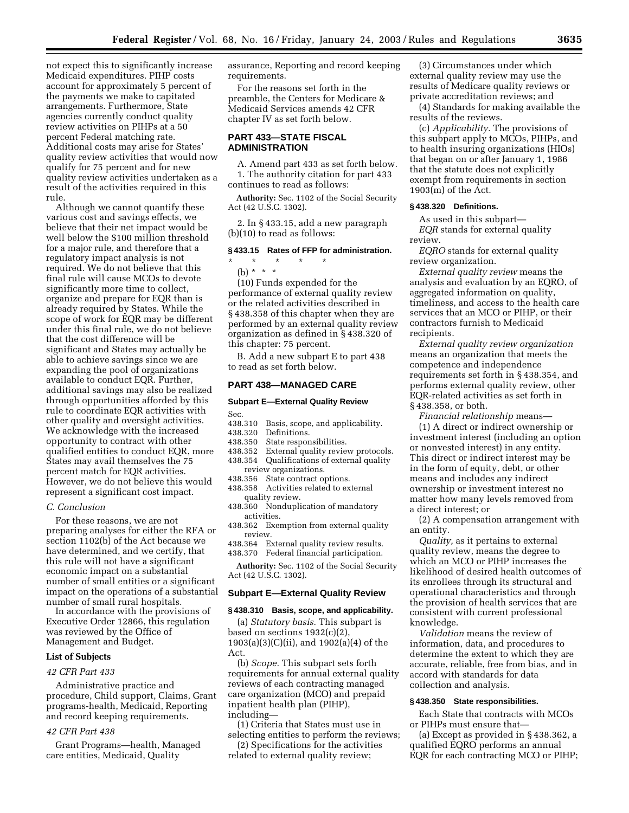not expect this to significantly increase Medicaid expenditures. PIHP costs account for approximately 5 percent of the payments we make to capitated arrangements. Furthermore, State agencies currently conduct quality review activities on PIHPs at a 50 percent Federal matching rate. Additional costs may arise for States' quality review activities that would now qualify for 75 percent and for new quality review activities undertaken as a result of the activities required in this rule.

Although we cannot quantify these various cost and savings effects, we believe that their net impact would be well below the \$100 million threshold for a major rule, and therefore that a regulatory impact analysis is not required. We do not believe that this final rule will cause MCOs to devote significantly more time to collect, organize and prepare for EQR than is already required by States. While the scope of work for EQR may be different under this final rule, we do not believe that the cost difference will be significant and States may actually be able to achieve savings since we are expanding the pool of organizations available to conduct EQR. Further, additional savings may also be realized through opportunities afforded by this rule to coordinate EQR activities with other quality and oversight activities. We acknowledge with the increased opportunity to contract with other qualified entities to conduct EQR, more States may avail themselves the 75 percent match for EQR activities. However, we do not believe this would represent a significant cost impact.

#### *C. Conclusion*

For these reasons, we are not preparing analyses for either the RFA or section 1102(b) of the Act because we have determined, and we certify, that this rule will not have a significant economic impact on a substantial number of small entities or a significant impact on the operations of a substantial number of small rural hospitals.

In accordance with the provisions of Executive Order 12866, this regulation was reviewed by the Office of Management and Budget.

#### **List of Subjects**

#### *42 CFR Part 433*

Administrative practice and procedure, Child support, Claims, Grant programs-health, Medicaid, Reporting and record keeping requirements.

#### *42 CFR Part 438*

Grant Programs—health, Managed care entities, Medicaid, Quality

assurance, Reporting and record keeping requirements.

For the reasons set forth in the preamble, the Centers for Medicare & Medicaid Services amends 42 CFR chapter IV as set forth below.

#### **PART 433—STATE FISCAL ADMINISTRATION**

A. Amend part 433 as set forth below. 1. The authority citation for part 433 continues to read as follows:

**Authority:** Sec. 1102 of the Social Security Act (42 U.S.C. 1302).

2. In § 433.15, add a new paragraph (b)(10) to read as follows:

#### **§ 433.15 Rates of FFP for administration.**

\* \* \* \* \* (b) \* \* \*

performance of external quality review or the related activities described in § 438.358 of this chapter when they are performed by an external quality review organization as defined in § 438.320 of this chapter: 75 percent.

#### **PART 438—MANAGED CARE**

### **Subpart E—External Quality Review**

- Sec.
- 438.310 Basis, scope, and applicability.
- Definitions.
- 438.350 State responsibilities.
- 438.352 External quality review protocols.<br>438.354 Qualifications of external quality 438.354 Qualifications of external quality review organizations.
- 438.356 State contract options.
- 438.358 Activities related to external quality review.
- 438.360 Nonduplication of mandatory activities.
- 438.362 Exemption from external quality review.
- 438.364 External quality review results. 438.370 Federal financial participation.

**Authority:** Sec. 1102 of the Social Security Act (42 U.S.C. 1302).

#### **Subpart E—External Quality Review**

#### **§ 438.310 Basis, scope, and applicability.**

(a) *Statutory basis.* This subpart is based on sections 1932(c)(2), 1903(a)(3)(C)(ii), and 1902(a)(4) of the Act.

(b) *Scope.* This subpart sets forth requirements for annual external quality reviews of each contracting managed care organization (MCO) and prepaid inpatient health plan (PIHP), including—

(1) Criteria that States must use in selecting entities to perform the reviews;

(2) Specifications for the activities related to external quality review;

(3) Circumstances under which external quality review may use the results of Medicare quality reviews or private accreditation reviews; and

(4) Standards for making available the results of the reviews.

(c) *Applicability.* The provisions of this subpart apply to MCOs, PIHPs, and to health insuring organizations (HIOs) that began on or after January 1, 1986 that the statute does not explicitly exempt from requirements in section 1903(m) of the Act.

#### **§ 438.320 Definitions.**

As used in this subpart— *EQR* stands for external quality review.

*EQRO* stands for external quality review organization.

*External quality review* means the analysis and evaluation by an EQRO, of aggregated information on quality, timeliness, and access to the health care services that an MCO or PIHP, or their contractors furnish to Medicaid recipients.

*External quality review organization* means an organization that meets the competence and independence requirements set forth in § 438.354, and performs external quality review, other EQR-related activities as set forth in § 438.358, or both.

*Financial relationship* means—

(1) A direct or indirect ownership or investment interest (including an option or nonvested interest) in any entity. This direct or indirect interest may be in the form of equity, debt, or other means and includes any indirect ownership or investment interest no matter how many levels removed from a direct interest; or

(2) A compensation arrangement with an entity.

*Quality,* as it pertains to external quality review, means the degree to which an MCO or PIHP increases the likelihood of desired health outcomes of its enrollees through its structural and operational characteristics and through the provision of health services that are consistent with current professional knowledge.

*Validation* means the review of information, data, and procedures to determine the extent to which they are accurate, reliable, free from bias, and in accord with standards for data collection and analysis.

#### **§ 438.350 State responsibilities.**

Each State that contracts with MCOs or PIHPs must ensure that—

(a) Except as provided in § 438.362, a qualified EQRO performs an annual EQR for each contracting MCO or PIHP;

(10) Funds expended for the

B. Add a new subpart E to part 438

to read as set forth below.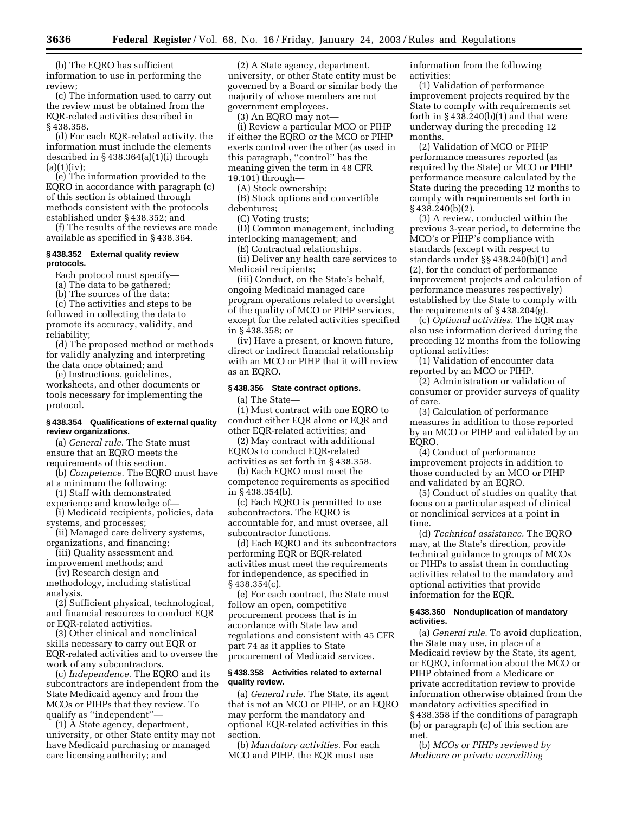(b) The EQRO has sufficient information to use in performing the review;

(c) The information used to carry out the review must be obtained from the EQR-related activities described in § 438.358.

(d) For each EQR-related activity, the information must include the elements described in § 438.364(a)(1)(i) through  $(a)(1)(iv);$ 

(e) The information provided to the EQRO in accordance with paragraph (c) of this section is obtained through methods consistent with the protocols established under § 438.352; and

(f) The results of the reviews are made available as specified in § 438.364.

#### **§ 438.352 External quality review protocols.**

Each protocol must specify—

(a) The data to be gathered;

(b) The sources of the data;

(c) The activities and steps to be

followed in collecting the data to promote its accuracy, validity, and reliability;

(d) The proposed method or methods for validly analyzing and interpreting the data once obtained; and

(e) Instructions, guidelines, worksheets, and other documents or tools necessary for implementing the protocol.

#### **§ 438.354 Qualifications of external quality review organizations.**

(a) *General rule.* The State must ensure that an EQRO meets the requirements of this section.

(b) *Competence.* The EQRO must have at a minimum the following:

(1) Staff with demonstrated

experience and knowledge of— (i) Medicaid recipients, policies, data systems, and processes;

(ii) Managed care delivery systems, organizations, and financing;

(iii) Quality assessment and improvement methods; and

(iv) Research design and

methodology, including statistical analysis.

(2) Sufficient physical, technological, and financial resources to conduct EQR or EQR-related activities.

(3) Other clinical and nonclinical skills necessary to carry out EQR or EQR-related activities and to oversee the work of any subcontractors.

(c) *Independence.* The EQRO and its subcontractors are independent from the State Medicaid agency and from the MCOs or PIHPs that they review. To qualify as ''independent''—

(1) A State agency, department, university, or other State entity may not have Medicaid purchasing or managed care licensing authority; and

(2) A State agency, department, university, or other State entity must be governed by a Board or similar body the majority of whose members are not government employees.

(3) An EQRO may not—

(i) Review a particular MCO or PIHP if either the EQRO or the MCO or PIHP exerts control over the other (as used in this paragraph, ''control'' has the meaning given the term in 48 CFR 19.101) through—

(A) Stock ownership;

(B) Stock options and convertible debentures;

(C) Voting trusts;

(D) Common management, including interlocking management; and

(E) Contractual relationships.

(ii) Deliver any health care services to Medicaid recipients;

(iii) Conduct, on the State's behalf, ongoing Medicaid managed care program operations related to oversight of the quality of MCO or PIHP services, except for the related activities specified in § 438.358; or

(iv) Have a present, or known future, direct or indirect financial relationship with an MCO or PIHP that it will review as an EQRO.

#### **§ 438.356 State contract options.**

(a) The State—

(1) Must contract with one EQRO to conduct either EQR alone or EQR and other EQR-related activities; and

(2) May contract with additional EQROs to conduct EQR-related activities as set forth in § 438.358.

(b) Each EQRO must meet the competence requirements as specified in § 438.354(b).

(c) Each EQRO is permitted to use subcontractors. The EQRO is accountable for, and must oversee, all subcontractor functions.

(d) Each EQRO and its subcontractors performing EQR or EQR-related activities must meet the requirements for independence, as specified in § 438.354(c).

(e) For each contract, the State must follow an open, competitive procurement process that is in accordance with State law and regulations and consistent with 45 CFR part 74 as it applies to State procurement of Medicaid services.

#### **§ 438.358 Activities related to external quality review.**

(a) *General rule.* The State, its agent that is not an MCO or PIHP, or an EQRO may perform the mandatory and optional EQR-related activities in this section.

(b) *Mandatory activities.* For each MCO and PIHP, the EQR must use

information from the following activities:

(1) Validation of performance improvement projects required by the State to comply with requirements set forth in  $§$  438.240(b)(1) and that were underway during the preceding 12 months.

(2) Validation of MCO or PIHP performance measures reported (as required by the State) or MCO or PIHP performance measure calculated by the State during the preceding 12 months to comply with requirements set forth in § 438.240(b)(2).

(3) A review, conducted within the previous 3-year period, to determine the MCO's or PIHP's compliance with standards (except with respect to standards under §§ 438.240(b)(1) and (2), for the conduct of performance improvement projects and calculation of performance measures respectively) established by the State to comply with the requirements of § 438.204(g).

(c) *Optional activities.* The EQR may also use information derived during the preceding 12 months from the following optional activities:

(1) Validation of encounter data reported by an MCO or PIHP.

(2) Administration or validation of consumer or provider surveys of quality of care.

(3) Calculation of performance measures in addition to those reported by an MCO or PIHP and validated by an EQRO.

(4) Conduct of performance improvement projects in addition to those conducted by an MCO or PIHP and validated by an EQRO.

(5) Conduct of studies on quality that focus on a particular aspect of clinical or nonclinical services at a point in time.

(d) *Technical assistance.* The EQRO may, at the State's direction, provide technical guidance to groups of MCOs or PIHPs to assist them in conducting activities related to the mandatory and optional activities that provide information for the EQR.

#### **§ 438.360 Nonduplication of mandatory activities.**

(a) *General rule.* To avoid duplication, the State may use, in place of a Medicaid review by the State, its agent, or EQRO, information about the MCO or PIHP obtained from a Medicare or private accreditation review to provide information otherwise obtained from the mandatory activities specified in § 438.358 if the conditions of paragraph (b) or paragraph (c) of this section are met.

(b) *MCOs or PIHPs reviewed by Medicare or private accrediting*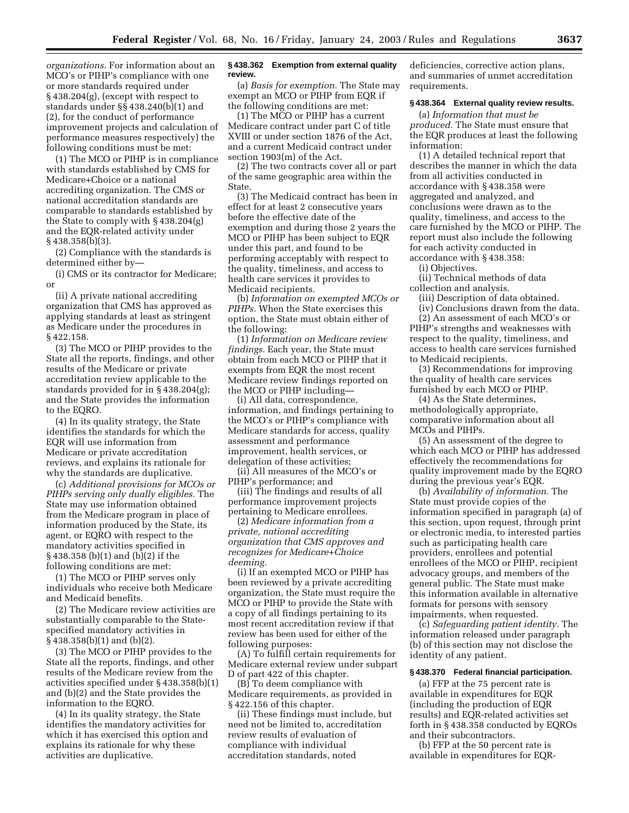*organizations.* For information about an MCO's or PIHP's compliance with one or more standards required under § 438.204(g), (except with respect to standards under §§ 438.240(b)(1) and (2), for the conduct of performance improvement projects and calculation of performance measures respectively) the following conditions must be met:

(1) The MCO or PIHP is in compliance with standards established by CMS for Medicare+Choice or a national accrediting organization. The CMS or national accreditation standards are comparable to standards established by the State to comply with § 438.204(g) and the EQR-related activity under § 438.358(b)(3).

(2) Compliance with the standards is determined either by—

(i) CMS or its contractor for Medicare; or

(ii) A private national accrediting organization that CMS has approved as applying standards at least as stringent as Medicare under the procedures in § 422.158.

(3) The MCO or PIHP provides to the State all the reports, findings, and other results of the Medicare or private accreditation review applicable to the standards provided for in § 438.204(g); and the State provides the information to the EQRO.

(4) In its quality strategy, the State identifies the standards for which the EQR will use information from Medicare or private accreditation reviews, and explains its rationale for why the standards are duplicative.

(c) *Additional provisions for MCOs or PIHPs serving only dually eligibles.* The State may use information obtained from the Medicare program in place of information produced by the State, its agent, or EQRO with respect to the mandatory activities specified in § 438.358 (b)(1) and (b)(2) if the following conditions are met:

(1) The MCO or PIHP serves only individuals who receive both Medicare and Medicaid benefits.

(2) The Medicare review activities are substantially comparable to the Statespecified mandatory activities in § 438.358(b)(1) and (b)(2).

(3) The MCO or PIHP provides to the State all the reports, findings, and other results of the Medicare review from the activities specified under § 438.358(b)(1) and (b)(2) and the State provides the information to the EQRO.

(4) In its quality strategy, the State identifies the mandatory activities for which it has exercised this option and explains its rationale for why these activities are duplicative.

#### **§ 438.362 Exemption from external quality review.**

(a) *Basis for exemption.* The State may exempt an MCO or PIHP from EQR if the following conditions are met:

(1) The MCO or PIHP has a current Medicare contract under part C of title XVIII or under section 1876 of the Act, and a current Medicaid contract under section 1903(m) of the Act.

(2) The two contracts cover all or part of the same geographic area within the State.

(3) The Medicaid contract has been in effect for at least 2 consecutive years before the effective date of the exemption and during those 2 years the MCO or PIHP has been subject to EQR under this part, and found to be performing acceptably with respect to the quality, timeliness, and access to health care services it provides to Medicaid recipients.

(b) *Information on exempted MCOs or PIHPs.* When the State exercises this option, the State must obtain either of the following:

(1) *Information on Medicare review findings.* Each year, the State must obtain from each MCO or PIHP that it exempts from EQR the most recent Medicare review findings reported on the MCO or PIHP including—

(i) All data, correspondence, information, and findings pertaining to the MCO's or PIHP's compliance with Medicare standards for access, quality assessment and performance improvement, health services, or delegation of these activities;

(ii) All measures of the MCO's or PIHP's performance; and

(iii) The findings and results of all performance improvement projects pertaining to Medicare enrollees.

(2) *Medicare information from a private, national accrediting organization that CMS approves and recognizes for Medicare+Choice deeming.*

(i) If an exempted MCO or PIHP has been reviewed by a private accrediting organization, the State must require the MCO or PIHP to provide the State with a copy of all findings pertaining to its most recent accreditation review if that review has been used for either of the following purposes:

(A) To fulfill certain requirements for Medicare external review under subpart D of part 422 of this chapter.

(B) To deem compliance with Medicare requirements, as provided in § 422.156 of this chapter.

(ii) These findings must include, but need not be limited to, accreditation review results of evaluation of compliance with individual accreditation standards, noted

deficiencies, corrective action plans, and summaries of unmet accreditation requirements.

#### **§ 438.364 External quality review results.**

(a) *Information that must be produced.* The State must ensure that the EQR produces at least the following information:

(1) A detailed technical report that describes the manner in which the data from all activities conducted in accordance with § 438.358 were aggregated and analyzed, and conclusions were drawn as to the quality, timeliness, and access to the care furnished by the MCO or PIHP. The report must also include the following for each activity conducted in accordance with § 438.358:

(i) Objectives.

(ii) Technical methods of data collection and analysis.

(iii) Description of data obtained.

(iv) Conclusions drawn from the data.

(2) An assessment of each MCO's or PIHP's strengths and weaknesses with respect to the quality, timeliness, and access to health care services furnished to Medicaid recipients.

(3) Recommendations for improving the quality of health care services furnished by each MCO or PIHP.

(4) As the State determines, methodologically appropriate, comparative information about all MCOs and PIHPs.

(5) An assessment of the degree to which each MCO or PIHP has addressed effectively the recommendations for quality improvement made by the EQRO during the previous year's EQR.

(b) *Availability of information.* The State must provide copies of the information specified in paragraph (a) of this section, upon request, through print or electronic media, to interested parties such as participating health care providers, enrollees and potential enrollees of the MCO or PIHP, recipient advocacy groups, and members of the general public. The State must make this information available in alternative formats for persons with sensory impairments, when requested.

(c) *Safeguarding patient identity.* The information released under paragraph (b) of this section may not disclose the identity of any patient.

#### **§ 438.370 Federal financial participation.**

(a) FFP at the 75 percent rate is available in expenditures for EQR (including the production of EQR results) and EQR-related activities set forth in § 438.358 conducted by EQROs and their subcontractors.

(b) FFP at the 50 percent rate is available in expenditures for EQR-